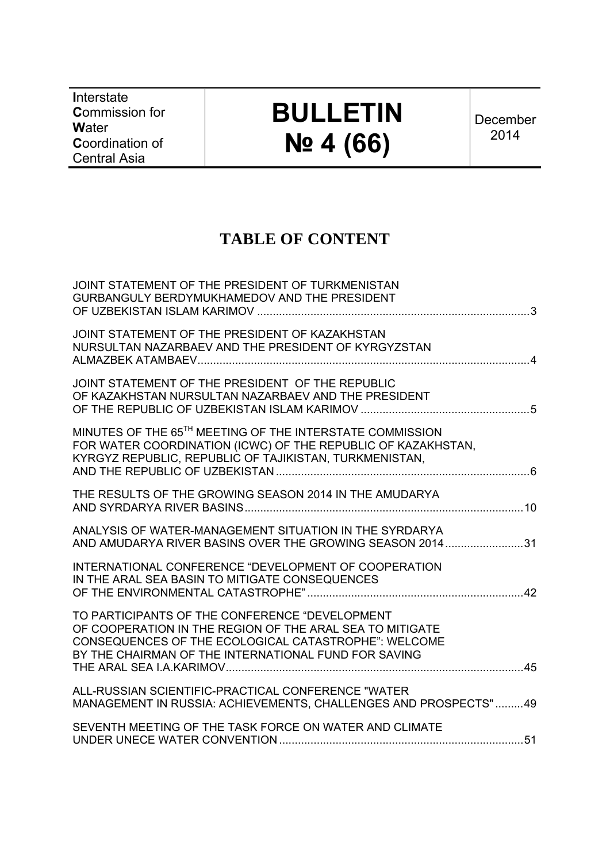**I**nterstate **C**ommission for **W**ater **C**oordination of Central Asia

# **BULLETIN № 4 (66)**

December 2014

# **TABLE OF CONTENT**

| JOINT STATEMENT OF THE PRESIDENT OF TURKMENISTAN<br>GURBANGULY BERDYMUKHAMEDOV AND THE PRESIDENT                                                                                                                           |  |
|----------------------------------------------------------------------------------------------------------------------------------------------------------------------------------------------------------------------------|--|
| JOINT STATEMENT OF THE PRESIDENT OF KAZAKHSTAN<br>NURSULTAN NAZARBAEV AND THE PRESIDENT OF KYRGYZSTAN                                                                                                                      |  |
| JOINT STATEMENT OF THE PRESIDENT OF THE REPUBLIC<br>OF KAZAKHSTAN NURSULTAN NAZARBAEV AND THE PRESIDENT                                                                                                                    |  |
| MINUTES OF THE 65TH MEETING OF THE INTERSTATE COMMISSION<br>FOR WATER COORDINATION (ICWC) OF THE REPUBLIC OF KAZAKHSTAN,<br>KYRGYZ REPUBLIC, REPUBLIC OF TAJIKISTAN, TURKMENISTAN,                                         |  |
| THE RESULTS OF THE GROWING SEASON 2014 IN THE AMUDARYA                                                                                                                                                                     |  |
| ANALYSIS OF WATER-MANAGEMENT SITUATION IN THE SYRDARYA<br>AND AMUDARYA RIVER BASINS OVER THE GROWING SEASON 201431                                                                                                         |  |
| INTERNATIONAL CONFERENCE "DEVELOPMENT OF COOPERATION<br>IN THE ARAL SEA BASIN TO MITIGATE CONSEQUENCES                                                                                                                     |  |
| TO PARTICIPANTS OF THE CONFERENCE "DEVELOPMENT<br>OF COOPERATION IN THE REGION OF THE ARAL SEA TO MITIGATE<br>CONSEQUENCES OF THE ECOLOGICAL CATASTROPHE": WELCOME<br>BY THE CHAIRMAN OF THE INTERNATIONAL FUND FOR SAVING |  |
| ALL-RUSSIAN SCIENTIFIC-PRACTICAL CONFERENCE "WATER<br>MANAGEMENT IN RUSSIA: ACHIEVEMENTS, CHALLENGES AND PROSPECTS"49                                                                                                      |  |
| SEVENTH MEETING OF THE TASK FORCE ON WATER AND CLIMATE                                                                                                                                                                     |  |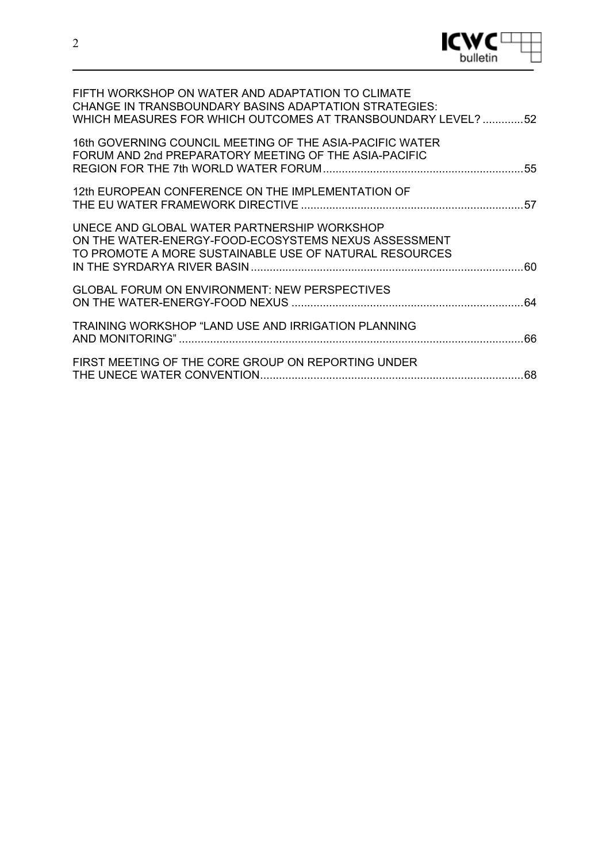

| FIFTH WORKSHOP ON WATER AND ADAPTATION TO CLIMATE<br><b>CHANGE IN TRANSBOUNDARY BASINS ADAPTATION STRATEGIES:</b><br>WHICH MEASURES FOR WHICH OUTCOMES AT TRANSBOUNDARY LEVEL?  52 |  |
|------------------------------------------------------------------------------------------------------------------------------------------------------------------------------------|--|
| 16th GOVERNING COUNCIL MEETING OF THE ASIA-PACIFIC WATER<br>FORUM AND 2nd PREPARATORY MEETING OF THE ASIA-PACIFIC                                                                  |  |
| 12th EUROPEAN CONFERENCE ON THE IMPLEMENTATION OF                                                                                                                                  |  |
| UNECE AND GLOBAL WATER PARTNERSHIP WORKSHOP<br>ON THE WATER-ENERGY-FOOD-ECOSYSTEMS NEXUS ASSESSMENT<br>TO PROMOTE A MORE SUSTAINABLE USE OF NATURAL RESOURCES                      |  |
| <b>GLOBAL FORUM ON ENVIRONMENT: NEW PERSPECTIVES</b>                                                                                                                               |  |
| TRAINING WORKSHOP "LAND USE AND IRRIGATION PLANNING                                                                                                                                |  |
| FIRST MEETING OF THE CORE GROUP ON REPORTING UNDER                                                                                                                                 |  |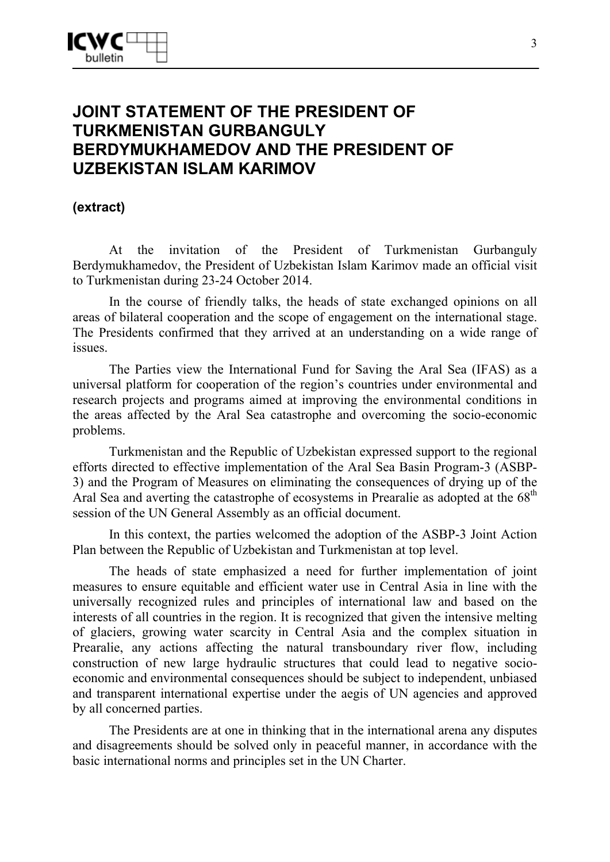# **JOINT STATEMENT OF THE PRESIDENT OF TURKMENISTAN GURBANGULY BERDYMUKHAMEDOV AND THE PRESIDENT OF UZBEKISTAN ISLAM KARIMOV**

### **(extract)**

At the invitation of the President of Turkmenistan Gurbanguly Berdymukhamedov, the President of Uzbekistan Islam Karimov made an official visit to Turkmenistan during 23-24 October 2014.

In the course of friendly talks, the heads of state exchanged opinions on all areas of bilateral cooperation and the scope of engagement on the international stage. The Presidents confirmed that they arrived at an understanding on a wide range of issues.

The Parties view the International Fund for Saving the Aral Sea (IFAS) as a universal platform for cooperation of the region's countries under environmental and research projects and programs aimed at improving the environmental conditions in the areas affected by the Aral Sea catastrophe and overcoming the socio-economic problems.

Turkmenistan and the Republic of Uzbekistan expressed support to the regional efforts directed to effective implementation of the Aral Sea Basin Program-3 (ASBP-3) and the Program of Measures on eliminating the consequences of drying up of the Aral Sea and averting the catastrophe of ecosystems in Prearalie as adopted at the  $68<sup>th</sup>$ session of the UN General Assembly as an official document.

In this context, the parties welcomed the adoption of the ASBP-3 Joint Action Plan between the Republic of Uzbekistan and Turkmenistan at top level.

The heads of state emphasized a need for further implementation of joint measures to ensure equitable and efficient water use in Central Asia in line with the universally recognized rules and principles of international law and based on the interests of all countries in the region. It is recognized that given the intensive melting of glaciers, growing water scarcity in Central Asia and the complex situation in Prearalie, any actions affecting the natural transboundary river flow, including construction of new large hydraulic structures that could lead to negative socioeconomic and environmental consequences should be subject to independent, unbiased and transparent international expertise under the aegis of UN agencies and approved by all concerned parties.

The Presidents are at one in thinking that in the international arena any disputes and disagreements should be solved only in peaceful manner, in accordance with the basic international norms and principles set in the UN Charter.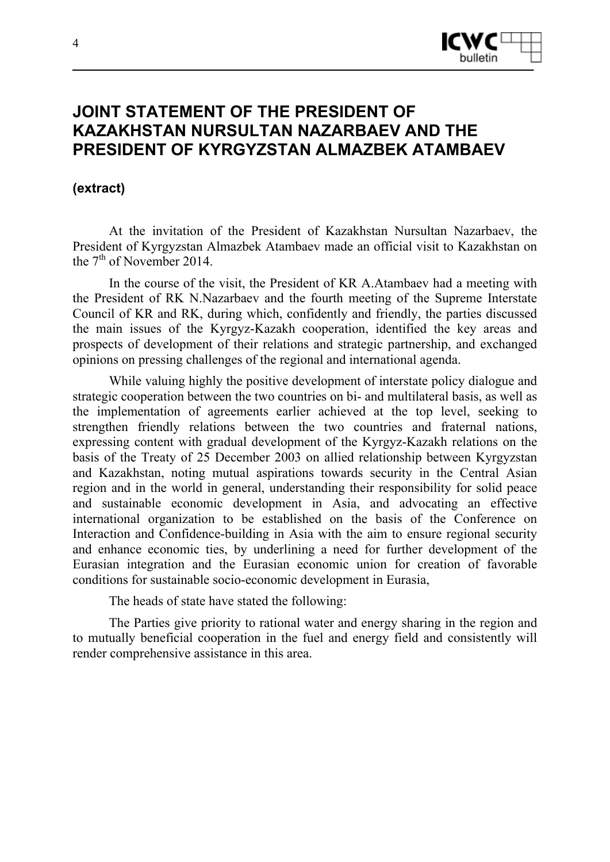

# **JOINT STATEMENT OF THE PRESIDENT OF KAZAKHSTAN NURSULTAN NAZARBAEV AND THE PRESIDENT OF KYRGYZSTAN ALMAZBEK ATAMBAEV**

### **(extract)**

At the invitation of the President of Kazakhstan Nursultan Nazarbaev, the President of Kyrgyzstan Almazbek Atambaev made an official visit to Kazakhstan on the  $7<sup>th</sup>$  of November 2014.

In the course of the visit, the President of KR A.Atambaev had a meeting with the President of RK N.Nazarbaev and the fourth meeting of the Supreme Interstate Council of KR and RK, during which, confidently and friendly, the parties discussed the main issues of the Kyrgyz-Kazakh cooperation, identified the key areas and prospects of development of their relations and strategic partnership, and exchanged opinions on pressing challenges of the regional and international agenda.

While valuing highly the positive development of interstate policy dialogue and strategic cooperation between the two countries on bi- and multilateral basis, as well as the implementation of agreements earlier achieved at the top level, seeking to strengthen friendly relations between the two countries and fraternal nations, expressing content with gradual development of the Kyrgyz-Kazakh relations on the basis of the Treaty of 25 December 2003 on allied relationship between Kyrgyzstan and Kazakhstan, noting mutual aspirations towards security in the Central Asian region and in the world in general, understanding their responsibility for solid peace and sustainable economic development in Asia, and advocating an effective international organization to be established on the basis of the Conference on Interaction and Confidence-building in Asia with the aim to ensure regional security and enhance economic ties, by underlining a need for further development of the Eurasian integration and the Eurasian economic union for creation of favorable conditions for sustainable socio-economic development in Eurasia,

The heads of state have stated the following:

The Parties give priority to rational water and energy sharing in the region and to mutually beneficial cooperation in the fuel and energy field and consistently will render comprehensive assistance in this area.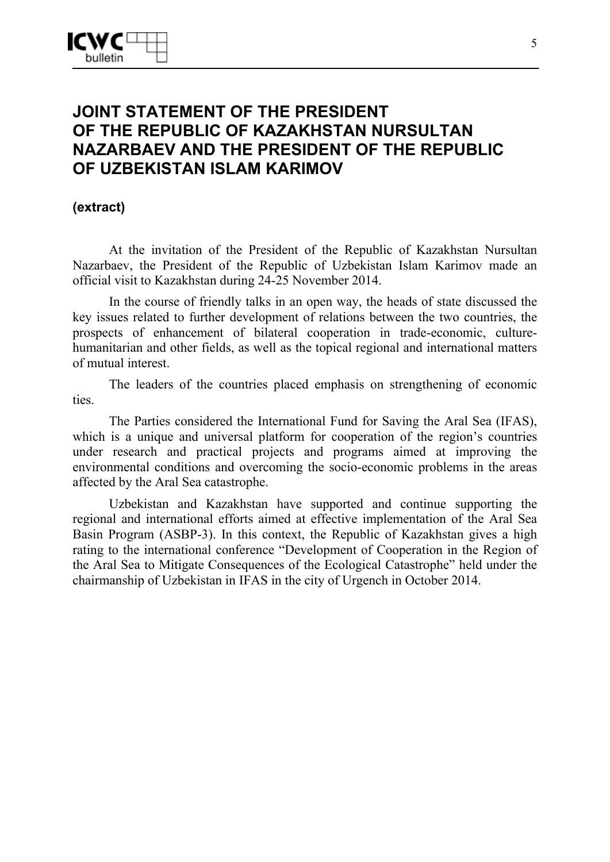# **JOINT STATEMENT OF THE PRESIDENT OF THE REPUBLIC OF KAZAKHSTAN NURSULTAN NAZARBAEV AND THE PRESIDENT OF THE REPUBLIC OF UZBEKISTAN ISLAM KARIMOV**

**(extract)** 

At the invitation of the President of the Republic of Kazakhstan Nursultan Nazarbaev, the President of the Republic of Uzbekistan Islam Karimov made an official visit to Kazakhstan during 24-25 November 2014.

In the course of friendly talks in an open way, the heads of state discussed the key issues related to further development of relations between the two countries, the prospects of enhancement of bilateral cooperation in trade-economic, culturehumanitarian and other fields, as well as the topical regional and international matters of mutual interest.

The leaders of the countries placed emphasis on strengthening of economic ties.

The Parties considered the International Fund for Saving the Aral Sea (IFAS), which is a unique and universal platform for cooperation of the region's countries under research and practical projects and programs aimed at improving the environmental conditions and overcoming the socio-economic problems in the areas affected by the Aral Sea catastrophe.

Uzbekistan and Kazakhstan have supported and continue supporting the regional and international efforts aimed at effective implementation of the Aral Sea Basin Program (ASBP-3). In this context, the Republic of Kazakhstan gives a high rating to the international conference "Development of Cooperation in the Region of the Aral Sea to Mitigate Consequences of the Ecological Catastrophe" held under the chairmanship of Uzbekistan in IFAS in the city of Urgench in October 2014.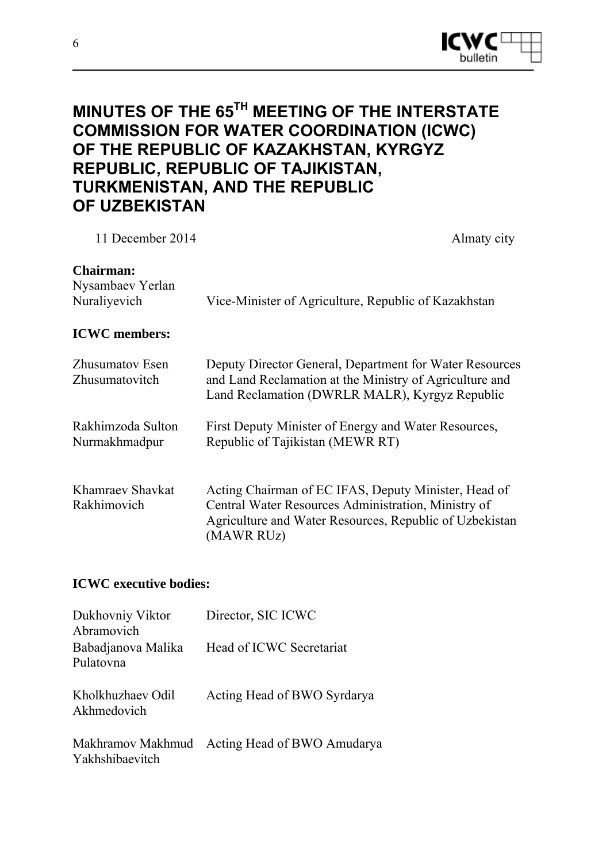

# **MINUTES OF THE 65TH MEETING OF THE INTERSTATE COMMISSION FOR WATER COORDINATION (ICWC) OF THE REPUBLIC OF KAZAKHSTAN, KYRGYZ REPUBLIC, REPUBLIC OF TAJIKISTAN, TURKMENISTAN, AND THE REPUBLIC OF UZBEKISTAN**

| 11 December 2014                                     | Almaty city                                                                                                                                                                          |
|------------------------------------------------------|--------------------------------------------------------------------------------------------------------------------------------------------------------------------------------------|
| <b>Chairman:</b><br>Nysambaev Yerlan<br>Nuraliyevich | Vice-Minister of Agriculture, Republic of Kazakhstan                                                                                                                                 |
| <b>ICWC</b> members:                                 |                                                                                                                                                                                      |
| <b>Zhusumatov Esen</b><br>Zhusumatovitch             | Deputy Director General, Department for Water Resources<br>and Land Reclamation at the Ministry of Agriculture and<br>Land Reclamation (DWRLR MALR), Kyrgyz Republic                 |
| Rakhimzoda Sulton<br>Nurmakhmadpur                   | First Deputy Minister of Energy and Water Resources,<br>Republic of Tajikistan (MEWR RT)                                                                                             |
| Khamraev Shavkat<br>Rakhimovich                      | Acting Chairman of EC IFAS, Deputy Minister, Head of<br>Central Water Resources Administration, Ministry of<br>Agriculture and Water Resources, Republic of Uzbekistan<br>(MAWR RUZ) |

#### **ICWC executive bodies:**

| Dukhovniy Viktor<br>Abramovich   | Director, SIC ICWC                            |
|----------------------------------|-----------------------------------------------|
| Babadjanova Malika<br>Pulatovna  | Head of ICWC Secretariat                      |
| Kholkhuzhaev Odil<br>Akhmedovich | Acting Head of BWO Syrdarya                   |
| Yakhshibaevitch                  | Makhramov Makhmud Acting Head of BWO Amudarya |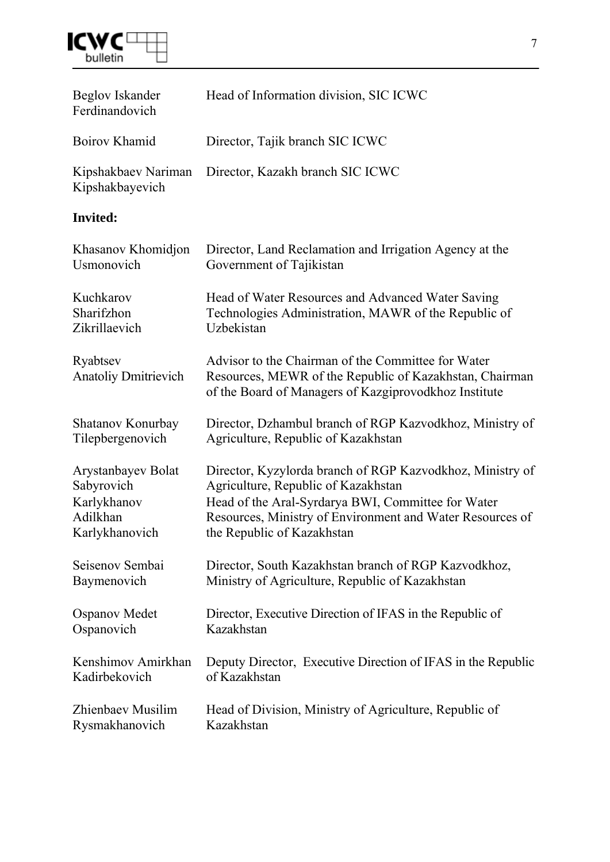

| Beglov Iskander<br>Ferdinandovich       | Head of Information division, SIC ICWC                                                                                                                                 |
|-----------------------------------------|------------------------------------------------------------------------------------------------------------------------------------------------------------------------|
| Boirov Khamid                           | Director, Tajik branch SIC ICWC                                                                                                                                        |
| Kipshakbaev Nariman<br>Kipshakbayevich  | Director, Kazakh branch SIC ICWC                                                                                                                                       |
| <b>Invited:</b>                         |                                                                                                                                                                        |
| Khasanov Khomidjon                      | Director, Land Reclamation and Irrigation Agency at the                                                                                                                |
| Usmonovich                              | Government of Tajikistan                                                                                                                                               |
| Kuchkarov                               | Head of Water Resources and Advanced Water Saving                                                                                                                      |
| Sharifzhon                              | Technologies Administration, MAWR of the Republic of                                                                                                                   |
| Zikrillaevich                           | Uzbekistan                                                                                                                                                             |
| Ryabtsev<br><b>Anatoliy Dmitrievich</b> | Advisor to the Chairman of the Committee for Water<br>Resources, MEWR of the Republic of Kazakhstan, Chairman<br>of the Board of Managers of Kazgiprovodkhoz Institute |
| Shatanov Konurbay                       | Director, Dzhambul branch of RGP Kazvodkhoz, Ministry of                                                                                                               |
| Tilepbergenovich                        | Agriculture, Republic of Kazakhstan                                                                                                                                    |
| Arystanbayev Bolat                      | Director, Kyzylorda branch of RGP Kazvodkhoz, Ministry of                                                                                                              |
| Sabyrovich                              | Agriculture, Republic of Kazakhstan                                                                                                                                    |
| Karlykhanov                             | Head of the Aral-Syrdarya BWI, Committee for Water                                                                                                                     |
| Adilkhan                                | Resources, Ministry of Environment and Water Resources of                                                                                                              |
| Karlykhanovich                          | the Republic of Kazakhstan                                                                                                                                             |
| Seisenov Sembai                         | Director, South Kazakhstan branch of RGP Kazvodkhoz,                                                                                                                   |
| Baymenovich                             | Ministry of Agriculture, Republic of Kazakhstan                                                                                                                        |
| <b>Ospanov Medet</b>                    | Director, Executive Direction of IFAS in the Republic of                                                                                                               |
| Ospanovich                              | Kazakhstan                                                                                                                                                             |
| Kenshimov Amirkhan                      | Deputy Director, Executive Direction of IFAS in the Republic                                                                                                           |
| Kadirbekovich                           | of Kazakhstan                                                                                                                                                          |
| Zhienbaev Musilim                       | Head of Division, Ministry of Agriculture, Republic of                                                                                                                 |
| Rysmakhanovich                          | Kazakhstan                                                                                                                                                             |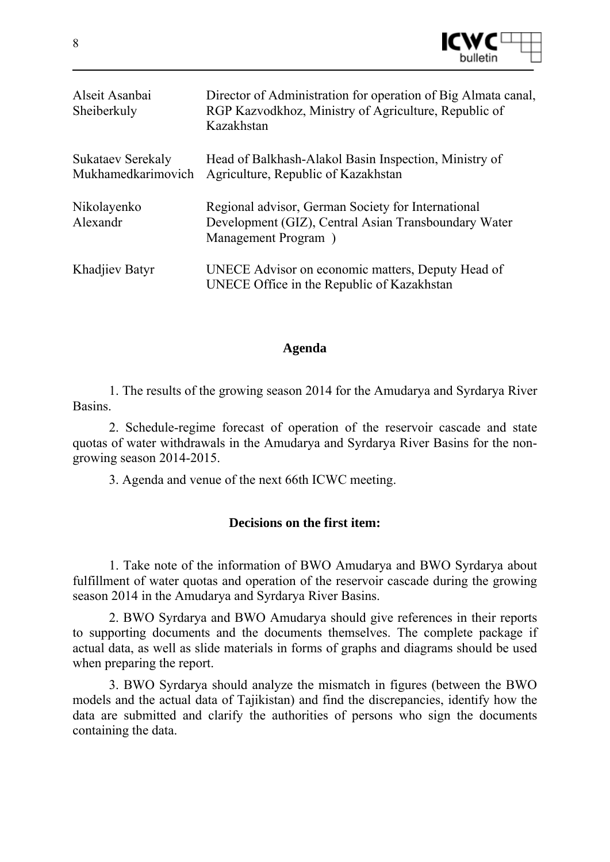

| Alseit Asanbai<br>Sheiberkuly                  | Director of Administration for operation of Big Almata canal,<br>RGP Kazvodkhoz, Ministry of Agriculture, Republic of<br>Kazakhstan |
|------------------------------------------------|-------------------------------------------------------------------------------------------------------------------------------------|
| <b>Sukataev Serekaly</b><br>Mukhamedkarimovich | Head of Balkhash-Alakol Basin Inspection, Ministry of<br>Agriculture, Republic of Kazakhstan                                        |
| Nikolayenko<br>Alexandr                        | Regional advisor, German Society for International<br>Development (GIZ), Central Asian Transboundary Water<br>Management Program)   |
| Khadjiev Batyr                                 | UNECE Advisor on economic matters, Deputy Head of<br>UNECE Office in the Republic of Kazakhstan                                     |

#### **Agenda**

1. The results of the growing season 2014 for the Amudarya and Syrdarya River Basins.

2. Schedule-regime forecast of operation of the reservoir cascade and state quotas of water withdrawals in the Amudarya and Syrdarya River Basins for the nongrowing season 2014-2015.

3. Agenda and venue of the next 66th ICWC meeting.

#### **Decisions on the first item:**

1. Take note of the information of BWO Amudarya and BWO Syrdarya about fulfillment of water quotas and operation of the reservoir cascade during the growing season 2014 in the Amudarya and Syrdarya River Basins.

2. BWO Syrdarya and BWO Amudarya should give references in their reports to supporting documents and the documents themselves. The complete package if actual data, as well as slide materials in forms of graphs and diagrams should be used when preparing the report.

3. BWO Syrdarya should analyze the mismatch in figures (between the BWO models and the actual data of Tajikistan) and find the discrepancies, identify how the data are submitted and clarify the authorities of persons who sign the documents containing the data.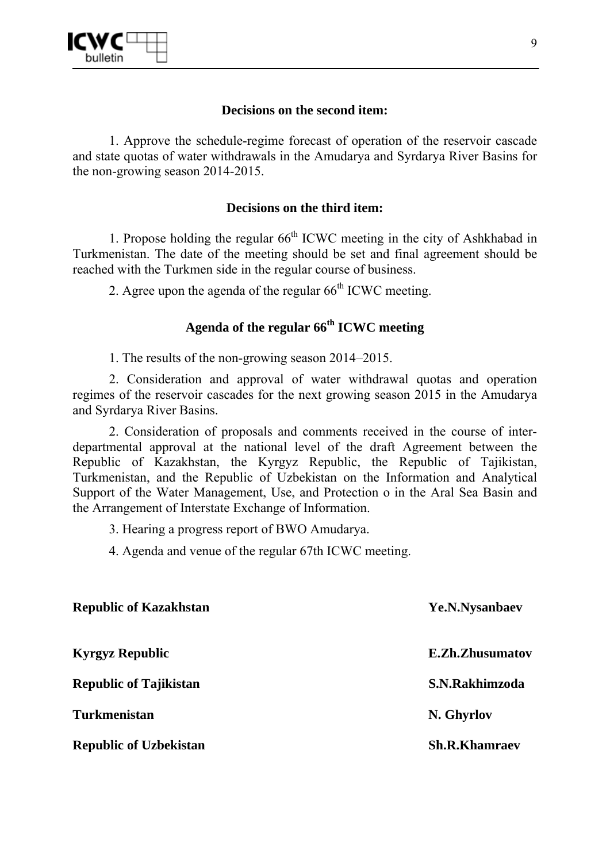

### **Decisions on the second item:**

1. Approve the schedule-regime forecast of operation of the reservoir cascade and state quotas of water withdrawals in the Amudarya and Syrdarya River Basins for the non-growing season 2014-2015.

### **Decisions on the third item:**

1. Propose holding the regular  $66<sup>th</sup>$  ICWC meeting in the city of Ashkhabad in Turkmenistan. The date of the meeting should be set and final agreement should be reached with the Turkmen side in the regular course of business.

2. Agree upon the agenda of the regular  $66<sup>th</sup>$  ICWC meeting.

### **Agenda of the regular 66th ICWC meeting**

1. The results of the non-growing season 2014–2015.

2. Consideration and approval of water withdrawal quotas and operation regimes of the reservoir cascades for the next growing season 2015 in the Amudarya and Syrdarya River Basins.

2. Consideration of proposals and comments received in the course of interdepartmental approval at the national level of the draft Agreement between the Republic of Kazakhstan, the Kyrgyz Republic, the Republic of Tajikistan, Turkmenistan, and the Republic of Uzbekistan on the Information and Analytical Support of the Water Management, Use, and Protection o in the Aral Sea Basin and the Arrangement of Interstate Exchange of Information.

3. Hearing a progress report of BWO Amudarya.

4. Agenda and venue of the regular 67th ICWC meeting.

| <b>Republic of Kazakhstan</b> | Ye.N.Nysanbaev         |
|-------------------------------|------------------------|
| <b>Kyrgyz Republic</b>        | <b>E.Zh.Zhusumatov</b> |
| <b>Republic of Tajikistan</b> | S.N.Rakhimzoda         |
| <b>Turkmenistan</b>           | N. Ghyrlov             |
| <b>Republic of Uzbekistan</b> | <b>Sh.R.Khamraev</b>   |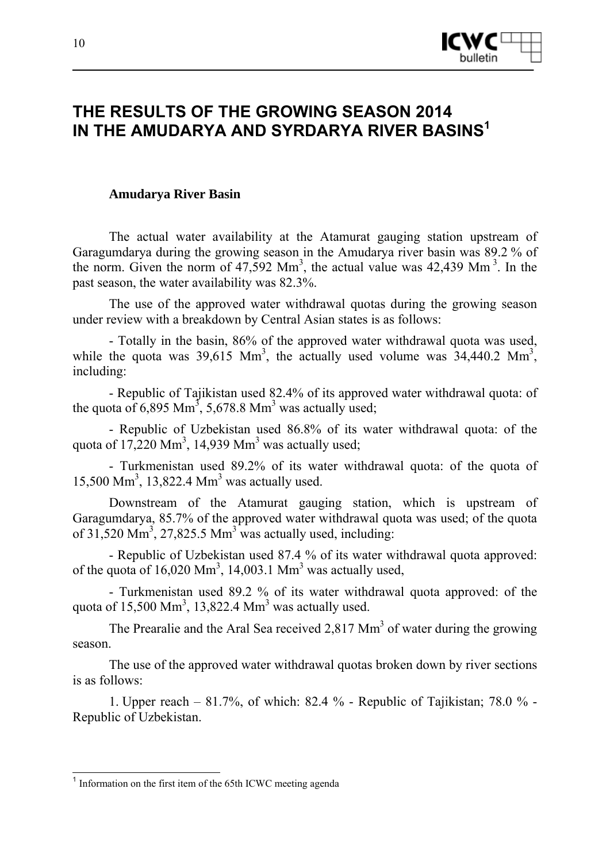

# **THE RESULTS OF THE GROWING SEASON 2014 IN THE AMUDARYA AND SYRDARYA RIVER BASINS1**

#### **Amudarya River Basin**

The actual water availability at the Atamurat gauging station upstream of Garagumdarya during the growing season in the Amudarya river basin was 89.2 % of the norm. Given the norm of  $47,592$  Mm<sup>3</sup>, the actual value was  $42,439$  Mm<sup>3</sup>. In the past season, the water availability was 82.3%.

The use of the approved water withdrawal quotas during the growing season under review with a breakdown by Central Asian states is as follows:

- Totally in the basin, 86% of the approved water withdrawal quota was used, while the quota was  $39,615$  Mm<sup>3</sup>, the actually used volume was  $34,440.2$  Mm<sup>3</sup>, including:

- Republic of Tajikistan used 82.4% of its approved water withdrawal quota: of the quota of 6,895 Mm<sup>3</sup>, 5,678.8 Mm<sup>3</sup> was actually used;

- Republic of Uzbekistan used 86.8% of its water withdrawal quota: of the quota of 17,220 Mm<sup>3</sup>, 14,939 Mm<sup>3</sup> was actually used;

- Turkmenistan used 89.2% of its water withdrawal quota: of the quota of 15,500 Mm<sup>3</sup>, 13,822.4 Mm<sup>3</sup> was actually used.

Downstream of the Atamurat gauging station, which is upstream of Garagumdarya, 85.7% of the approved water withdrawal quota was used; of the quota of  $31,520$  Mm<sup>3</sup>,  $27,825.5$  Mm<sup>3</sup> was actually used, including:

- Republic of Uzbekistan used 87.4 % of its water withdrawal quota approved: of the quota of  $16,020$  Mm<sup>3</sup>, 14,003.1 Mm<sup>3</sup> was actually used,

- Turkmenistan used 89.2 % of its water withdrawal quota approved: of the quota of  $15,500 \text{ Mm}^3$ , 13,822.4 Mm<sup>3</sup> was actually used.

The Prearalie and the Aral Sea received 2,817  $\text{Mm}^3$  of water during the growing season.

The use of the approved water withdrawal quotas broken down by river sections is as follows:

1. Upper reach – 81.7%, of which: 82.4 % - Republic of Tajikistan; 78.0 % - Republic of Uzbekistan.

-

 $<sup>1</sup>$  Information on the first item of the 65th ICWC meeting agenda</sup>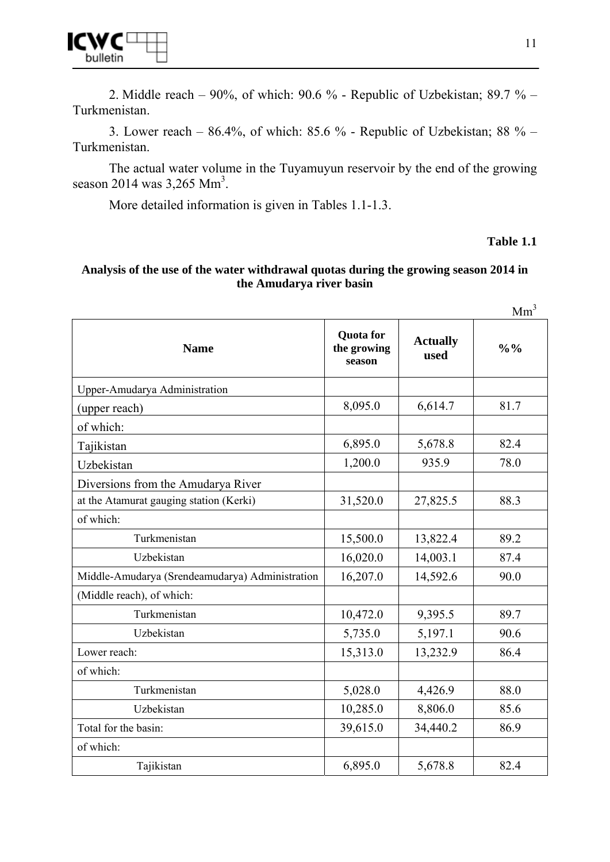

2. Middle reach – 90%, of which: 90.6 % - Republic of Uzbekistan; 89.7 % – Turkmenistan.

3. Lower reach –  $86.4\%$ , of which:  $85.6\%$  - Republic of Uzbekistan;  $88\%$  – Turkmenistan.

The actual water volume in the Tuyamuyun reservoir by the end of the growing season 2014 was  $3,265$  Mm<sup>3</sup>.

More detailed information is given in Tables 1.1-1.3.

#### **Table 1.1**

#### **Analysis of the use of the water withdrawal quotas during the growing season 2014 in the Amudarya river basin**

 $Mm<sup>3</sup>$ 

| <b>Name</b>                                     | <b>Quota</b> for<br>the growing<br>season | <b>Actually</b><br>used | $\frac{0}{0}$ % |
|-------------------------------------------------|-------------------------------------------|-------------------------|-----------------|
| Upper-Amudarya Administration                   |                                           |                         |                 |
| (upper reach)                                   | 8,095.0                                   | 6,614.7                 | 81.7            |
| of which:                                       |                                           |                         |                 |
| Tajikistan                                      | 6,895.0                                   | 5,678.8                 | 82.4            |
| Uzbekistan                                      | 1,200.0                                   | 935.9                   | 78.0            |
| Diversions from the Amudarya River              |                                           |                         |                 |
| at the Atamurat gauging station (Kerki)         | 31,520.0                                  | 27,825.5                | 88.3            |
| of which:                                       |                                           |                         |                 |
| Turkmenistan                                    | 15,500.0                                  | 13,822.4                | 89.2            |
| Uzbekistan                                      | 16,020.0                                  | 14,003.1                | 87.4            |
| Middle-Amudarya (Srendeamudarya) Administration | 16,207.0                                  | 14,592.6                | 90.0            |
| (Middle reach), of which:                       |                                           |                         |                 |
| Turkmenistan                                    | 10,472.0                                  | 9,395.5                 | 89.7            |
| Uzbekistan                                      | 5,735.0                                   | 5,197.1                 | 90.6            |
| Lower reach:                                    | 15,313.0                                  | 13,232.9                | 86.4            |
| of which:                                       |                                           |                         |                 |
| Turkmenistan                                    | 5,028.0                                   | 4,426.9                 | 88.0            |
| Uzbekistan                                      | 10,285.0                                  | 8,806.0                 | 85.6            |
| Total for the basin:                            | 39,615.0                                  | 34,440.2                | 86.9            |
| of which:                                       |                                           |                         |                 |
| Tajikistan                                      | 6,895.0                                   | 5,678.8                 | 82.4            |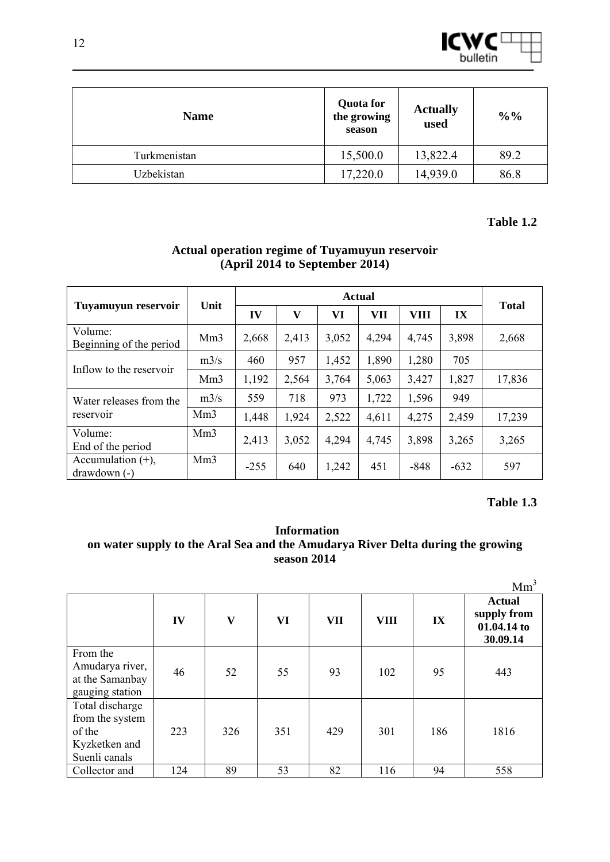

| <b>Name</b>  | <b>Quota</b> for<br>the growing<br>season | <b>Actually</b><br>used | $\frac{0}{0}$ % |
|--------------|-------------------------------------------|-------------------------|-----------------|
| Turkmenistan | 15,500.0                                  | 13,822.4                | 89.2            |
| Uzbekistan   | 17,220.0                                  | 14,939.0                | 86.8            |

#### **Table 1.2**

|                                      |                 | <b>Actual</b> |                         |       |       |             |        |              |
|--------------------------------------|-----------------|---------------|-------------------------|-------|-------|-------------|--------|--------------|
| <b>Tuyamuyun reservoir</b>           | Unit            | IV            | $\overline{\mathbf{V}}$ | VI    | VII   | <b>VIII</b> | IX     | <b>Total</b> |
| Volume:<br>Beginning of the period   | Mm <sub>3</sub> | 2,668         | 2,413                   | 3,052 | 4,294 | 4,745       | 3,898  | 2,668        |
| Inflow to the reservoir              | m3/s            | 460           | 957                     | 1,452 | 1,890 | 1,280       | 705    |              |
|                                      | Mm <sub>3</sub> | 1,192         | 2,564                   | 3,764 | 5,063 | 3,427       | 1,827  | 17,836       |
| Water releases from the              | m3/s            | 559           | 718                     | 973   | 1,722 | 1,596       | 949    |              |
| reservoir                            | Mm <sub>3</sub> | 1,448         | 1,924                   | 2,522 | 4,611 | 4,275       | 2,459  | 17,239       |
| Volume:<br>End of the period         | Mm <sub>3</sub> | 2,413         | 3,052                   | 4,294 | 4,745 | 3,898       | 3,265  | 3,265        |
| Accumulation $(+)$ ,<br>drawdown (-) | Mm <sub>3</sub> | $-255$        | 640                     | 1,242 | 451   | $-848$      | $-632$ | 597          |

### **Actual operation regime of Tuyamuyun reservoir (April 2014 to September 2014)**

### **Table 1.3**

#### **Information on water supply to the Aral Sea and the Amudarya River Delta during the growing season 2014**

|                                                                                |     |              |     |            |             |               | Mm <sup>3</sup>                                         |
|--------------------------------------------------------------------------------|-----|--------------|-----|------------|-------------|---------------|---------------------------------------------------------|
|                                                                                | IV  | $\mathbf{V}$ | VI  | <b>VII</b> | <b>VIII</b> | $\mathbf{IX}$ | <b>Actual</b><br>supply from<br>01.04.14 to<br>30.09.14 |
| From the<br>Amudarya river,<br>at the Samanbay<br>gauging station              | 46  | 52           | 55  | 93         | 102         | 95            | 443                                                     |
| Total discharge<br>from the system<br>of the<br>Kyzketken and<br>Suenli canals | 223 | 326          | 351 | 429        | 301         | 186           | 1816                                                    |
| Collector and                                                                  | 124 | 89           | 53  | 82         | 116         | 94            | 558                                                     |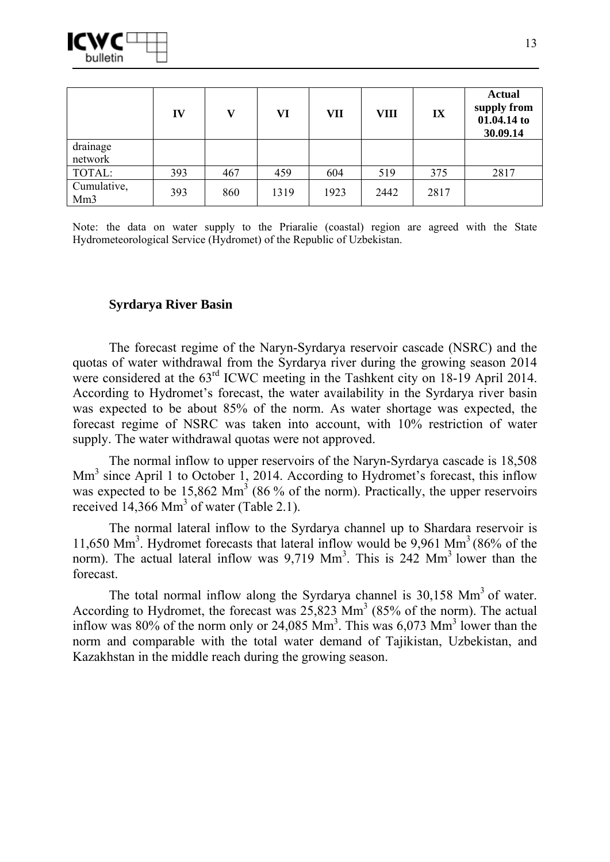

|                                | IV  | V   | VI   | VII  | <b>VIII</b> | IX   | <b>Actual</b><br>supply from<br>01.04.14 to<br>30.09.14 |
|--------------------------------|-----|-----|------|------|-------------|------|---------------------------------------------------------|
| drainage<br>network            |     |     |      |      |             |      |                                                         |
| TOTAL:                         | 393 | 467 | 459  | 604  | 519         | 375  | 2817                                                    |
| Cumulative,<br>Mm <sub>3</sub> | 393 | 860 | 1319 | 1923 | 2442        | 2817 |                                                         |

Note: the data on water supply to the Priaralie (coastal) region are agreed with the State Hydrometeorological Service (Hydromet) of the Republic of Uzbekistan.

#### **Syrdarya River Basin**

The forecast regime of the Naryn-Syrdarya reservoir cascade (NSRC) and the quotas of water withdrawal from the Syrdarya river during the growing season 2014 were considered at the  $63<sup>rd</sup>$  ICWC meeting in the Tashkent city on 18-19 April 2014. According to Hydromet's forecast, the water availability in the Syrdarya river basin was expected to be about 85% of the norm. As water shortage was expected, the forecast regime of NSRC was taken into account, with 10% restriction of water supply. The water withdrawal quotas were not approved.

The normal inflow to upper reservoirs of the Naryn-Syrdarya cascade is 18,508 Mm<sup>3</sup> since April 1 to October 1, 2014. According to Hydromet's forecast, this inflow was expected to be  $15,862$  Mm<sup>3</sup> (86 % of the norm). Practically, the upper reservoirs received  $14,366$  Mm<sup>3</sup> of water (Table 2.1).

The normal lateral inflow to the Syrdarya channel up to Shardara reservoir is 11,650 Mm<sup>3</sup>. Hydromet forecasts that lateral inflow would be 9,961 Mm<sup>3</sup> (86% of the norm). The actual lateral inflow was  $9,719$  Mm<sup>3</sup>. This is 242 Mm<sup>3</sup> lower than the forecast.

The total normal inflow along the Syrdarya channel is  $30,158$  Mm<sup>3</sup> of water. According to Hydromet, the forecast was  $25,823$  Mm<sup>3</sup> (85% of the norm). The actual inflow was  $80\%$  of the norm only or 24,085 Mm<sup>3</sup>. This was  $6,073$  Mm<sup>3</sup> lower than the norm and comparable with the total water demand of Tajikistan, Uzbekistan, and Kazakhstan in the middle reach during the growing season.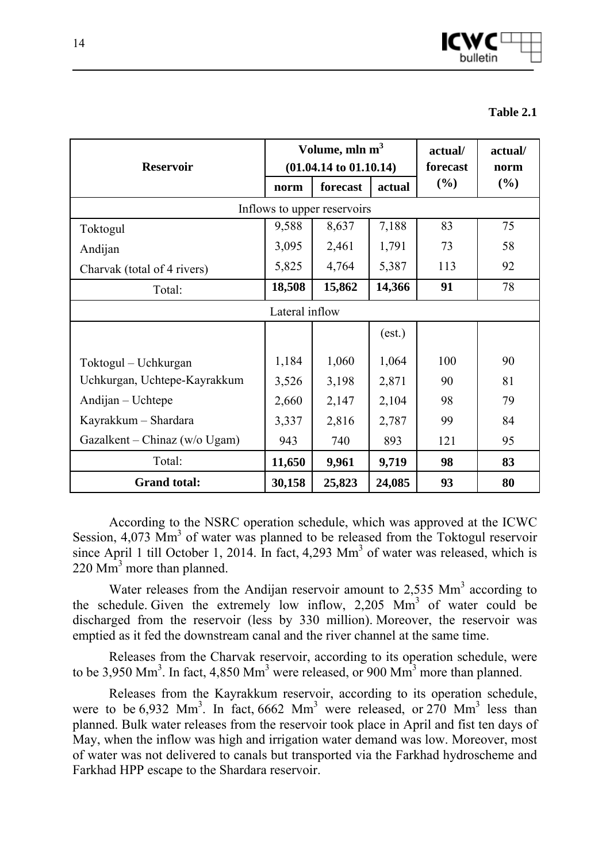

| <b>Table 2.1</b> |  |
|------------------|--|
|                  |  |

| <b>Reservoir</b>              |                | Volume, mln m <sup>3</sup><br>$(01.04.14 \text{ to } 01.10.14)$ | actual/<br>forecast | actual/<br>norm |     |
|-------------------------------|----------------|-----------------------------------------------------------------|---------------------|-----------------|-----|
|                               | norm           | forecast                                                        | actual              | (%)             | (%) |
|                               |                | Inflows to upper reservoirs                                     |                     |                 |     |
| Toktogul                      | 9,588          | 8,637                                                           | 7,188               | 83              | 75  |
| Andijan                       | 3,095          | 2,461                                                           | 1,791               | 73              | 58  |
| Charvak (total of 4 rivers)   | 5,825          | 4,764                                                           | 5,387               | 113             | 92  |
| Total:                        | 18,508         | 15,862                                                          | 14,366              | 91              | 78  |
|                               | Lateral inflow |                                                                 |                     |                 |     |
|                               |                |                                                                 | (est.)              |                 |     |
| Toktogul – Uchkurgan          | 1,184          | 1,060                                                           | 1,064               | 100             | 90  |
| Uchkurgan, Uchtepe-Kayrakkum  | 3,526          | 3,198                                                           | 2,871               | 90              | 81  |
| Andijan – Uchtepe             | 2,660          | 2,147                                                           | 2,104               | 98              | 79  |
| Kayrakkum – Shardara          | 3,337          | 2,816                                                           | 2,787               | 99              | 84  |
| Gazalkent – Chinaz (w/o Ugam) | 943            | 740                                                             | 893                 | 121             | 95  |
| Total:                        | 11,650         | 9,961                                                           | 9,719               | 98              | 83  |
| <b>Grand total:</b>           | 30,158         | 25,823                                                          | 24,085              | 93              | 80  |

According to the NSRC operation schedule, which was approved at the ICWC Session,  $4,073$  Mm<sup>3</sup> of water was planned to be released from the Toktogul reservoir since April 1 till October 1, 2014. In fact,  $4,293$  Mm<sup>3</sup> of water was released, which is 220 Mm<sup>3</sup> more than planned.

Water releases from the Andijan reservoir amount to  $2,535$  Mm<sup>3</sup> according to the schedule. Given the extremely low inflow,  $2,205$  Mm<sup>3</sup> of water could be discharged from the reservoir (less by 330 million). Moreover, the reservoir was emptied as it fed the downstream canal and the river channel at the same time.

Releases from the Charvak reservoir, according to its operation schedule, were to be 3,950 Mm<sup>3</sup>. In fact, 4,850 Mm<sup>3</sup> were released, or 900 Mm<sup>3</sup> more than planned.

Releases from the Kayrakkum reservoir, according to its operation schedule, were to be  $6.932$  Mm<sup>3</sup>. In fact,  $6662$  Mm<sup>3</sup> were released, or  $270$  Mm<sup>3</sup> less than planned. Bulk water releases from the reservoir took place in April and fist ten days of May, when the inflow was high and irrigation water demand was low. Moreover, most of water was not delivered to canals but transported via the Farkhad hydroscheme and Farkhad HPP escape to the Shardara reservoir.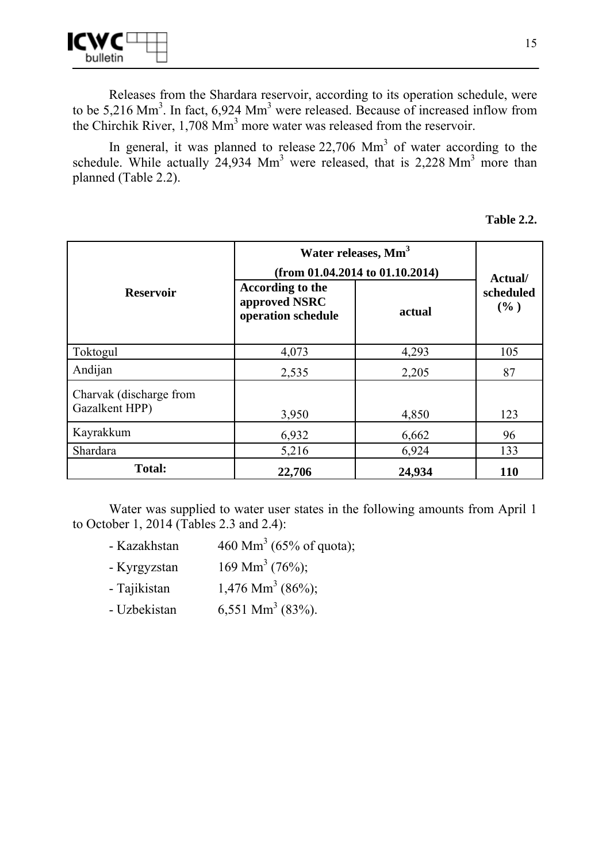

Releases from the Shardara reservoir, according to its operation schedule, were to be  $5,216$  Mm<sup>3</sup>. In fact,  $6,924$  Mm<sup>3</sup> were released. Because of increased inflow from the Chirchik River,  $1,708$  Mm<sup>3</sup> more water was released from the reservoir.

In general, it was planned to release  $22,706$  Mm<sup>3</sup> of water according to the schedule. While actually  $24,934$  Mm<sup>3</sup> were released, that is 2,228 Mm<sup>3</sup> more than planned (Table 2.2).

| <b>Table 2.2.</b> |  |
|-------------------|--|
|-------------------|--|

|                                           | Water releases, Mm <sup>3</sup>                         |                                      |                             |  |  |  |
|-------------------------------------------|---------------------------------------------------------|--------------------------------------|-----------------------------|--|--|--|
|                                           |                                                         | (from $01.04.2014$ to $01.10.2014$ ) |                             |  |  |  |
| <b>Reservoir</b>                          | According to the<br>approved NSRC<br>operation schedule | actual                               | Actual/<br>scheduled<br>(%) |  |  |  |
| Toktogul                                  | 4,073                                                   | 4,293                                | 105                         |  |  |  |
| Andijan                                   | 2,535                                                   | 2,205                                | 87                          |  |  |  |
| Charvak (discharge from<br>Gazalkent HPP) | 3,950                                                   | 4,850                                | 123                         |  |  |  |
| Kayrakkum                                 | 6,932                                                   | 6,662                                | 96                          |  |  |  |
| Shardara                                  | 5,216                                                   | 6,924                                | 133                         |  |  |  |
| <b>Total:</b>                             | 22,706                                                  | 24,934                               | <b>110</b>                  |  |  |  |

Water was supplied to water user states in the following amounts from April 1 to October 1, 2014 (Tables 2.3 and 2.4):

- Kazakhstan 460 Mm<sup>3</sup> (65% of quota);
- Kyrgyzstan  $169$  Mm<sup>3</sup> (76%);
- Tajikistan  $1.476$  Mm<sup>3</sup> (86%);
- Uzbekistan  $6,551$  Mm<sup>3</sup> (83%).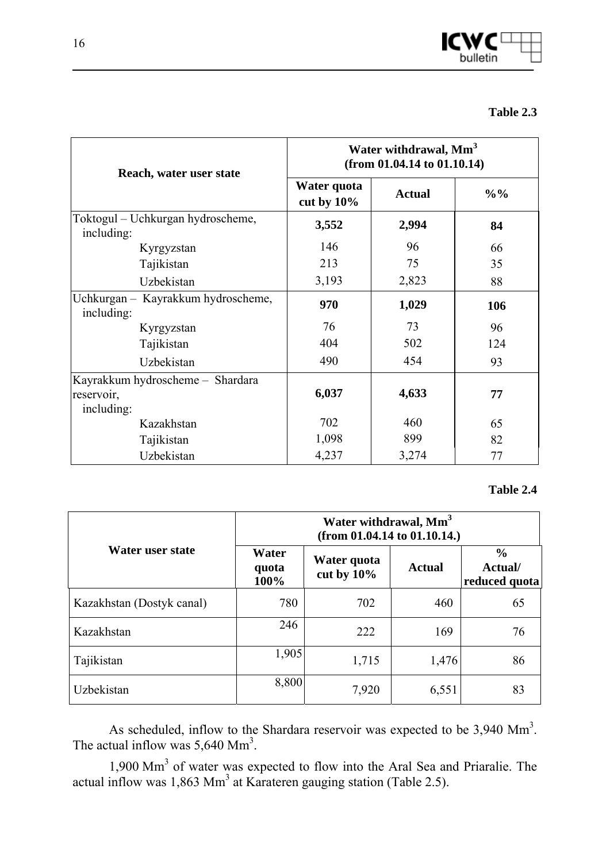

| Reach, water user state                          | Water withdrawal, Mm <sup>3</sup><br>(from $01.04.14$ to $01.10.14$ ) |               |                 |  |  |  |
|--------------------------------------------------|-----------------------------------------------------------------------|---------------|-----------------|--|--|--|
|                                                  | Water quota<br>cut by $10\%$                                          | <b>Actual</b> | $\frac{0}{0}$ % |  |  |  |
| Toktogul – Uchkurgan hydroscheme,<br>including:  | 3,552                                                                 | 2,994         | 84              |  |  |  |
| Kyrgyzstan                                       | 146                                                                   | 96            | 66              |  |  |  |
| Tajikistan                                       | 213                                                                   | 75            | 35              |  |  |  |
| Uzbekistan                                       | 3,193                                                                 | 2,823         | 88              |  |  |  |
| Uchkurgan - Kayrakkum hydroscheme,<br>including: | 970                                                                   | 1,029         | 106             |  |  |  |
| Kyrgyzstan                                       | 76                                                                    | 73            | 96              |  |  |  |
| Tajikistan                                       | 404                                                                   | 502           | 124             |  |  |  |
| Uzbekistan                                       | 490                                                                   | 454           | 93              |  |  |  |
| Kayrakkum hydroscheme - Shardara                 |                                                                       |               |                 |  |  |  |
| reservoir,                                       | 6,037                                                                 | 4,633         | 77              |  |  |  |
| including:                                       |                                                                       |               |                 |  |  |  |
| Kazakhstan                                       | 702                                                                   | 460           | 65              |  |  |  |
| Tajikistan                                       | 1,098                                                                 | 899           | 82              |  |  |  |
| Uzbekistan                                       | 4,237                                                                 | 3,274         | 77              |  |  |  |

#### **Table 2.4**

|                           | Water withdrawal, Mm <sup>3</sup><br>(from $01.04.14$ to $01.10.14$ .) |                              |               |                                           |  |  |  |
|---------------------------|------------------------------------------------------------------------|------------------------------|---------------|-------------------------------------------|--|--|--|
| Water user state          | Water<br>quota<br>100%                                                 | Water quota<br>cut by $10\%$ | <b>Actual</b> | $\frac{0}{0}$<br>Actual/<br>reduced quota |  |  |  |
| Kazakhstan (Dostyk canal) | 780                                                                    | 702                          | 460           | 65                                        |  |  |  |
| Kazakhstan                | 246                                                                    | 222                          | 169           | 76                                        |  |  |  |
| Tajikistan                | 1,905                                                                  | 1,715                        | 1,476         | 86                                        |  |  |  |
| Uzbekistan                | 8,800                                                                  | 7,920                        | 6,551         | 83                                        |  |  |  |

As scheduled, inflow to the Shardara reservoir was expected to be  $3,940$  Mm<sup>3</sup>. The actual inflow was  $5,640$  Mm<sup>3</sup>.

1,900 Mm<sup>3</sup> of water was expected to flow into the Aral Sea and Priaralie. The actual inflow was  $1,863$  Mm<sup>3</sup> at Karateren gauging station (Table 2.5).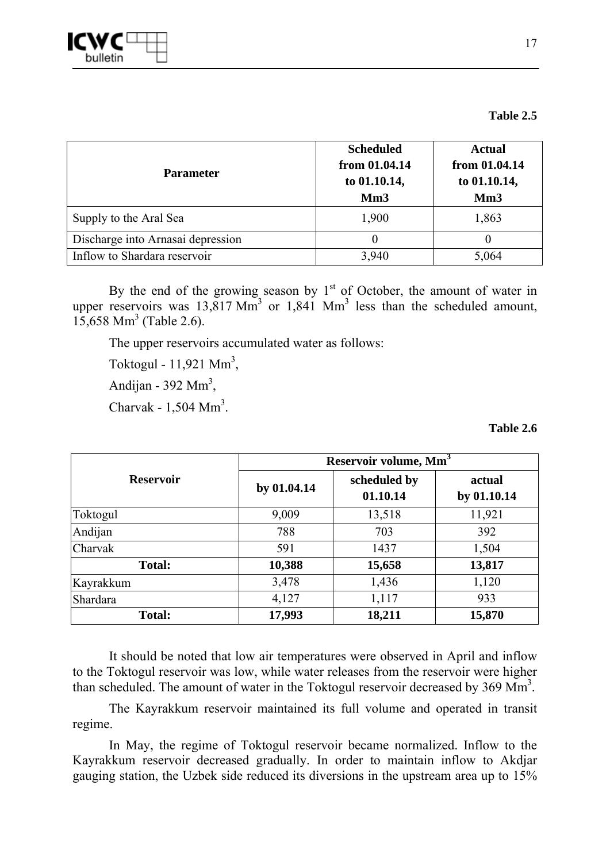

| <b>Parameter</b>                  | <b>Scheduled</b><br>from 01.04.14<br>to 01.10.14,<br>Mm <sub>3</sub> | <b>Actual</b><br>from 01.04.14<br>to 01.10.14,<br>Mm <sub>3</sub> |
|-----------------------------------|----------------------------------------------------------------------|-------------------------------------------------------------------|
| Supply to the Aral Sea            | 1,900                                                                | 1,863                                                             |
| Discharge into Arnasai depression |                                                                      | $_{0}$                                                            |
| Inflow to Shardara reservoir      | 3,940                                                                | 5,064                                                             |

By the end of the growing season by  $1<sup>st</sup>$  of October, the amount of water in upper reservoirs was  $13,817$  Mm<sup>3</sup> or  $1,841$  Mm<sup>3</sup> less than the scheduled amount,  $15,658$  Mm<sup>3</sup> (Table 2.6).

The upper reservoirs accumulated water as follows:

Toktogul -  $11,921$  Mm<sup>3</sup>,

Andijan - 392 Mm<sup>3</sup>,

Charvak -  $1,504$  Mm<sup>3</sup>.

**Table 2.6** 

|                  | Reservoir volume, Mm <sup>3</sup> |                          |                       |  |  |  |
|------------------|-----------------------------------|--------------------------|-----------------------|--|--|--|
| <b>Reservoir</b> | by 01.04.14                       | scheduled by<br>01.10.14 | actual<br>by 01.10.14 |  |  |  |
| Toktogul         | 9,009                             | 13,518                   | 11,921                |  |  |  |
| Andijan          | 788                               | 703                      | 392                   |  |  |  |
| Charvak          | 591                               | 1437                     | 1,504                 |  |  |  |
| <b>Total:</b>    | 10,388                            | 15,658                   | 13,817                |  |  |  |
| Kayrakkum        | 3,478                             | 1,436                    | 1,120                 |  |  |  |
| Shardara         | 4,127                             | 1,117                    | 933                   |  |  |  |
| <b>Total:</b>    | 17,993                            | 18,211                   | 15,870                |  |  |  |

It should be noted that low air temperatures were observed in April and inflow to the Toktogul reservoir was low, while water releases from the reservoir were higher than scheduled. The amount of water in the Toktogul reservoir decreased by 369 Mm<sup>3</sup>.

The Kayrakkum reservoir maintained its full volume and operated in transit regime.

In May, the regime of Toktogul reservoir became normalized. Inflow to the Kayrakkum reservoir decreased gradually. In order to maintain inflow to Akdjar gauging station, the Uzbek side reduced its diversions in the upstream area up to 15%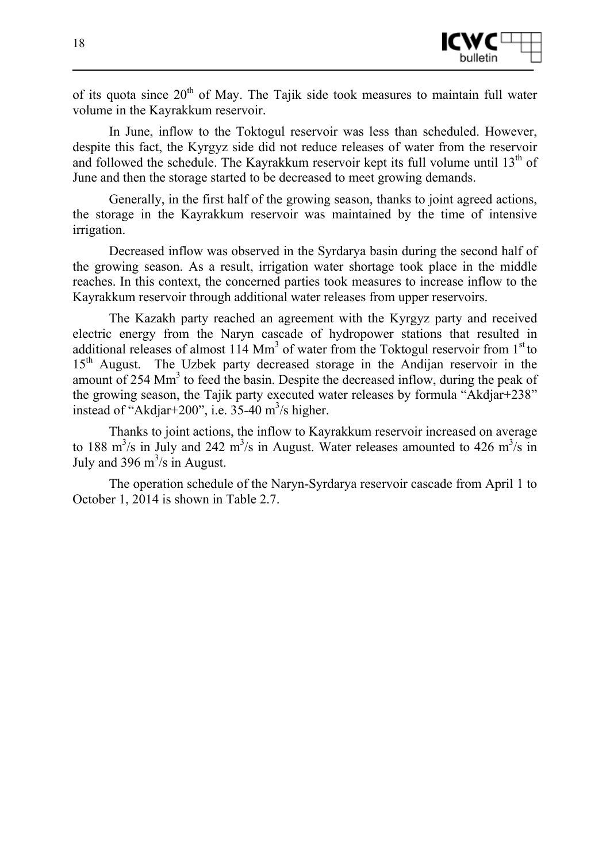

of its quota since  $20<sup>th</sup>$  of May. The Tajik side took measures to maintain full water volume in the Kayrakkum reservoir.

In June, inflow to the Toktogul reservoir was less than scheduled. However, despite this fact, the Kyrgyz side did not reduce releases of water from the reservoir and followed the schedule. The Kayrakkum reservoir kept its full volume until  $13<sup>th</sup>$  of June and then the storage started to be decreased to meet growing demands.

Generally, in the first half of the growing season, thanks to joint agreed actions, the storage in the Kayrakkum reservoir was maintained by the time of intensive irrigation.

Decreased inflow was observed in the Syrdarya basin during the second half of the growing season. As a result, irrigation water shortage took place in the middle reaches. In this context, the concerned parties took measures to increase inflow to the Kayrakkum reservoir through additional water releases from upper reservoirs.

The Kazakh party reached an agreement with the Kyrgyz party and received electric energy from the Naryn cascade of hydropower stations that resulted in additional releases of almost  $114$  Mm<sup>3</sup> of water from the Toktogul reservoir from  $1<sup>st</sup>$  to 15<sup>th</sup> August. The Uzbek party decreased storage in the Andijan reservoir in the amount of 254 Mm<sup>3</sup> to feed the basin. Despite the decreased inflow, during the peak of the growing season, the Tajik party executed water releases by formula "Akdjar+238" instead of "Akdjar+200", i.e.  $35-40$  m<sup>3</sup>/s higher.

Thanks to joint actions, the inflow to Kayrakkum reservoir increased on average to 188 m<sup>3</sup>/s in July and 242 m<sup>3</sup>/s in August. Water releases amounted to 426 m<sup>3</sup>/s in July and 396  $\text{m}^3/\text{s}$  in August.

The operation schedule of the Naryn-Syrdarya reservoir cascade from April 1 to October 1, 2014 is shown in Table 2.7.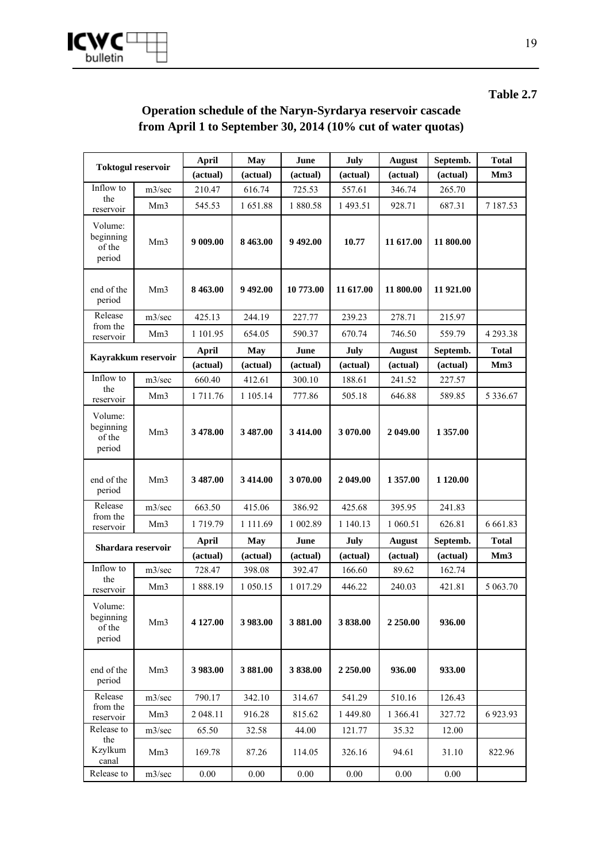

### **Operation schedule of the Naryn-Syrdarya reservoir cascade from April 1 to September 30, 2014 (10% cut of water quotas)**

| <b>Toktogul reservoir</b>                |                                                                 | <b>April</b> | <b>May</b>  | June      | July        | <b>August</b><br>Septemb. |           | <b>Total</b>  |
|------------------------------------------|-----------------------------------------------------------------|--------------|-------------|-----------|-------------|---------------------------|-----------|---------------|
|                                          |                                                                 | (actual)     | (actual)    | (actual)  | (actual)    | (actual)                  | (actual)  | Mm3           |
| Inflow to                                | m3/sec                                                          | 210.47       | 616.74      | 725.53    | 557.61      | 346.74                    | 265.70    |               |
| the<br>reservoir                         | Mm <sub>3</sub>                                                 | 545.53       | 1651.88     | 1 880.58  | 1 493.51    | 928.71                    | 687.31    | 7 187.53      |
| Volume:<br>beginning<br>of the<br>period | 9 009.00<br>8 4 6 3 .00<br>9 492.00<br>10.77<br>Mm <sub>3</sub> |              |             | 11 617.00 | 11 800.00   |                           |           |               |
| end of the<br>period                     | Mm <sub>3</sub>                                                 | 8 4 6 3 .00  | 9492.00     | 10 773.00 | 11 617.00   | 11 800.00                 | 11 921.00 |               |
| Release                                  | m3/sec                                                          | 425.13       | 244.19      | 227.77    | 239.23      | 278.71                    | 215.97    |               |
| from the<br>reservoir                    | Mm <sub>3</sub>                                                 | 1 101.95     | 654.05      | 590.37    | 670.74      | 746.50                    | 559.79    | 4 2 9 3 . 3 8 |
|                                          |                                                                 | April        | May         | June      | July        | <b>August</b>             | Septemb.  | <b>Total</b>  |
| Kayrakkum reservoir                      |                                                                 | (actual)     | (actual)    | (actual)  | (actual)    | (actual)                  | (actual)  | Mm3           |
| Inflow to<br>the                         | m3/sec                                                          | 660.40       | 412.61      | 300.10    | 188.61      | 241.52                    | 227.57    |               |
| reservoir                                | Mm <sub>3</sub>                                                 | 1 711.76     | 1 105.14    | 777.86    | 505.18      | 646.88                    | 589.85    | 5 3 3 6 . 6 7 |
| Volume:<br>beginning<br>of the<br>period | Mm <sub>3</sub>                                                 | 3 478.00     | 3 487.00    | 3 414.00  | 3 070.00    | 2 049.00                  | 1 357.00  |               |
| end of the<br>period                     | Mm <sub>3</sub>                                                 | 3 487.00     | 3 4 1 4 .00 | 3 070.00  | 2 049.00    | 1 357.00                  | 1 1 20.00 |               |
| Release                                  | m3/sec                                                          | 663.50       | 415.06      | 386.92    | 425.68      | 395.95                    | 241.83    |               |
| from the<br>reservoir                    | Mm3                                                             | 1 719.79     | 1 1 1 1 .69 | 1 002.89  | 1 140.13    | 1 060.51                  | 626.81    | 6 6 6 1.83    |
|                                          |                                                                 | April        | <b>May</b>  | June      | July        | <b>August</b>             | Septemb.  | <b>Total</b>  |
| Shardara reservoir                       |                                                                 | (actual)     | (actual)    | (actual)  | (actual)    | (actual)                  | (actual)  | Mm3           |
| Inflow to                                | m3/sec                                                          | 728.47       | 398.08      | 392.47    | 166.60      | 89.62                     | 162.74    |               |
| the<br>reservoir                         | Mm <sub>3</sub>                                                 | 1888.19      | 1 050.15    | 1 017.29  | 446.22      | 240.03                    | 421.81    | 5 063.70      |
| Volume:<br>beginning<br>of the<br>period | Mm <sub>3</sub>                                                 | 4 127.00     | 3 983.00    | 3881.00   | 3838.00     | 2 250.00                  | 936.00    |               |
| end of the<br>period                     | Mm <sub>3</sub>                                                 | 3 983.00     | 3881.00     | 3838.00   | 2 2 5 0 .00 | 936.00                    | 933.00    |               |
| Release<br>from the                      | m3/sec                                                          | 790.17       | 342.10      | 314.67    | 541.29      | 510.16                    | 126.43    |               |
| reservoir                                | Mm <sub>3</sub>                                                 | 2 048.11     | 916.28      | 815.62    | 1 449.80    | 1 3 6 6.41                | 327.72    | 6 9 23 .93    |
| Release to                               | m3/sec                                                          | 65.50        | 32.58       | 44.00     | 121.77      | 35.32                     | 12.00     |               |
| the<br>Kzylkum<br>canal                  | Mm <sub>3</sub>                                                 | 169.78       | 87.26       | 114.05    | 326.16      | 94.61                     | 31.10     | 822.96        |
| Release to                               | m3/sec                                                          | $0.00\,$     | $0.00\,$    | $0.00\,$  | $0.00\,$    | 0.00                      | 0.00      |               |

**Table 2.7**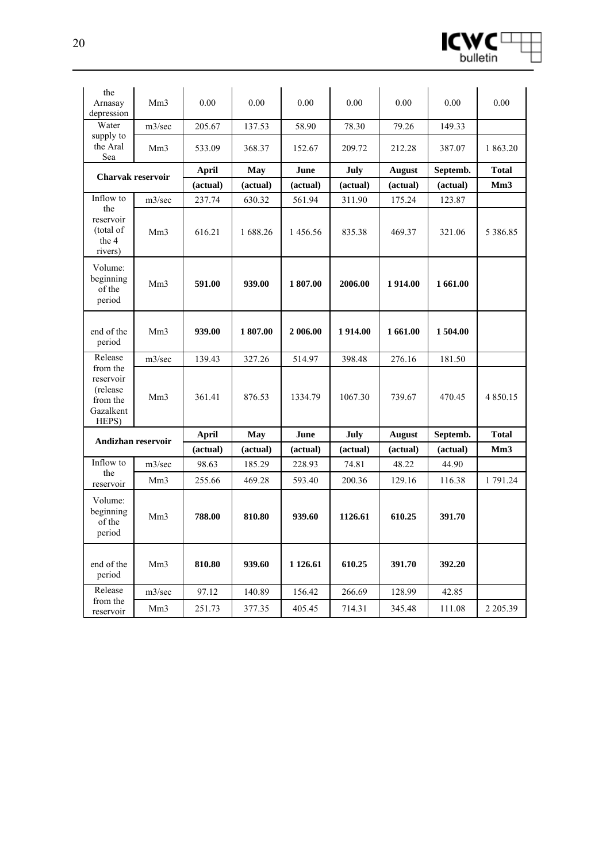

| the                                                                  |                 |          |          |           |          |               |          |                 |
|----------------------------------------------------------------------|-----------------|----------|----------|-----------|----------|---------------|----------|-----------------|
| Arnasay<br>depression                                                | Mm <sub>3</sub> | 0.00     | 0.00     | 0.00      | 0.00     | 0.00          | 0.00     | 0.00            |
| Water                                                                | m3/sec          | 205.67   | 137.53   | 58.90     | 78.30    | 79.26         | 149.33   |                 |
| supply to<br>the Aral<br>Sea                                         | Mm <sub>3</sub> | 533.09   | 368.37   | 152.67    | 209.72   | 212.28        | 387.07   | 1 863.20        |
| Charvak reservoir                                                    |                 | April    | May      | June      | July     | <b>August</b> | Septemb. | <b>Total</b>    |
|                                                                      |                 | (actual) | (actual) | (actual)  | (actual) | (actual)      | (actual) | Mm3             |
| Inflow to                                                            | m3/sec          | 237.74   | 630.32   | 561.94    | 311.90   | 175.24        | 123.87   |                 |
| the<br>reservoir<br>(total of<br>the 4<br>rivers)                    | Mm <sub>3</sub> | 616.21   | 1 688.26 | 1456.56   | 835.38   | 469.37        | 321.06   | 5 3 8 6 . 8 5   |
| Volume:<br>beginning<br>of the<br>period                             | Mm <sub>3</sub> | 591.00   | 939.00   | 1807.00   | 2006.00  | 1914.00       | 1 661.00 |                 |
| end of the<br>period                                                 | Mm <sub>3</sub> | 939.00   | 1807.00  | 2 006.00  | 1914.00  | 1 661.00      | 1 504.00 |                 |
| Release                                                              | m3/sec          | 139.43   | 327.26   | 514.97    | 398.48   | 276.16        | 181.50   |                 |
| from the<br>reservoir<br>(release)<br>from the<br>Gazalkent<br>HEPS) | Mm <sub>3</sub> | 361.41   | 876.53   | 1334.79   | 1067.30  | 739.67        | 470.45   | 4 8 5 0 . 1 5   |
| Andizhan reservoir                                                   |                 | April    | May      | June      | July     | <b>August</b> | Septemb. | <b>Total</b>    |
|                                                                      |                 | (actual) | (actual) | (actual)  | (actual) | (actual)      | (actual) | Mm <sub>3</sub> |
| Inflow to<br>the                                                     | m3/sec          | 98.63    | 185.29   | 228.93    | 74.81    | 48.22         | 44.90    |                 |
| reservoir                                                            | Mm <sub>3</sub> | 255.66   | 469.28   | 593.40    | 200.36   | 129.16        | 116.38   | 1 791.24        |
| Volume:<br>beginning<br>of the<br>period                             | Mm <sub>3</sub> | 788.00   | 810.80   | 939.60    | 1126.61  | 610.25        | 391.70   |                 |
|                                                                      |                 |          |          |           | 610.25   | 391.70        | 392.20   |                 |
| end of the<br>period                                                 | Mm <sub>3</sub> | 810.80   | 939.60   | 1 1 26.61 |          |               |          |                 |
| Release<br>from the                                                  | m3/sec          | 97.12    | 140.89   | 156.42    | 266.69   | 128.99        | 42.85    |                 |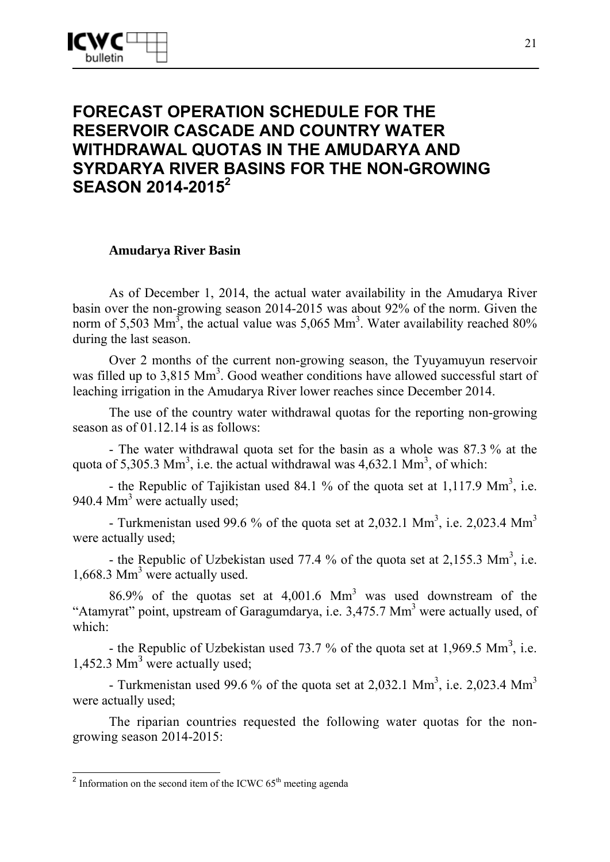# **FORECAST OPERATION SCHEDULE FOR THE RESERVOIR CASCADE AND COUNTRY WATER WITHDRAWAL QUOTAS IN THE AMUDARYA AND SYRDARYA RIVER BASINS FOR THE NON-GROWING SEASON 2014-2015<sup>2</sup>**

### **Amudarya River Basin**

As of December 1, 2014, the actual water availability in the Amudarya River basin over the non-growing season 2014-2015 was about 92% of the norm. Given the norm of 5,503 Mm<sup>3</sup>, the actual value was 5,065 Mm<sup>3</sup>. Water availability reached 80% during the last season.

Over 2 months of the current non-growing season, the Tyuyamuyun reservoir was filled up to 3,815 Mm<sup>3</sup>. Good weather conditions have allowed successful start of leaching irrigation in the Amudarya River lower reaches since December 2014.

The use of the country water withdrawal quotas for the reporting non-growing season as of 01.12.14 is as follows:

- The water withdrawal quota set for the basin as a whole was 87.3 % at the quota of 5,305.3 Mm<sup>3</sup>, i.e. the actual withdrawal was 4,632.1 Mm<sup>3</sup>, of which:

- the Republic of Tajikistan used 84.1 % of the quota set at 1,117.9  $\text{Mm}^3$ , i.e. 940.4 Mm<sup>3</sup> were actually used;

- Turkmenistan used 99.6 % of the quota set at 2,032.1 Mm<sup>3</sup>, i.e. 2,023.4 Mm<sup>3</sup> were actually used;

- the Republic of Uzbekistan used 77.4 % of the quota set at 2,155.3  $\text{Mm}^3$ , i.e. 1,668.3 Mm<sup>3</sup> were actually used.

86.9% of the quotas set at  $4,001.6$  Mm<sup>3</sup> was used downstream of the "Atamyrat" point, upstream of Garagumdarya, i.e. 3,475.7 Mm<sup>3</sup> were actually used, of which:

- the Republic of Uzbekistan used 73.7 % of the quota set at 1,969.5 Mm<sup>3</sup>, i.e. 1,452.3 Mm<sup>3</sup> were actually used;

- Turkmenistan used 99.6 % of the quota set at 2,032.1 Mm<sup>3</sup>, i.e. 2,023.4 Mm<sup>3</sup> were actually used;

The riparian countries requested the following water quotas for the nongrowing season 2014-2015:

-

<sup>&</sup>lt;sup>2</sup> Information on the second item of the ICWC  $65<sup>th</sup>$  meeting agenda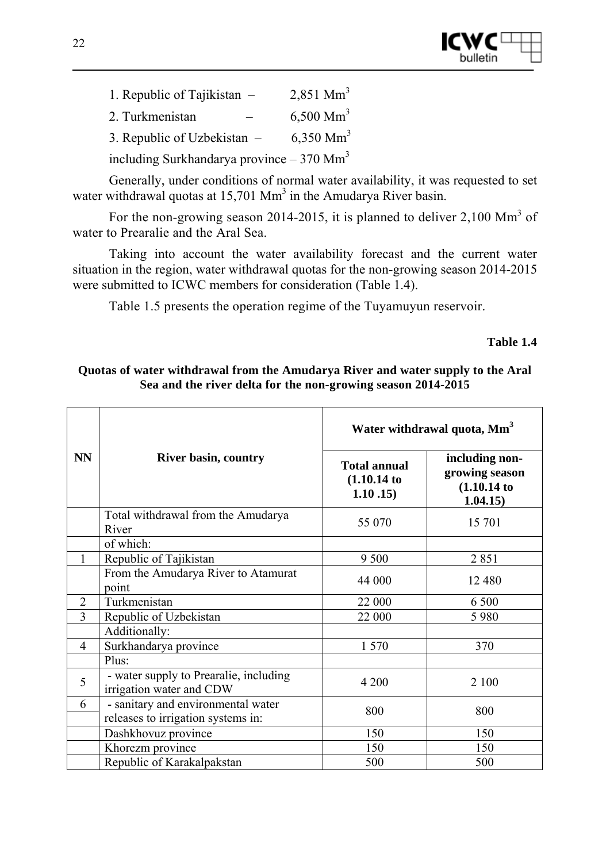

1. Republic of Tajikistan  $-$  2,851 Mm<sup>3</sup> 2. Turkmenistan  $-6,500$  Mm<sup>3</sup> 3. Republic of Uzbekistan  $-$ 6,350  $\text{Mm}^3$ including Surkhandarya province  $-370$  Mm<sup>3</sup>

Generally, under conditions of normal water availability, it was requested to set water withdrawal quotas at  $15,701$  Mm<sup>3</sup> in the Amudarya River basin.

For the non-growing season 2014-2015, it is planned to deliver 2,100 Mm<sup>3</sup> of water to Prearalie and the Aral Sea.

Taking into account the water availability forecast and the current water situation in the region, water withdrawal quotas for the non-growing season 2014-2015 were submitted to ICWC members for consideration (Table 1.4).

Table 1.5 presents the operation regime of the Tuyamuyun reservoir.

#### **Table 1.4**

#### **Quotas of water withdrawal from the Amudarya River and water supply to the Aral Sea and the river delta for the non-growing season 2014-2015**

|                |                                                                    | Water withdrawal quota, Mm <sup>3</sup>      |                                                           |  |  |
|----------------|--------------------------------------------------------------------|----------------------------------------------|-----------------------------------------------------------|--|--|
| <b>NN</b>      | <b>River basin, country</b>                                        | <b>Total annual</b><br>(1.10.14)<br>1.10.15) | including non-<br>growing season<br>(1.10.14)<br>1.04.15) |  |  |
|                | Total withdrawal from the Amudarya<br>River                        | 55 070                                       | 15 701                                                    |  |  |
|                | of which:                                                          |                                              |                                                           |  |  |
| 1              | Republic of Tajikistan                                             | 9 5 0 0                                      | 2851                                                      |  |  |
|                | From the Amudarya River to Atamurat<br>point                       | 44 000                                       | 12 480                                                    |  |  |
| $\overline{2}$ | Turkmenistan                                                       | 22 000                                       | 6 500                                                     |  |  |
| 3              | Republic of Uzbekistan                                             | 22 000                                       | 5 9 8 0                                                   |  |  |
|                | Additionally:                                                      |                                              |                                                           |  |  |
| $\overline{4}$ | Surkhandarya province                                              | 1 570                                        | 370                                                       |  |  |
|                | Plus:                                                              |                                              |                                                           |  |  |
| 5              | - water supply to Prearalie, including<br>irrigation water and CDW | 4 200                                        | 2 100                                                     |  |  |
| 6              | - sanitary and environmental water                                 | 800                                          | 800                                                       |  |  |
|                | releases to irrigation systems in:                                 |                                              |                                                           |  |  |
|                | Dashkhovuz province                                                | 150                                          | 150                                                       |  |  |
|                | Khorezm province                                                   | 150                                          | 150                                                       |  |  |
|                | Republic of Karakalpakstan                                         | 500                                          | 500                                                       |  |  |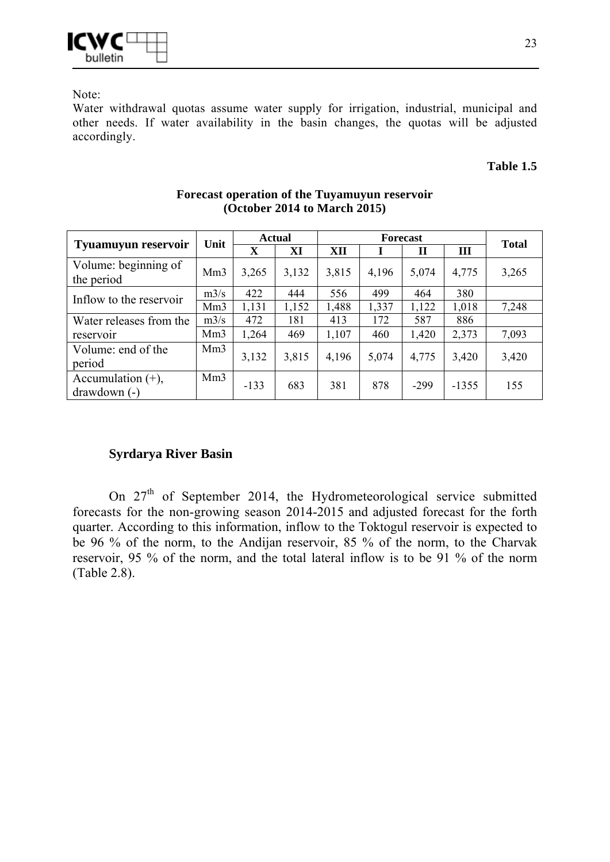

Note:

Water withdrawal quotas assume water supply for irrigation, industrial, municipal and other needs. If water availability in the basin changes, the quotas will be adjusted accordingly.

#### **Table 1.5**

|                                       |                 | <b>Actual</b><br>Unit |       | <b>Forecast</b> |       |        |         | <b>Total</b> |
|---------------------------------------|-----------------|-----------------------|-------|-----------------|-------|--------|---------|--------------|
| <b>Tyuamuyun reservoir</b>            |                 | X                     | XI    | XII             |       | П      | Ш       |              |
| Volume: beginning of<br>the period    | Mm <sub>3</sub> | 3,265                 | 3,132 | 3,815           | 4,196 | 5,074  | 4,775   | 3,265        |
| Inflow to the reservoir               | m3/s            | 422                   | 444   | 556             | 499   | 464    | 380     |              |
|                                       | Mm <sub>3</sub> | 1,131                 | 1,152 | 1,488           | 1,337 | 1,122  | 1,018   | 7,248        |
| Water releases from the               | m3/s            | 472                   | 181   | 413             | 172   | 587    | 886     |              |
| reservoir                             | Mm <sub>3</sub> | 1,264                 | 469   | 1,107           | 460   | 1,420  | 2,373   | 7,093        |
| Volume: end of the<br>period          | Mm <sub>3</sub> | 3,132                 | 3,815 | 4,196           | 5,074 | 4,775  | 3,420   | 3,420        |
| Accumulation $(+)$ ,<br>$drawdown(-)$ | Mm <sub>3</sub> | $-133$                | 683   | 381             | 878   | $-299$ | $-1355$ | 155          |

#### **Forecast operation of the Tuyamuyun reservoir (October 2014 to March 2015)**

### **Syrdarya River Basin**

On 27<sup>th</sup> of September 2014, the Hydrometeorological service submitted forecasts for the non-growing season 2014-2015 and adjusted forecast for the forth quarter. According to this information, inflow to the Toktogul reservoir is expected to be 96 % of the norm, to the Andijan reservoir, 85 % of the norm, to the Charvak reservoir, 95 % of the norm, and the total lateral inflow is to be 91 % of the norm (Table 2.8).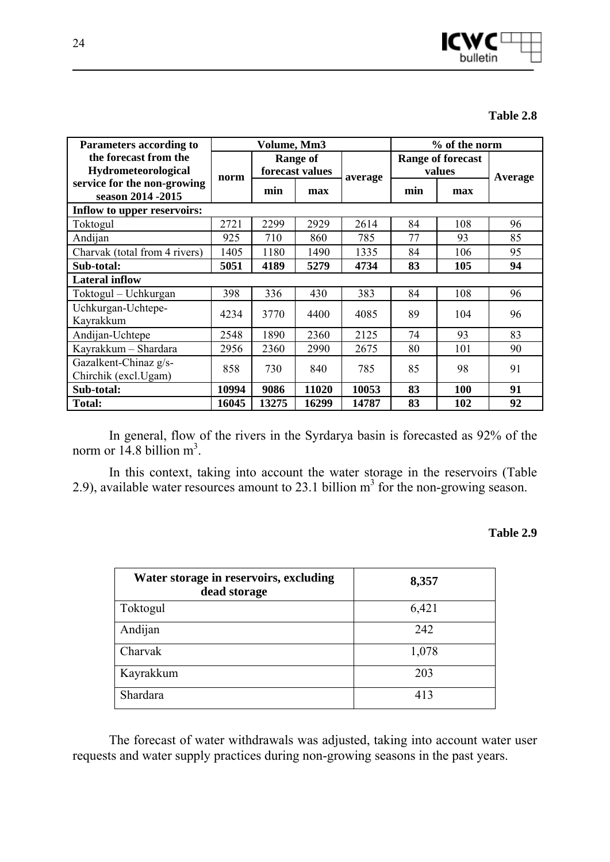

| Table 2.8 |
|-----------|
|-----------|

| <b>Parameters according to</b>                    | Volume, Mm3 |       |                                    | % of the norm |     |                                    |         |
|---------------------------------------------------|-------------|-------|------------------------------------|---------------|-----|------------------------------------|---------|
| the forecast from the<br>Hydrometeorological      | norm        |       | <b>Range of</b><br>forecast values |               |     | <b>Range of forecast</b><br>values |         |
| service for the non-growing<br>season 2014 - 2015 |             | min   | max                                | average       | min | max                                | Average |
| Inflow to upper reservoirs:                       |             |       |                                    |               |     |                                    |         |
| Toktogul                                          | 2721        | 2299  | 2929                               | 2614          | 84  | 108                                | 96      |
| Andijan                                           | 925         | 710   | 860                                | 785           | 77  | 93                                 | 85      |
| Charvak (total from 4 rivers)                     | 1405        | 1180  | 1490                               | 1335          | 84  | 106                                | 95      |
| Sub-total:                                        | 5051        | 4189  | 5279                               | 4734          | 83  | 105                                | 94      |
| <b>Lateral inflow</b>                             |             |       |                                    |               |     |                                    |         |
| Toktogul – Uchkurgan                              | 398         | 336   | 430                                | 383           | 84  | 108                                | 96      |
| Uchkurgan-Uchtepe-<br>Kayrakkum                   | 4234        | 3770  | 4400                               | 4085          | 89  | 104                                | 96      |
| Andijan-Uchtepe                                   | 2548        | 1890  | 2360                               | 2125          | 74  | 93                                 | 83      |
| Kayrakkum - Shardara                              | 2956        | 2360  | 2990                               | 2675          | 80  | 101                                | 90      |
| Gazalkent-Chinaz g/s-<br>Chirchik (excl.Ugam)     | 858         | 730   | 840                                | 785           | 85  | 98                                 | 91      |
| Sub-total:                                        | 10994       | 9086  | 11020                              | 10053         | 83  | 100                                | 91      |
| <b>Total:</b>                                     | 16045       | 13275 | 16299                              | 14787         | 83  | 102                                | 92      |

In general, flow of the rivers in the Syrdarya basin is forecasted as 92% of the norm or  $14.8$  billion m<sup>3</sup>.

In this context, taking into account the water storage in the reservoirs (Table 2.9), available water resources amount to 23.1 billion  $m<sup>3</sup>$  for the non-growing season.

#### **Table 2.9**

| Water storage in reservoirs, excluding<br>dead storage | 8,357 |
|--------------------------------------------------------|-------|
| Toktogul                                               | 6,421 |
| Andijan                                                | 242   |
| Charvak                                                | 1,078 |
| Kayrakkum                                              | 203   |
| Shardara                                               | 413   |

The forecast of water withdrawals was adjusted, taking into account water user requests and water supply practices during non-growing seasons in the past years.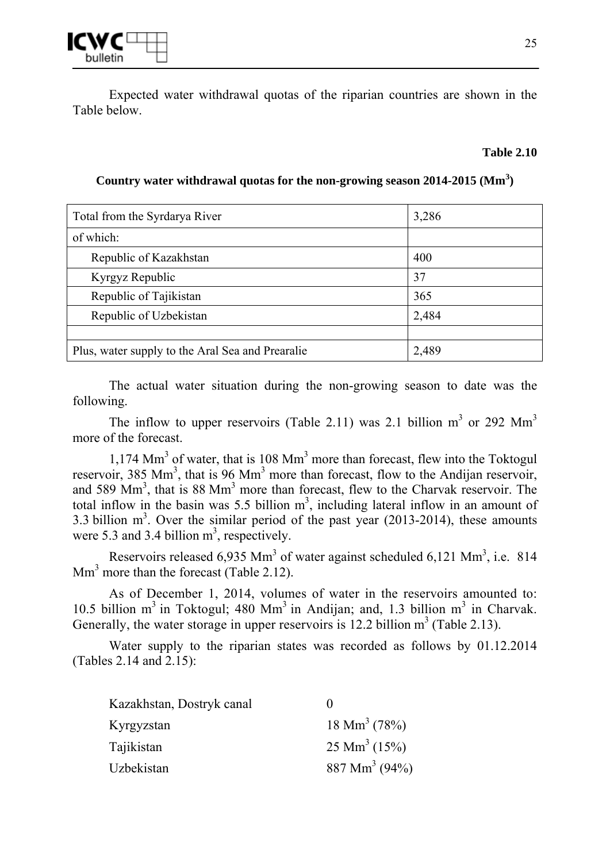Expected water withdrawal quotas of the riparian countries are shown in the Table below.

#### **Table 2.10**

**Country water withdrawal quotas for the non-growing season 2014-2015 (Mm<sup>3</sup> )** 

| 3,286 |
|-------|
|       |
| 400   |
| 37    |
| 365   |
| 2,484 |
|       |
| 2,489 |
|       |

The actual water situation during the non-growing season to date was the following.

The inflow to upper reservoirs (Table 2.11) was 2.1 billion  $m<sup>3</sup>$  or 292 Mm<sup>3</sup> more of the forecast.

 $1,174$  Mm<sup>3</sup> of water, that is 108 Mm<sup>3</sup> more than forecast, flew into the Toktogul reservoir, 385 Mm<sup>3</sup>, that is 96 Mm<sup>3</sup> more than forecast, flow to the Andijan reservoir, and 589 Mm<sup>3</sup>, that is 88 Mm<sup>3</sup> more than forecast, flew to the Charvak reservoir. The total inflow in the basin was 5.5 billion  $m<sup>3</sup>$ , including lateral inflow in an amount of 3.3 billion  $m<sup>3</sup>$ . Over the similar period of the past year (2013-2014), these amounts were 5.3 and 3.4 billion  $m<sup>3</sup>$ , respectively.

Reservoirs released  $6,935$  Mm<sup>3</sup> of water against scheduled  $6,121$  Mm<sup>3</sup>, i.e. 814  $\text{Mm}^3$  more than the forecast (Table 2.12).

As of December 1, 2014, volumes of water in the reservoirs amounted to: 10.5 billion  $m^3$  in Toktogul; 480 M $m^3$  in Andijan; and, 1.3 billion  $m^3$  in Charvak. Generally, the water storage in upper reservoirs is  $12.2$  billion  $m^3$  (Table 2.13).

Water supply to the riparian states was recorded as follows by 01.12.2014 (Tables 2.14 and 2.15):

| Kazakhstan, Dostryk canal |                             |
|---------------------------|-----------------------------|
| Kyrgyzstan                | $18 \text{ Mm}^3$ (78%)     |
| Tajikistan                | $25 \text{ Mm}^3$ (15%)     |
| Uzbekistan                | $887 \text{ Mm}^3 \ (94\%)$ |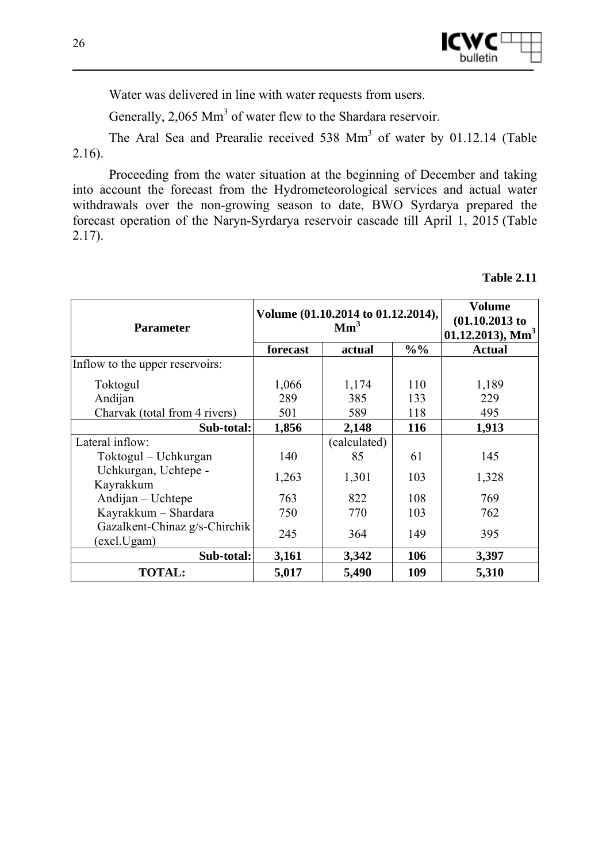

Water was delivered in line with water requests from users.

Generally,  $2,065$  Mm<sup>3</sup> of water flew to the Shardara reservoir.

The Aral Sea and Prearalie received  $538$  Mm<sup>3</sup> of water by 01.12.14 (Table 2.16).

Proceeding from the water situation at the beginning of December and taking into account the forecast from the Hydrometeorological services and actual water withdrawals over the non-growing season to date, BWO Syrdarya prepared the forecast operation of the Naryn-Syrdarya reservoir cascade till April 1, 2015 (Table 2.17).

| Table 2.11 |  |
|------------|--|
|------------|--|

| <b>Parameter</b>                             | Volume (01.10.2014 to 01.12.2014),<br>Mm <sup>3</sup> |              |                 | Volume<br>$(01.10.2013)$ to<br>$01.12.2013$ , Mm <sup>3</sup> |  |
|----------------------------------------------|-------------------------------------------------------|--------------|-----------------|---------------------------------------------------------------|--|
|                                              | forecast                                              | actual       | $\frac{0}{0}$ % | <b>Actual</b>                                                 |  |
| Inflow to the upper reservoirs:              |                                                       |              |                 |                                                               |  |
| Toktogul                                     | 1,066                                                 | 1,174        | 110             | 1,189                                                         |  |
| Andijan                                      | 289                                                   | 385          | 133             | 229                                                           |  |
| Charvak (total from 4 rivers)                | 501                                                   | 589          | 118             | 495                                                           |  |
| Sub-total:                                   | 1,856                                                 | 2,148        | 116             | 1,913                                                         |  |
| Lateral inflow:                              |                                                       | (calculated) |                 |                                                               |  |
| Toktogul – Uchkurgan                         | 140                                                   | 85           | 61              | 145                                                           |  |
| Uchkurgan, Uchtepe -<br>Kayrakkum            | 1,263                                                 | 1,301        | 103             | 1,328                                                         |  |
| Andijan – Uchtepe                            | 763                                                   | 822          | 108             | 769                                                           |  |
| Kayrakkum - Shardara                         | 750                                                   | 770          | 103             | 762                                                           |  |
| Gazalkent-Chinaz g/s-Chirchik<br>(excl.Ugam) | 245                                                   | 364          | 149             | 395                                                           |  |
| Sub-total:                                   | 3,161                                                 | 3,342        | 106             | 3,397                                                         |  |
| <b>TOTAL:</b>                                | 5,017                                                 | 5,490        | 109             | 5,310                                                         |  |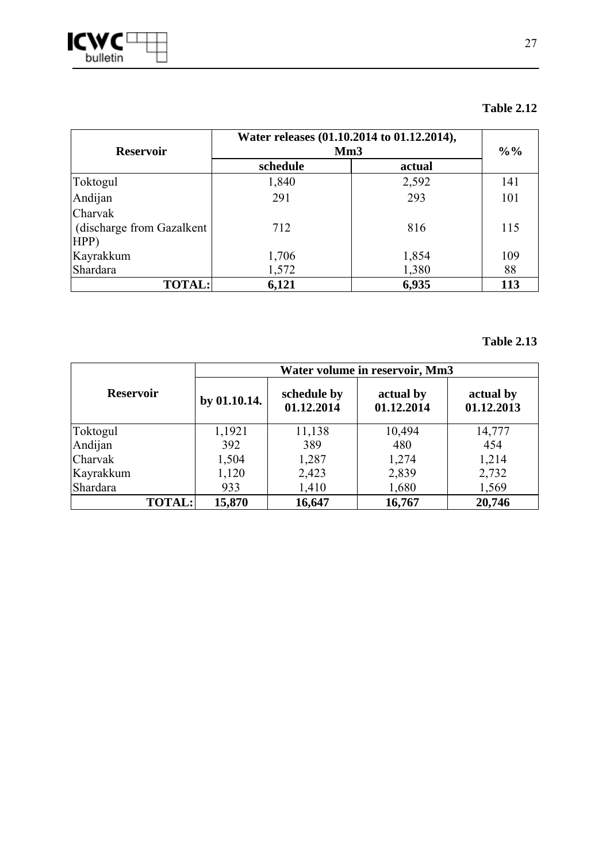

| <b>Reservoir</b>           | Water releases (01.10.2014 to 01.12.2014),<br>Mm3 | $\frac{0}{0}$ % |     |
|----------------------------|---------------------------------------------------|-----------------|-----|
|                            | schedule                                          | actual          |     |
| Toktogul                   | 1,840                                             | 2,592           | 141 |
| Andijan                    | 291                                               | 293             | 101 |
| Charvak                    |                                                   |                 |     |
| (discharge from Gazalkent) | 712                                               | 816             | 115 |
| HPP)                       |                                                   |                 |     |
| Kayrakkum                  | 1,706                                             | 1,854           | 109 |
| Shardara                   | 1,572                                             | 1,380           | 88  |
| <b>TOTAL:</b>              | 6,121                                             | 6,935           | 113 |

### **Table 2.13**

|                  | Water volume in reservoir, Mm3 |                           |                         |                         |  |
|------------------|--------------------------------|---------------------------|-------------------------|-------------------------|--|
| <b>Reservoir</b> | by 01.10.14.                   | schedule by<br>01.12.2014 | actual by<br>01.12.2014 | actual by<br>01.12.2013 |  |
| Toktogul         | 1,1921                         | 11,138                    | 10,494                  | 14,777                  |  |
| Andijan          | 392                            | 389                       | 480                     | 454                     |  |
| Charvak          | 1,504                          | 1,287                     | 1,274                   | 1,214                   |  |
| Kayrakkum        | 1,120                          | 2,423                     | 2,839                   | 2,732                   |  |
| Shardara         | 933                            | 1,410                     | 1,680                   | 1,569                   |  |
| <b>TOTAL:</b>    | 15,870                         | 16,647                    | 16,767                  | 20,746                  |  |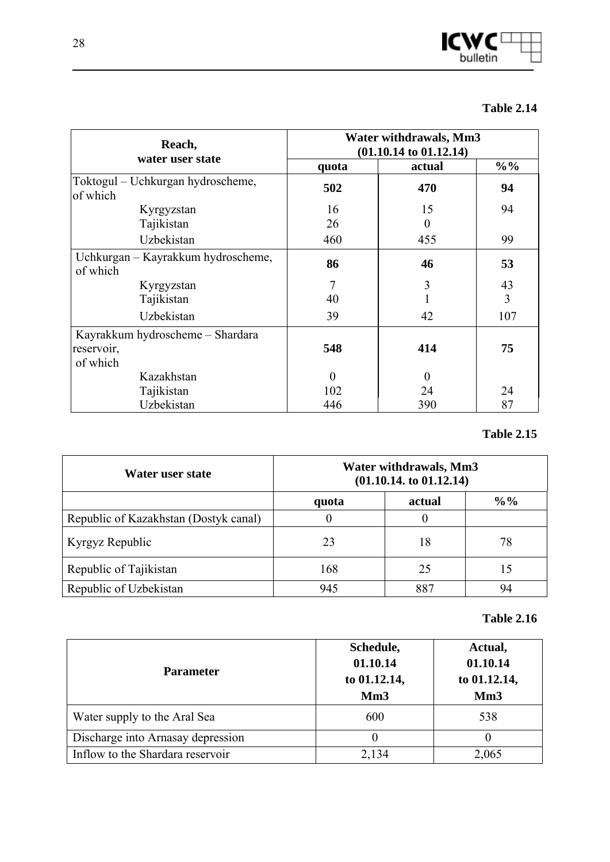

| Reach,<br>water user state                     | Water withdrawals, Mm3<br>$(01.10.14 \text{ to } 01.12.14)$ |          |                 |  |
|------------------------------------------------|-------------------------------------------------------------|----------|-----------------|--|
|                                                | quota                                                       | actual   | $\frac{9}{0}$ % |  |
| Toktogul – Uchkurgan hydroscheme,<br>of which  | 502                                                         | 470      | 94              |  |
| Kyrgyzstan                                     | 16                                                          | 15       | 94              |  |
| Tajikistan                                     | 26                                                          | $\theta$ |                 |  |
| Uzbekistan                                     | 460                                                         | 455      | 99              |  |
| Uchkurgan – Kayrakkum hydroscheme,<br>of which | 86                                                          | 46       | 53              |  |
| Kyrgyzstan                                     | 7                                                           | 3        | 43              |  |
| Tajikistan                                     | 40                                                          |          | 3               |  |
| Uzbekistan                                     | 39                                                          | 42       | 107             |  |
| Kayrakkum hydroscheme – Shardara               |                                                             |          |                 |  |
| reservoir,                                     | 548                                                         | 414      | 75              |  |
| of which                                       |                                                             |          |                 |  |
| Kazakhstan                                     | $\Omega$                                                    | $\Omega$ |                 |  |
| Tajikistan                                     | 102                                                         | 24       | 24              |  |
| Uzbekistan                                     | 446                                                         | 390      | 87              |  |

### **Table 2.15**

| Water user state                      | Water withdrawals, Mm3<br>(01.10.14. t0 01.12.14) |        |               |
|---------------------------------------|---------------------------------------------------|--------|---------------|
|                                       | quota                                             | actual | $\frac{9}{0}$ |
| Republic of Kazakhstan (Dostyk canal) | 0                                                 |        |               |
| Kyrgyz Republic                       | 23                                                | 18     | 78            |
| Republic of Tajikistan                | 168                                               | 25     | 15            |
| Republic of Uzbekistan                | 945                                               | 887    | 94            |

### **Table 2.16**

| <b>Parameter</b>                  | Schedule,<br>01.10.14<br>to 01.12.14,<br>Mm <sub>3</sub> | Actual,<br>01.10.14<br>to 01.12.14,<br>Mm3 |
|-----------------------------------|----------------------------------------------------------|--------------------------------------------|
| Water supply to the Aral Sea      | 600                                                      | 538                                        |
| Discharge into Arnasay depression | $\theta$                                                 |                                            |
| Inflow to the Shardara reservoir  | 2,134                                                    | 2,065                                      |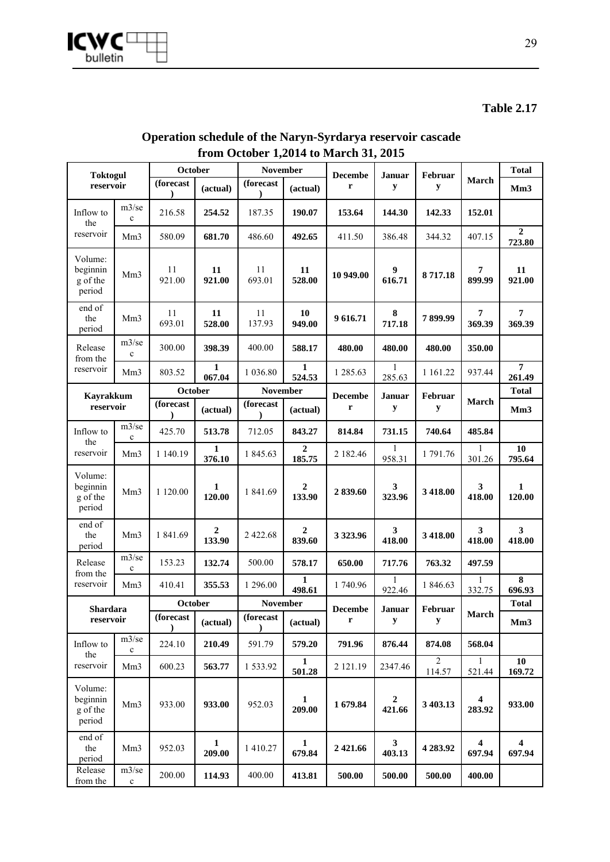

| <b>Toktogul</b>                           |                          | October      |                            | <b>November</b> |                            | <b>Decembe</b> |                            | Februar<br>Januar        |                          |                                   |
|-------------------------------------------|--------------------------|--------------|----------------------------|-----------------|----------------------------|----------------|----------------------------|--------------------------|--------------------------|-----------------------------------|
| reservoir                                 |                          | (forecast    | (actual)                   | (forecast       | (actual)                   | r              | y                          | y                        | March                    | Mm <sub>3</sub>                   |
| Inflow to<br>the                          | $m3$ /se<br>$\mathbf{c}$ | 216.58       | 254.52                     | 187.35          | 190.07                     | 153.64         | 144.30                     | 142.33                   | 152.01                   |                                   |
| reservoir                                 | Mm <sub>3</sub>          | 580.09       | 681.70                     | 486.60          | 492.65                     | 411.50         | 386.48                     | 344.32                   | 407.15                   | $\boldsymbol{2}$<br>723.80        |
| Volume:<br>beginnin<br>g of the<br>period | Mm <sub>3</sub>          | 11<br>921.00 | 11<br>921.00               | 11<br>693.01    | 11<br>528.00               | 10 949.00      | $\boldsymbol{9}$<br>616.71 | 8717.18                  | 7<br>899.99              | 11<br>921.00                      |
| end of<br>the<br>period                   | Mm <sub>3</sub>          | 11<br>693.01 | 11<br>528.00               | 11<br>137.93    | 10<br>949.00               | 9616.71        | ${\bf 8}$<br>717.18        | 7899.99                  | $\overline{7}$<br>369.39 | $\overline{7}$<br>369.39          |
| Release<br>from the                       | $m3$ /se<br>$\mathbf c$  | 300.00       | 398.39                     | 400.00          | 588.17                     | 480.00         | 480.00                     | 480.00                   | 350.00                   |                                   |
| reservoir                                 | Mm <sub>3</sub>          | 803.52       | 1<br>067.04                | 1 0 3 6 .80     | 1<br>524.53                | 1 285.63       | $\mathbf{1}$<br>285.63     | 1 1 6 1 . 2 2            | 937.44                   | $\overline{7}$<br>261.49          |
| <b>Kayrakkum</b>                          |                          | October      |                            | <b>November</b> |                            | <b>Decembe</b> | Januar                     | Februar                  |                          | <b>Total</b>                      |
| reservoir                                 |                          | (forecast    | (actual)                   | (forecast       | (actual)                   | r              | y                          | y                        | March                    | Mm <sub>3</sub>                   |
| Inflow to<br>the                          | m3/se<br>$\mathbf c$     | 425.70       | 513.78                     | 712.05          | 843.27                     | 814.84         | 731.15                     | 740.64                   | 485.84                   |                                   |
| reservoir                                 | Mm <sub>3</sub>          | 1 140.19     | 1<br>376.10                | 1 845.63        | 2<br>185.75                | 2 182.46       | 958.31                     | 1791.76                  | 301.26                   | 10<br>795.64                      |
| Volume:<br>beginnin<br>g of the<br>period | Mm <sub>3</sub>          | 1 120.00     | 1<br>120.00                | 1 841.69        | 2<br>133.90                | 2839.60        | 3<br>323.96                | 3 418.00                 | 3<br>418.00              | $\mathbf{1}$<br>120.00            |
| end of<br>the<br>period                   | Mm <sub>3</sub>          | 1 841.69     | $\boldsymbol{2}$<br>133.90 | 2 422.68        | $\boldsymbol{2}$<br>839.60 | 3 3 2 3 . 9 6  | 3<br>418.00                | 3 418.00                 | 3<br>418.00              | $\overline{\mathbf{3}}$<br>418.00 |
| Release<br>from the                       | m3/se<br>$\mathbf c$     | 153.23       | 132.74                     | 500.00          | 578.17                     | 650.00         | 717.76                     | 763.32                   | 497.59                   |                                   |
| reservoir                                 | Mm <sub>3</sub>          | 410.41       | 355.53                     | 1 296.00        | $\mathbf{1}$<br>498.61     | 1740.96        | 1<br>922.46                | 1 846.63                 | 1<br>332.75              | $\overline{\mathbf{8}}$<br>696.93 |
| Shardara                                  |                          | October      |                            | <b>November</b> |                            | <b>Decembe</b> | Januar                     | Februar                  |                          | <b>Total</b>                      |
| reservoir                                 |                          | (forecast    | (actual)                   | (forecast       | (actual)                   | r              | y                          | у                        | March                    | Mm3                               |
| Inflow to<br>the                          | m3/se<br>$\mathbf c$     | 224.10       | 210.49                     | 591.79          | 579.20                     | 791.96         | 876.44                     | 874.08                   | 568.04                   |                                   |
| reservoir                                 | Mm <sub>3</sub>          | 600.23       | 563.77                     | 1533.92         | $\mathbf{1}$<br>501.28     | 2 121.19       | 2347.46                    | $\overline{2}$<br>114.57 | $\mathbf{1}$<br>521.44   | 10<br>169.72                      |
| Volume:<br>beginnin<br>g of the<br>period | Mm <sub>3</sub>          | 933.00       | 933.00                     | 952.03          | $\mathbf{1}$<br>209.00     | 1679.84        | $\boldsymbol{2}$<br>421.66 | 3 403.13                 | 4<br>283.92              | 933.00                            |
| end of<br>the<br>period                   | Mm <sub>3</sub>          | 952.03       | 1<br>209.00                | 1 410.27        | $\mathbf{1}$<br>679.84     | 2 4 2 1.66     | $\mathbf{3}$<br>403.13     | 4 283.92                 | $\overline{4}$<br>697.94 | $\overline{\mathbf{4}}$<br>697.94 |
| Release<br>from the                       | m3/se<br>$\mathbf c$     | 200.00       | 114.93                     | 400.00          | 413.81                     | 500.00         | 500.00                     | 500.00                   | 400.00                   |                                   |

### **Operation schedule of the Naryn-Syrdarya reservoir cascade from October 1,2014 to March 31, 2015**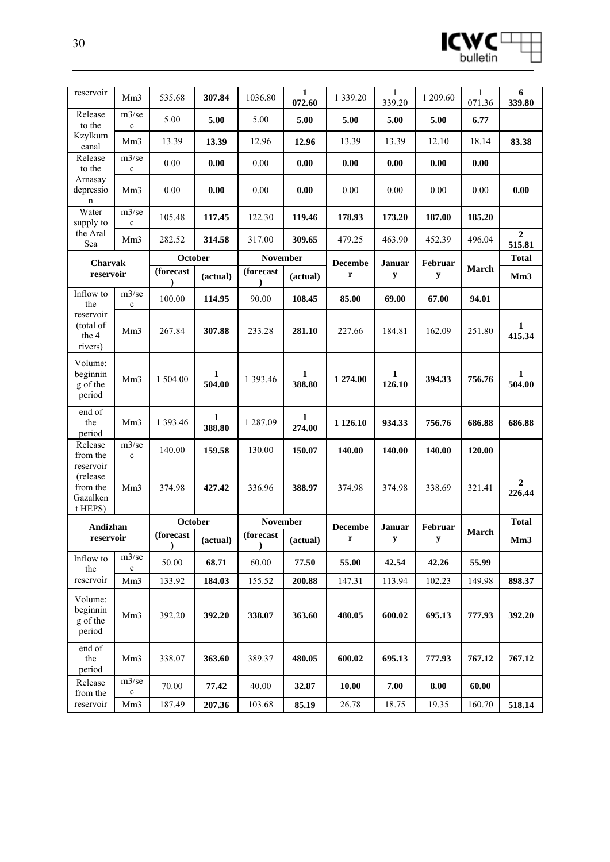

| reservoir                                                 | Mm <sub>3</sub>      | 535.68                 | 307.84      | 1036.80                 | 1<br>072.60 | 1 3 3 9 . 2 0  | 1<br>339.20 | 1 209.60            | 1<br>071.36 | 6<br>339.80                |
|-----------------------------------------------------------|----------------------|------------------------|-------------|-------------------------|-------------|----------------|-------------|---------------------|-------------|----------------------------|
| Release<br>to the                                         | m3/se<br>$\mathbf c$ | 5.00                   | 5.00        | 5.00                    | 5.00        | 5.00           | 5.00        | 5.00                | 6.77        |                            |
| Kzylkum<br>canal                                          | Mm <sub>3</sub>      | 13.39                  | 13.39       | 12.96                   | 12.96       | 13.39          | 13.39       | 12.10               | 18.14       | 83.38                      |
| Release<br>to the                                         | m3/se<br>$\mathbf c$ | 0.00                   | 0.00        | 0.00                    | 0.00        | 0.00           | 0.00        | 0.00                | 0.00        |                            |
| Arnasay<br>depressio<br>n                                 | Mm <sub>3</sub>      | 0.00                   | 0.00        | 0.00                    | 0.00        | 0.00           | 0.00        | 0.00                | 0.00        | 0.00                       |
| Water<br>supply to                                        | m3/se<br>$\mathbf c$ | 105.48                 | 117.45      | 122.30                  | 119.46      | 178.93         | 173.20      | 187.00              | 185.20      |                            |
| the Aral<br>Sea                                           | Mm <sub>3</sub>      | 282.52                 | 314.58      | 317.00                  | 309.65      | 479.25         | 463.90      | 452.39              | 496.04      | $\boldsymbol{2}$<br>515.81 |
| Charvak                                                   |                      | October                |             | <b>November</b>         |             | <b>Decembe</b> | Januar      | Februar             |             | <b>Total</b>               |
| reservoir                                                 |                      | (forecast              | (actual)    | (forecast               | (actual)    | r              | $\mathbf y$ | y                   | March       | Mm3                        |
| Inflow to<br>the                                          | m3/se<br>$\mathbf c$ | 100.00                 | 114.95      | 90.00                   | 108.45      | 85.00          | 69.00       | 67.00               | 94.01       |                            |
| reservoir<br>(total of<br>the 4<br>rivers)                | Mm3                  | 267.84                 | 307.88      | 233.28                  | 281.10      | 227.66         | 184.81      | 162.09              | 251.80      | 1<br>415.34                |
| Volume:<br>beginnin<br>g of the<br>period                 | Mm <sub>3</sub>      | 1 504.00               | 1<br>504.00 | 1 393.46                | 1<br>388.80 | 1 274.00       | 1<br>126.10 | 394.33              | 756.76      | 1<br>504.00                |
| end of<br>the<br>period                                   | Mm3                  | 1 393.46               | 1<br>388.80 | 1 287.09                | 1<br>274.00 | 1 1 26.10      | 934.33      | 756.76              | 686.88      | 686.88                     |
| Release<br>from the                                       | m3/se<br>$\mathbf c$ | 140.00                 | 159.58      | 130.00                  | 150.07      | 140.00         | 140.00      | 140.00              | 120.00      |                            |
| reservoir<br>(release)<br>from the<br>Gazalken<br>t HEPS) | Mm <sub>3</sub>      | 374.98                 | 427.42      | 336.96                  | 388.97      | 374.98         | 374.98      | 338.69              | 321.41      | 2<br>226.44                |
| Andizhan                                                  |                      | October                |             | <b>November</b>         |             | <b>Decembe</b> | Januar      | Februar             | March       | <b>Total</b>               |
| reservoir                                                 |                      | (forecast<br>$\lambda$ | (actual)    | (forecast)<br>$\lambda$ | (actual)    | r              | у           | y                   |             | Mm3                        |
| Inflow to<br>the                                          | m3/se<br>$\mathbf c$ | 50.00                  | 68.71       | 60.00                   | 77.50       | 55.00          | 42.54       | 42.26               | 55.99       |                            |
| reservoir                                                 | Mm <sub>3</sub>      | 133.92                 | 184.03      | 155.52                  | 200.88      | 147.31         | 113.94      | 102.23              | 149.98      | 898.37                     |
| Volume:<br>beginnin<br>g of the<br>period                 | Mm <sub>3</sub>      | 392.20                 | 392.20      | 338.07                  | 363.60      | 480.05         | 600.02      | 695.13              | 777.93      | 392.20                     |
| end of<br>the<br>period                                   | Mm <sub>3</sub>      | 338.07                 | 363.60      | 389.37                  | 480.05      | 600.02         | 695.13      | 777.93              | 767.12      | 767.12                     |
| Release<br>from the                                       | m3/se<br>$\mathbf c$ | 70.00                  | 77.42       | 40.00                   | 32.87       | 10.00          | 7.00        | $\boldsymbol{8.00}$ | 60.00       |                            |
| reservoir                                                 | Mm <sub>3</sub>      | 187.49                 | 207.36      | 103.68                  | 85.19       | 26.78          | 18.75       | 19.35               | 160.70      | 518.14                     |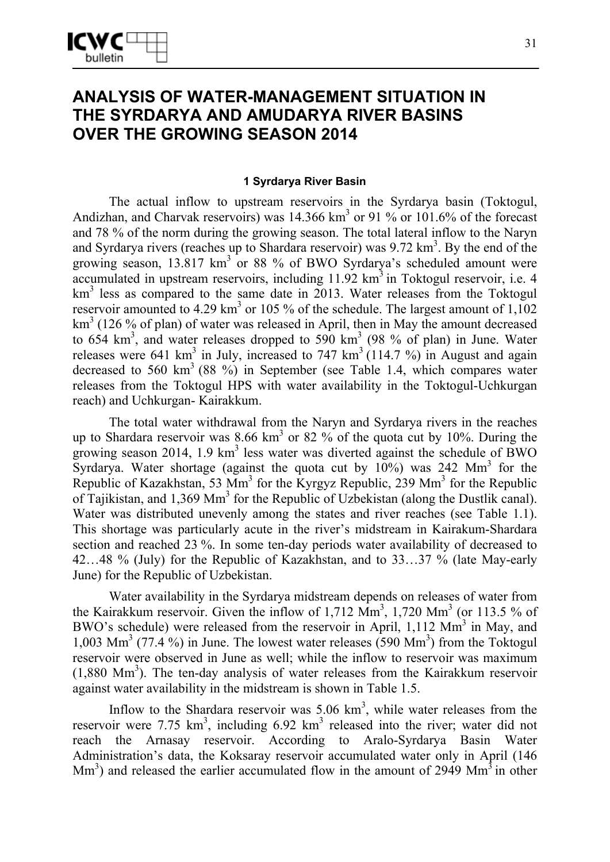# **ANALYSIS OF WATER-MANAGEMENT SITUATION IN THE SYRDARYA AND AMUDARYA RIVER BASINS OVER THE GROWING SEASON 2014**

#### **1 Syrdarya River Basin**

The actual inflow to upstream reservoirs in the Syrdarya basin (Toktogul, Andizhan, and Charvak reservoirs) was  $14.366 \text{ km}^3$  or  $91\%$  or  $101.6\%$  of the forecast and 78 % of the norm during the growing season. The total lateral inflow to the Naryn and Syrdarya rivers (reaches up to Shardara reservoir) was  $9.72 \text{ km}^3$ . By the end of the growing season, 13.817 km<sup>3</sup> or 88 % of BWO Syrdarya's scheduled amount were accumulated in upstream reservoirs, including  $11.92 \text{ km}^3$  in Toktogul reservoir, i.e. 4 km<sup>3</sup> less as compared to the same date in 2013. Water releases from the Toktogul reservoir amounted to 4.29 km<sup>3</sup> or 105 % of the schedule. The largest amount of 1,102 km<sup>3</sup> (126 % of plan) of water was released in April, then in May the amount decreased to  $654 \text{ km}^3$ , and water releases dropped to  $590 \text{ km}^3$  (98 % of plan) in June. Water releases were 641 km<sup>3</sup> in July, increased to 747 km<sup>3</sup> (114.7 %) in August and again decreased to 560 km<sup>3</sup> (88 %) in September (see Table 1.4, which compares water releases from the Toktogul HPS with water availability in the Toktogul-Uchkurgan reach) and Uchkurgan- Kairakkum.

The total water withdrawal from the Naryn and Syrdarya rivers in the reaches up to Shardara reservoir was  $8.66 \text{ km}^3$  or  $82 \%$  of the quota cut by 10%. During the growing season 2014, 1.9  $km<sup>3</sup>$  less water was diverted against the schedule of BWO Syrdarya. Water shortage (against the quota cut by  $10\%$ ) was 242 Mm<sup>3</sup> for the Republic of Kazakhstan, 53  $\text{Mm}^3$  for the Kyrgyz Republic, 239  $\text{Mm}^3$  for the Republic of Tajikistan, and 1,369 Mm<sup>3</sup> for the Republic of Uzbekistan (along the Dustlik canal). Water was distributed unevenly among the states and river reaches (see Table 1.1). This shortage was particularly acute in the river's midstream in Kairakum-Shardara section and reached 23 %. In some ten-day periods water availability of decreased to 42…48 % (July) for the Republic of Kazakhstan, and to 33…37 % (late May-early June) for the Republic of Uzbekistan.

Water availability in the Syrdarya midstream depends on releases of water from the Kairakkum reservoir. Given the inflow of 1,712  $\text{Mm}^3$ , 1,720  $\text{Mm}^3$  (or 113.5 % of BWO's schedule) were released from the reservoir in April,  $1,112 \text{ Mm}^3$  in May, and 1,003 Mm<sup>3</sup> (77.4 %) in June. The lowest water releases (590 Mm<sup>3</sup>) from the Toktogul reservoir were observed in June as well; while the inflow to reservoir was maximum  $(1,880 \text{ Mm}^3)$ . The ten-day analysis of water releases from the Kairakkum reservoir against water availability in the midstream is shown in Table 1.5.

Inflow to the Shardara reservoir was  $5.06 \text{ km}^3$ , while water releases from the reservoir were 7.75  $km^3$ , including 6.92  $km^3$  released into the river; water did not reach the Arnasay reservoir. According to Aralo-Syrdarya Basin Water Administration's data, the Koksaray reservoir accumulated water only in April (146  $\text{Mm}^3$ ) and released the earlier accumulated flow in the amount of 2949  $\text{Mm}^3$  in other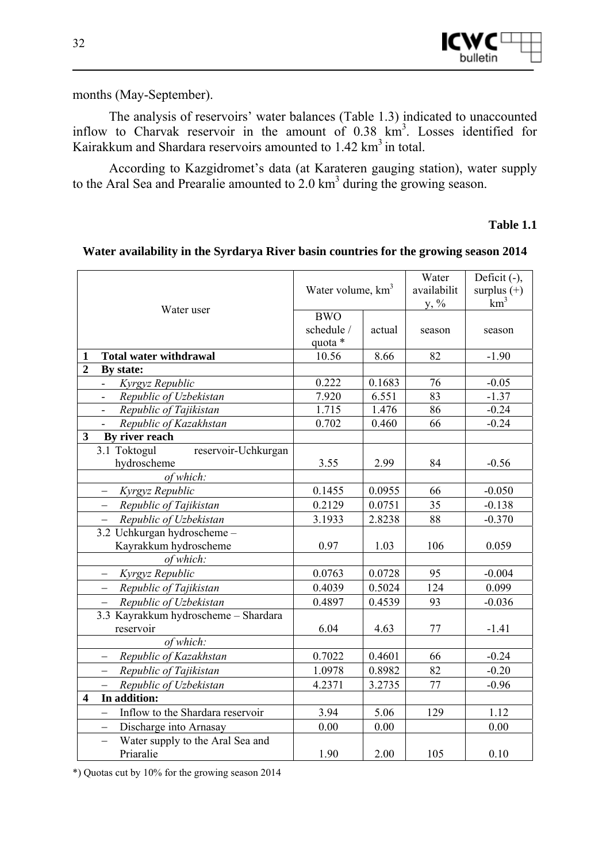months (May-September).

The analysis of reservoirs' water balances (Table 1.3) indicated to unaccounted inflow to Charvak reservoir in the amount of 0.38 km<sup>3</sup>. Losses identified for Kairakkum and Shardara reservoirs amounted to 1.42 km<sup>3</sup> in total.

According to Kazgidromet's data (at Karateren gauging station), water supply to the Aral Sea and Prearalie amounted to  $2.0 \text{ km}^3$  during the growing season.

### **Table 1.1**

|                                                              | Water volume, km <sup>3</sup> |        | Water<br>availabilit<br>$y, \%$ | Deficit (-),<br>surplus $(+)$<br>$km^3$ |
|--------------------------------------------------------------|-------------------------------|--------|---------------------------------|-----------------------------------------|
| Water user                                                   | <b>BWO</b>                    |        |                                 |                                         |
|                                                              | schedule /                    | actual | season                          | season                                  |
|                                                              | quota *                       |        |                                 |                                         |
| <b>Total water withdrawal</b><br>1                           | 10.56                         | 8.66   | 82                              | $-1.90$                                 |
| $\overline{2}$<br>By state:                                  |                               |        |                                 |                                         |
| Kyrgyz Republic<br>$\blacksquare$                            | 0.222                         | 0.1683 | 76                              | $-0.05$                                 |
| Republic of Uzbekistan<br>$\blacksquare$                     | 7.920                         | 6.551  | 83                              | $-1.37$                                 |
| Republic of Tajikistan<br>$\overline{\phantom{0}}$           | 1.715                         | 1.476  | 86                              | $-0.24$                                 |
| Republic of Kazakhstan<br>$\overline{\phantom{0}}$           | 0.702                         | 0.460  | 66                              | $-0.24$                                 |
| By river reach<br>$\mathbf{3}$                               |                               |        |                                 |                                         |
| 3.1 Toktogul<br>reservoir-Uchkurgan                          |                               |        |                                 |                                         |
| hydroscheme                                                  | 3.55                          | 2.99   | 84                              | $-0.56$                                 |
| of which:                                                    |                               |        |                                 |                                         |
| Kyrgyz Republic                                              | 0.1455                        | 0.0955 | 66                              | $-0.050$                                |
| Republic of Tajikistan                                       | 0.2129                        | 0.0751 | 35                              | $-0.138$                                |
| Republic of Uzbekistan                                       | 3.1933                        | 2.8238 | 88                              | $-0.370$                                |
| 3.2 Uchkurgan hydroscheme -                                  |                               |        |                                 |                                         |
| Kayrakkum hydroscheme                                        | 0.97                          | 1.03   | 106                             | 0.059                                   |
| of which:                                                    |                               |        |                                 |                                         |
| Kyrgyz Republic<br>$\qquad \qquad -$                         | 0.0763                        | 0.0728 | 95                              | $-0.004$                                |
| Republic of Tajikistan<br>$\overline{\phantom{0}}$           | 0.4039                        | 0.5024 | 124                             | 0.099                                   |
| Republic of Uzbekistan<br>$\qquad \qquad -$                  | 0.4897                        | 0.4539 | 93                              | $-0.036$                                |
| 3.3 Kayrakkum hydroscheme - Shardara                         |                               |        |                                 |                                         |
| reservoir                                                    | 6.04                          | 4.63   | 77                              | $-1.41$                                 |
| of which:                                                    |                               |        |                                 |                                         |
| Republic of Kazakhstan                                       | 0.7022                        | 0.4601 | 66                              | $-0.24$                                 |
| Republic of Tajikistan                                       | 1.0978                        | 0.8982 | 82                              | $-0.20$                                 |
| Republic of Uzbekistan                                       | 4.2371                        | 3.2735 | 77                              | $-0.96$                                 |
| In addition:<br>4                                            |                               |        |                                 |                                         |
| Inflow to the Shardara reservoir<br>$\equiv$                 | 3.94                          | 5.06   | 129                             | 1.12                                    |
| Discharge into Arnasay<br>$\overline{\phantom{0}}$           | 0.00                          | 0.00   |                                 | 0.00                                    |
| Water supply to the Aral Sea and<br>$\overline{\phantom{0}}$ |                               |        |                                 |                                         |
| Priaralie                                                    | 1.90                          | 2.00   | 105                             | 0.10                                    |

#### **Water availability in the Syrdarya River basin countries for the growing season 2014**

\*) Quotas cut by 10% for the growing season 2014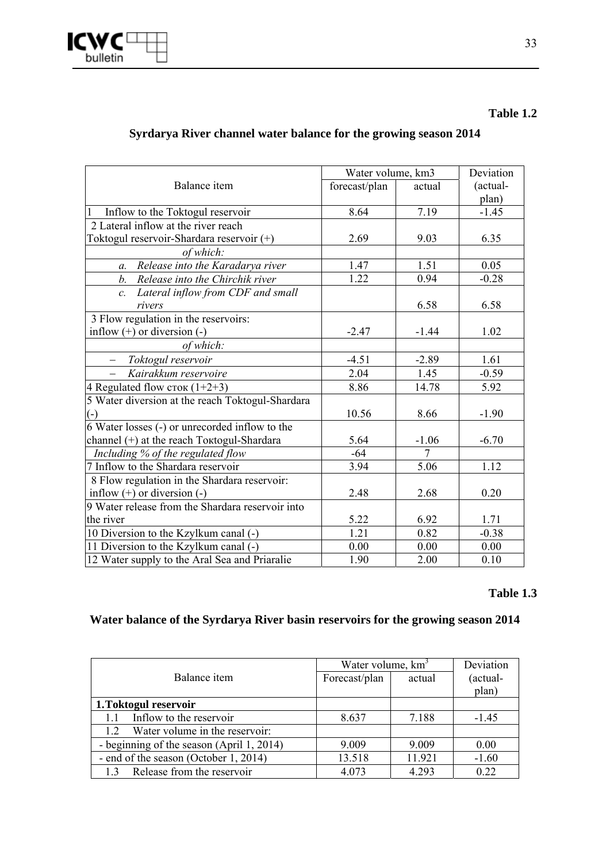

#### **Table 1.2**

### **Syrdarya River channel water balance for the growing season 2014**

|                                                  | Water volume, km3 | Deviation      |          |
|--------------------------------------------------|-------------------|----------------|----------|
| Balance item                                     | forecast/plan     | actual         | (actual- |
|                                                  |                   |                | plan)    |
| $\mathbf{1}$<br>Inflow to the Toktogul reservoir | 8.64              | 7.19           | $-1.45$  |
| 2 Lateral inflow at the river reach              |                   |                |          |
| Toktogul reservoir-Shardara reservoir (+)        | 2.69              | 9.03           | 6.35     |
| of which:                                        |                   |                |          |
| Release into the Karadarya river<br>$a$ .        | 1.47              | 1.51           | 0.05     |
| b.<br>Release into the Chirchik river            | 1.22              | 0.94           | $-0.28$  |
| Lateral inflow from CDF and small<br>$c_{\cdot}$ |                   |                |          |
| rivers                                           |                   | 6.58           | 6.58     |
| 3 Flow regulation in the reservoirs:             |                   |                |          |
| inflow $(+)$ or diversion $(-)$                  | $-2.47$           | $-1.44$        | 1.02     |
| of which:                                        |                   |                |          |
| Toktogul reservoir                               | $-4.51$           | $-2.89$        | 1.61     |
| Kairakkum reservoire                             | 2.04              | 1.45           | $-0.59$  |
| 4 Regulated flow $\text{cros } (1+2+3)$          | 8.86              | 14.78          | 5.92     |
| 5 Water diversion at the reach Toktogul-Shardara |                   |                |          |
| $(-)$                                            | 10.56             | 8.66           | $-1.90$  |
| 6 Water losses (-) or unrecorded inflow to the   |                   |                |          |
| channel (+) at the reach Toktogul-Shardara       | 5.64              | $-1.06$        | $-6.70$  |
| Including % of the regulated flow                | $-64$             | $\overline{7}$ |          |
| 7 Inflow to the Shardara reservoir               | 3.94              | 5.06           | 1.12     |
| 8 Flow regulation in the Shardara reservoir:     |                   |                |          |
| inflow $(+)$ or diversion $(-)$                  | 2.48              | 2.68           | 0.20     |
| 9 Water release from the Shardara reservoir into |                   |                |          |
| the river                                        | 5.22              | 6.92           | 1.71     |
| 10 Diversion to the Kzylkum canal (-)            | 1.21              | 0.82           | $-0.38$  |
| 11 Diversion to the Kzylkum canal (-)            | 0.00              | 0.00           | 0.00     |
| 12 Water supply to the Aral Sea and Priaralie    | 1.90              | 2.00           | 0.10     |

#### **Table 1.3**

### **Water balance of the Syrdarya River basin reservoirs for the growing season 2014**

|                                           | Water volume, km <sup>3</sup> | Deviation |          |
|-------------------------------------------|-------------------------------|-----------|----------|
| Balance item                              | Forecast/plan                 | actual    | (actual- |
|                                           |                               |           | plan)    |
| 1. Toktogul reservoir                     |                               |           |          |
| Inflow to the reservoir<br>1.1            | 8.637                         | 7.188     | $-1.45$  |
| Water volume in the reservoir:<br>12      |                               |           |          |
| - beginning of the season (April 1, 2014) | 9.009                         | 9.009     | 0.00     |
| - end of the season (October 1, 2014)     | 13.518                        | 11.921    | $-1.60$  |
| Release from the reservoir<br>13          | 4.073                         | 4.293     | 0.22     |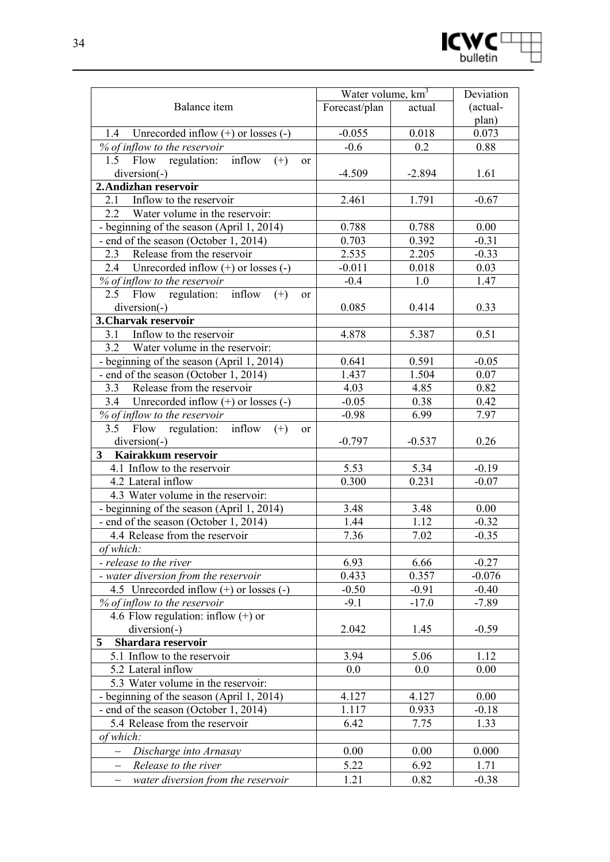

|                                                          | Water volume, km <sup>3</sup> | Deviation |          |
|----------------------------------------------------------|-------------------------------|-----------|----------|
| Balance item                                             | Forecast/plan                 | actual    | (actual- |
|                                                          |                               |           | plan)    |
| 1.4 Unrecorded inflow $(+)$ or losses $(-)$              | $-0.055$                      | 0.018     | 0.073    |
| % of inflow to the reservoir                             | $-0.6$                        | 0.2       | 0.88     |
| inflow<br>1.5 Flow regulation:<br>$(+)$<br><sub>or</sub> |                               |           |          |
| $diversion(-)$                                           | $-4.509$                      | $-2.894$  | 1.61     |
| 2. Andizhan reservoir                                    |                               |           |          |
| Inflow to the reservoir<br>2.1                           | 2.461                         | 1.791     | $-0.67$  |
| 2.2<br>Water volume in the reservoir:                    |                               |           |          |
| - beginning of the season (April 1, 2014)                | 0.788                         | 0.788     | 0.00     |
| - end of the season (October 1, 2014)                    | 0.703                         | 0.392     | $-0.31$  |
| Release from the reservoir<br>2.3                        | 2.535                         | 2.205     | $-0.33$  |
| 2.4 Unrecorded inflow $(+)$ or losses $(-)$              | $-0.011$                      | 0.018     | 0.03     |
| % of inflow to the reservoir                             | $-0.4$                        | 1.0       | 1.47     |
| Flow regulation: inflow<br>2.5<br>$(+)$<br><sub>or</sub> |                               |           |          |
| $diversion(-)$                                           | 0.085                         | 0.414     | 0.33     |
| 3. Charvak reservoir                                     |                               |           |          |
| Inflow to the reservoir<br>3.1                           | 4.878                         | 5.387     | 0.51     |
| 3.2 Water volume in the reservoir:                       |                               |           |          |
| - beginning of the season (April 1, 2014)                | 0.641                         | 0.591     | $-0.05$  |
| - end of the season (October 1, 2014)                    | 1.437                         | 1.504     | 0.07     |
| Release from the reservoir<br>3.3                        | 4.03                          | 4.85      | 0.82     |
| 3.4 Unrecorded inflow $(+)$ or losses $(-)$              | $-0.05$                       | 0.38      | 0.42     |
| % of inflow to the reservoir                             | $-0.98$                       | 6.99      | 7.97     |
| 3.5 Flow regulation: inflow<br>$(+)$<br><sub>or</sub>    |                               |           |          |
| $diversion(-)$                                           | $-0.797$                      | $-0.537$  | 0.26     |
| 3 <sup>1</sup><br>Kairakkum reservoir                    |                               |           |          |
| 4.1 Inflow to the reservoir                              | 5.53                          | 5.34      | $-0.19$  |
| 4.2 Lateral inflow                                       | 0.300                         | 0.231     | $-0.07$  |
| 4.3 Water volume in the reservoir:                       |                               |           |          |
| - beginning of the season (April 1, 2014)                | 3.48                          | 3.48      | 0.00     |
| - end of the season (October 1, 2014)                    | 1.44                          | 1.12      | $-0.32$  |
| 4.4 Release from the reservoir                           | 7.36                          | 7.02      | $-0.35$  |
| of which:                                                |                               |           |          |
| - release to the river                                   | 6.93                          | 6.66      | $-0.27$  |
| - water diversion from the reservoir                     | 0.433                         | 0.357     | $-0.076$ |
| 4.5 Unrecorded inflow $(+)$ or losses $(-)$              | $-0.50$                       | $-0.91$   | $-0.40$  |
| % of inflow to the reservoir                             | $-9.1$                        | $-17.0$   | $-7.89$  |
| 4.6 Flow regulation: inflow $(+)$ or                     |                               |           |          |
| diversion(-)                                             | 2.042                         | 1.45      | $-0.59$  |
| Shardara reservoir<br>5                                  |                               |           |          |
| 5.1 Inflow to the reservoir                              | 3.94                          | 5.06      | 1.12     |
| 5.2 Lateral inflow                                       | 0.0                           | 0.0       | 0.00     |
| 5.3 Water volume in the reservoir:                       |                               |           |          |
| - beginning of the season (April 1, 2014)                | 4.127                         | 4.127     | 0.00     |
| - end of the season (October 1, 2014)                    | 1.117                         | 0.933     | $-0.18$  |
| 5.4 Release from the reservoir                           | 6.42                          | 7.75      | 1.33     |
| of which:                                                |                               |           |          |
| Discharge into Arnasay                                   | 0.00                          | 0.00      | 0.000    |
| Release to the river                                     | 5.22                          | 6.92      | 1.71     |
| water diversion from the reservoir                       | 1.21                          | 0.82      | $-0.38$  |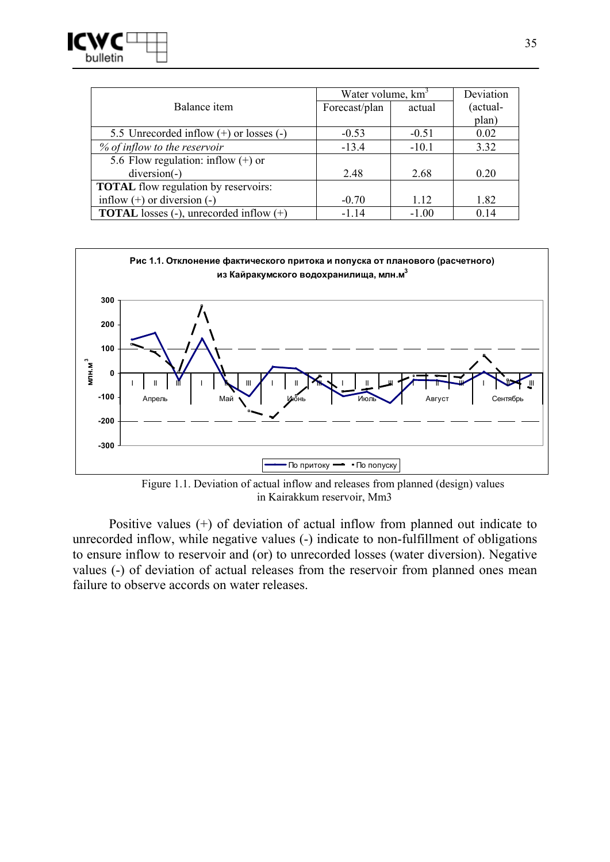

|                                                  | Water volume, km <sup>3</sup> | Deviation |          |
|--------------------------------------------------|-------------------------------|-----------|----------|
| Balance item                                     | Forecast/plan                 | actual    | (actual- |
|                                                  |                               |           | plan)    |
| 5.5 Unrecorded inflow $(+)$ or losses $(-)$      | $-0.53$                       | $-0.51$   | 0.02     |
| % of inflow to the reservoir                     | $-13.4$                       | $-10.1$   | 3.32     |
| 5.6 Flow regulation: inflow $(+)$ or             |                               |           |          |
| $diversion(-)$                                   | 2.48                          | 2.68      | 0.20     |
| <b>TOTAL</b> flow regulation by reservoirs:      |                               |           |          |
| inflow $(+)$ or diversion $(-)$                  | $-0.70$                       | 1.12      | 1.82     |
| <b>TOTAL</b> losses (-), unrecorded inflow $(+)$ | $-1.14$                       | $-1.00$   | 0.14     |



Figure 1.1. Deviation of actual inflow and releases from planned (design) values in Kairakkum reservoir, Mm3

Positive values (+) of deviation of actual inflow from planned out indicate to unrecorded inflow, while negative values (-) indicate to non-fulfillment of obligations to ensure inflow to reservoir and (or) to unrecorded losses (water diversion). Negative values (-) of deviation of actual releases from the reservoir from planned ones mean failure to observe accords on water releases.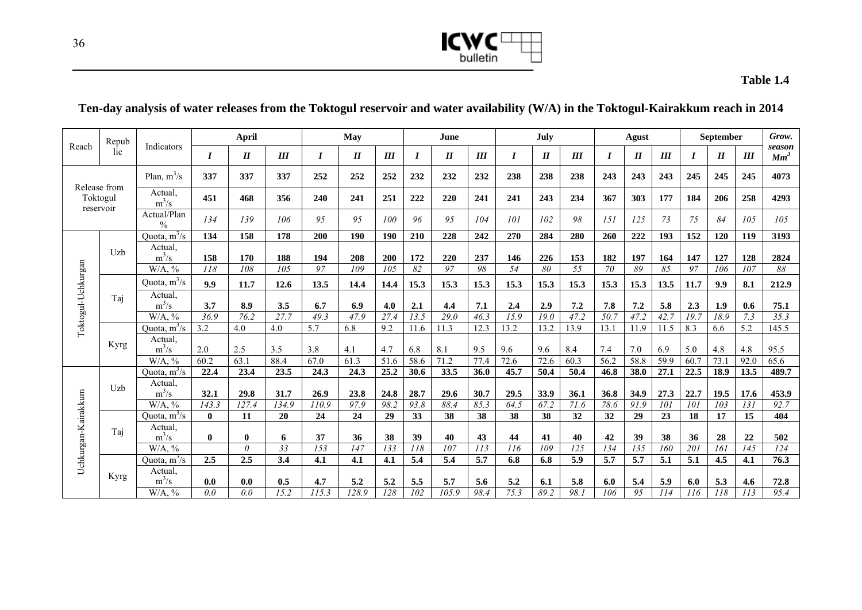

#### **Table 1.4**

### **Ten-day analysis of water releases from the Toktogul reservoir and water availability (W/A) in the Toktogul-Kairakkum reach in 2014**

| Repub                    |             |                              |              | <b>April</b> |             |                          | May         |             |              | June               |              |                  | July         |              |                  | Agust                      |              |             | September        |            | Grow.                     |
|--------------------------|-------------|------------------------------|--------------|--------------|-------------|--------------------------|-------------|-------------|--------------|--------------------|--------------|------------------|--------------|--------------|------------------|----------------------------|--------------|-------------|------------------|------------|---------------------------|
| Reach                    | lic         | Indicators                   | I            | $I\!I$       | III         | $\bm{I}$                 | $I\!I$      | III         | I            | $\boldsymbol{H}$   | III          | $\boldsymbol{I}$ | $I\!I$       | III          | $\boldsymbol{I}$ | $\boldsymbol{\mathit{II}}$ | III          | I           | $\boldsymbol{I}$ | III        | season<br>Mm <sup>3</sup> |
|                          |             | Plan, $m^3/s$                | 337          | 337          | 337         | 252                      | 252         | 252         | 232          | 232                | 232          | 238              | 238          | 238          | 243              | 243                        | 243          | 245         | 245              | 245        | 4073                      |
| Release from<br>Toktogul |             | Actual.<br>$m^3/s$           | 451          | 468          | 356         | 240                      | 241         | 251         | 222          | 220                | 241          | 241              | 243          | 234          | 367              | 303                        | 177          | 184         | 206              | 258        | 4293                      |
| reservoir                |             | Actual/Plan<br>$\frac{0}{0}$ | 134          | 139          | 106         | 95                       | 95          | 100         | 96           | 95                 | 104          | 101              | 102          | 98           | 151              | 125                        | 73           | 75          | 84               | 105        | 105                       |
|                          |             | Quota, $m^3/s$               | 134          | 158          | 178         | 200                      | 190         | 190         | 210          | 228                | 242          | 270              | 284          | 280          | 260              | 222                        | 193          | 152         | 120              | 119        | 3193                      |
|                          | Uzb         | Actual.                      |              |              |             |                          |             |             |              |                    |              |                  |              |              |                  |                            |              |             |                  |            |                           |
|                          |             | $m^3/s$                      | 158          | 170          | 188         | 194                      | 208         | 200         | 172          | 220                | 237          | 146              | 226          | 153          | 182              | 197                        | 164          | 147         | 127              | 128        | 2824                      |
|                          |             | $W/A$ , %                    | 118          | 108          | 105         | 97                       | 109         | 105         | 82           | 97                 | 98           | 54               | 80           | 55           | 70               | 89                         | 85           | 97          | 106              | 107        | 88                        |
|                          |             | Quota, $m^3/s$               | 9.9          | 11.7         | 12.6        | 13.5                     | 14.4        | 14.4        | 15.3         | 15.3               | 15.3         | 15.3             | 15.3         | 15.3         | 15.3             | 15.3                       | 13.5         | 11.7        | 9.9              | 8.1        | 212.9                     |
| Toktogul-Uchkurgan       | Taj         | Actual.<br>$m^3/s$           |              |              |             |                          |             |             |              |                    |              |                  |              |              |                  |                            |              |             |                  |            |                           |
|                          |             |                              | 3.7          | 8.9<br>76.2  | 3.5<br>27.7 | 6.7                      | 6.9         | 4.0         | 2.1          | 4.4                | 7.1          | 2.4<br>15.9      | 2.9          | 7.2          | 7.8              | 7.2                        | 5.8          | 2.3<br>19.7 | 1.9<br>18.9      | 0.6        | 75.1                      |
|                          |             | $W/A.$ %<br>Quota, $m^3/s$   | 36.9<br>3.2  | 4.0          | 4.0         | 49.3<br>$\overline{5.7}$ | 47.9<br>6.8 | 27.4<br>9.2 | 13.5<br>11.6 | 29.0<br>11.3       | 46.3<br>12.3 | 13.2             | 19.0<br>13.2 | 47.2<br>13.9 | 50.7<br>13.1     | 47.2<br>11.9               | 42.7<br>11.5 | 8.3         | 6.6              | 7.3<br>5.2 | 35.3<br>145.5             |
|                          |             | Actual                       |              |              |             |                          |             |             |              |                    |              |                  |              |              |                  |                            |              |             |                  |            |                           |
|                          | Kyrg        | $m^3/s$                      | 2.0          | 2.5          | 3.5         | 3.8                      | 4.1         | 4.7         | 6.8          | 8.1                | 9.5          | 9.6              | 9.6          | 8.4          | 7.4              | 7.0                        | 6.9          | 5.0         | 4.8              | 4.8        | 95.5                      |
|                          |             | $W/A$ , %                    | 60.2         | 63.1         | 88.4        | 67.0                     | 61.3        | 51.6        | 58.6         | 71.2               | 77.4         | 72.6             | 72.6         | 60.3         | 56.2             | 58.8                       | 59.9         | 60.7        | 73.1             | 92.0       | 65.6                      |
|                          |             | Quota, $m^3/s$               | 22.4         | 23.4         | 23.5        | 24.3                     | 24.3        | 25.2        | 30.6         | 33.5               | 36.0         | 45.7             | 50.4         | 50.4         | 46.8             | 38.0                       | 27.1         | 22.5        | 18.9             | 13.5       | 489.7                     |
|                          | Uzb         | Actual<br>$m^3/s$            | 32.1         | 29.8         | 31.7        | 26.9                     | 23.8        | 24.8        | 28.7         | 29.6               | 30.7         | 29.5             | 33.9         | 36.1         | 36.8             | 34.9                       | 27.3         | 22.7        | 19.5             | 17.6       | 453.9                     |
|                          |             | $W/A$ , %                    | 143.3        | 127.4        | 134.9       | 110.9                    | 97.9        | 98.2        | 93.8         | 88.4               | 85.3         | 64.5             | 67.2         | 71.6         | 78.6             | 91.9                       | 101          | 101         | 103              | 131        | 92.7                      |
|                          |             | Quota, $m^3/s$               | $\mathbf{0}$ | 11           | 20          | 24                       | 24          | 29          | 33           | 38                 | 38           | 38               | 38           | 32           | 32               | 29                         | 23           | 18          | 17               | 15         | 404                       |
|                          |             | Actual                       |              |              |             |                          |             |             |              |                    |              |                  |              |              |                  |                            |              |             |                  |            |                           |
|                          | Taj         | $m^3/s$                      | $\bf{0}$     | $\bf{0}$     | 6           | 37                       | 36          | 38          | 39           | 40                 | 43           | 44               | 41           | 40           | 42               | 39                         | 38           | 36          | 28               | 22         | 502                       |
| Uchkurgan-Kairakkum      |             | $W/A$ , %                    |              | $\theta$     | 33          | $\overline{153}$         | 147         | 133         | 118          | 107                | 113          | 116              | 109          | 125          | 134              | 135                        | 160          | 201         | 161              | 145        | 124                       |
|                          |             | Quota, $m^3/s$               | 2.5          | 2.5          | 3.4         | 4.1                      | 4.1         | 4.1         | 5.4          | 5.4                | 5.7          | 6.8              | 6.8          | 5.9          | 5.7              | 5.7                        | 5.1          | 5.1         | 4.5              | 4.1        | 76.3                      |
|                          | <b>Kyrg</b> | Actual.                      |              |              |             |                          |             |             |              |                    |              |                  |              |              |                  |                            |              |             |                  |            |                           |
|                          |             | $m^3/s$                      | 0.0          | 0.0          | 0.5         | 4.7                      | 5.2         | 5.2         | 5.5          | 5.7                | 5.6          | 5.2              | 6.1          | 5.8          | 6.0              | 5.4                        | 5.9          | 6.0         | 5.3              | 4.6        | 72.8                      |
|                          |             | $W/A$ , %                    | 0.0          | 0.0          | 15.2        | 115.3                    | 128.9       | 128         | 102          | $\overline{105.9}$ | 98.4         | 75.3             | 89.2         | 98.1         | 106              | 95                         | 114          | 116         | 118              | 113        | 95.4                      |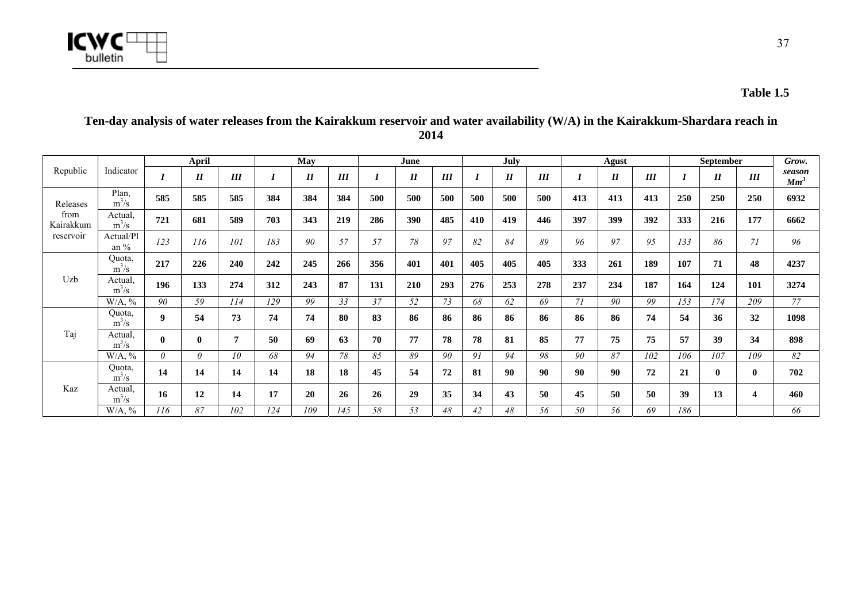

#### **April May June July Agust September**  Republic Indicator *I II III I II III I II III I II III I II III I II III*  $III$ *Grow. season Mm<sup>3</sup>* Plan,<br> $m^3/s$ m3/s **585 585 585 384 384 384 500 500 500 500 500 500 413 413 413 250 250 250 6932**  Actual,<br> $m^3/s$ m3/s **721 681 589 703 343 219 286 390 485 410 419 446 397 399 392 333 216 177 6662**  Releases from Kairakkum reservoir Actual/Pl an % *123 116 101 183 90 57 57 78 97 82 84 89 96 97 95 133 86 71 96*  Quota,<br> $m^3/s$ m3/s **217 226 240 242 245 266 356 401 401 405 405 405 333 261 189 107 71 48 4237**  Actual,<br> $m^3/s$ m3/s **196 133 274 312 243 87 131 210 293 276 253 278 237 234 187 164 124 101 3274** Uzb W/A, % *90 59 114 129 99 33 37 52 73 68 62 69 71 90 99 153 174 209 77*  Quota,  $m^3/s$ m3/s **9 54 73 74 74 80 83 86 86 86 86 86 86 86 74 54 36 32 1098**  Actual,<br> $m^3/s$ m3/s **0 0 7 50 69 63 70 77 78 78 81 85 77 75 75 57 39 34 898** Taj W/A, % *0 0 10 68 94 78 85 89 90 91 94 98 90 87 102 106 107 109 82*  Quota,  $m^3/s$ m3/s **14 14 14 14 18 18 45 54 72 81 90 90 90 90 72 21 0 0 702**  Actual, m3/s **16 12 14 17 20 26 26 29 35 34 43 50 45 50 50 39 13 4 460** Kaz W/A, % *116 87 102 124 109 145 58 53 48 42 48 56 50 56 69 186 66*

#### **Ten-day analysis of water releases from the Kairakkum reservoir and water availability (W/A) in the Kairakkum-Shardara reach in 2014**

**Table 1.5**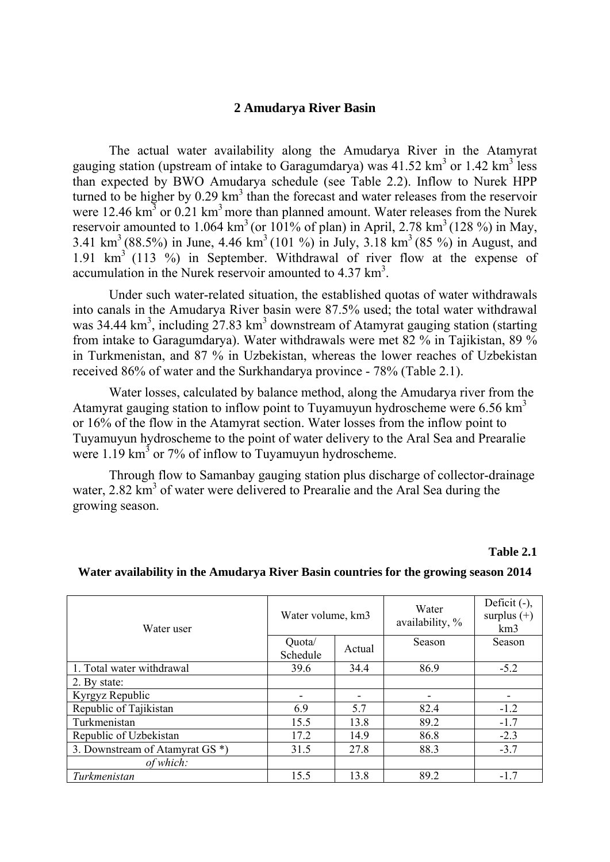#### **2 Amudarya River Basin**

The actual water availability along the Amudarya River in the Atamyrat gauging station (upstream of intake to Garagumdarya) was  $41.52 \text{ km}^3$  or  $1.42 \text{ km}^3$  less than expected by BWO Amudarya schedule (see Table 2.2). Inflow to Nurek HPP turned to be higher by  $0.29 \text{ km}^3$  than the forecast and water releases from the reservoir were 12.46  $\text{km}^3$  or 0.21  $\text{km}^3$  more than planned amount. Water releases from the Nurek reservoir amounted to 1.064 km<sup>3</sup> (or 101% of plan) in April, 2.78 km<sup>3</sup> (128 %) in May, 3.41 km<sup>3</sup> (88.5%) in June, 4.46 km<sup>3</sup> (101 %) in July, 3.18 km<sup>3</sup> (85 %) in August, and 1.91 km3 (113 %) in September. Withdrawal of river flow at the expense of accumulation in the Nurek reservoir amounted to  $4.37 \text{ km}^3$ .

Under such water-related situation, the established quotas of water withdrawals into canals in the Amudarya River basin were 87.5% used; the total water withdrawal was 34.44 km<sup>3</sup>, including  $27.83 \text{ km}^3$  downstream of Atamyrat gauging station (starting from intake to Garagumdarya). Water withdrawals were met 82 % in Tajikistan, 89 % in Turkmenistan, and 87 % in Uzbekistan, whereas the lower reaches of Uzbekistan received 86% of water and the Surkhandarya province - 78% (Table 2.1).

Water losses, calculated by balance method, along the Amudarya river from the Atamyrat gauging station to inflow point to Tuyamuyun hydroscheme were  $6.56 \text{ km}^3$ or 16% of the flow in the Atamyrat section. Water losses from the inflow point to Tuyamuyun hydroscheme to the point of water delivery to the Aral Sea and Prearalie were  $1.19 \text{ km}^3$  or 7% of inflow to Tuyamuyun hydroscheme.

Through flow to Samanbay gauging station plus discharge of collector-drainage water, 2.82 km<sup>3</sup> of water were delivered to Prearalie and the Aral Sea during the growing season.

**Table 2.1** 

| Water user                      | Water volume, km3  |        | Water<br>availability, % | Deficit $(-)$ ,<br>surplus $(+)$<br>km3 |
|---------------------------------|--------------------|--------|--------------------------|-----------------------------------------|
|                                 | Quota/<br>Schedule | Actual | Season                   | Season                                  |
| 1. Total water withdrawal       | 39.6               | 34.4   | 86.9                     | $-5.2$                                  |
| 2. By state:                    |                    |        |                          |                                         |
| Kyrgyz Republic                 |                    |        |                          |                                         |
| Republic of Tajikistan          | 6.9                | 5.7    | 82.4                     | $-1.2$                                  |
| Turkmenistan                    | 15.5               | 13.8   | 89.2                     | $-1.7$                                  |
| Republic of Uzbekistan          | 17.2               | 14.9   | 86.8                     | $-2.3$                                  |
| 3. Downstream of Atamyrat GS *) | 31.5               | 27.8   | 88.3                     | $-3.7$                                  |
| of which:                       |                    |        |                          |                                         |
| Turkmenistan                    | 15.5               | 13.8   | 89.2                     | $-1.7$                                  |

#### **Water availability in the Amudarya River Basin countries for the growing season 2014**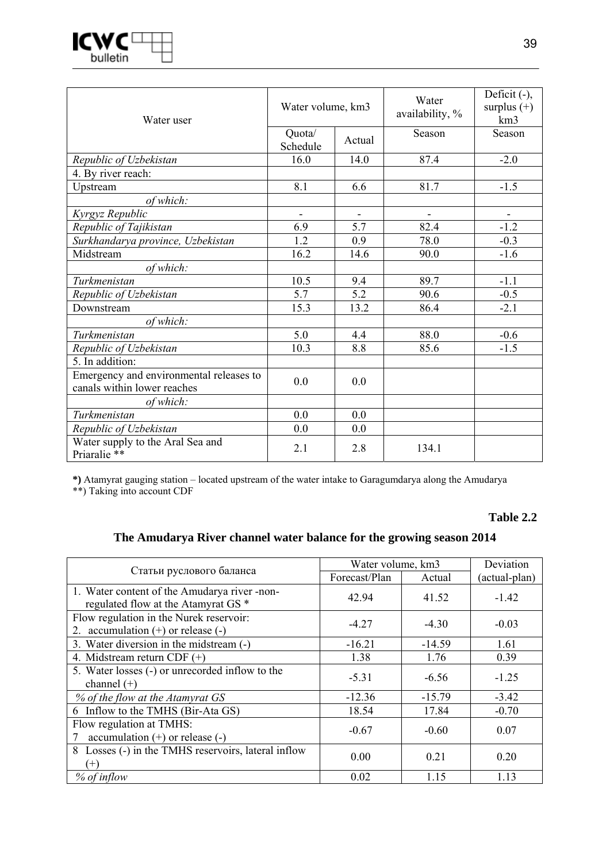

| Water user                                                             | Water volume, km3  |        | Water<br>availability, % | Deficit (-),<br>surplus $(+)$<br>km <sub>3</sub> |
|------------------------------------------------------------------------|--------------------|--------|--------------------------|--------------------------------------------------|
|                                                                        | Quota/<br>Schedule | Actual | Season                   | Season                                           |
| Republic of Uzbekistan                                                 | 16.0               | 14.0   | 87.4                     | $-2.0$                                           |
| 4. By river reach:                                                     |                    |        |                          |                                                  |
| Upstream                                                               | 8.1                | 6.6    | 81.7                     | $-1.5$                                           |
| of which:                                                              |                    |        |                          |                                                  |
| Kyrgyz Republic                                                        |                    |        |                          |                                                  |
| Republic of Tajikistan                                                 | 6.9                | 5.7    | 82.4                     | $-1.2$                                           |
| Surkhandarya province, Uzbekistan                                      | 1.2                | 0.9    | 78.0                     | $-0.3$                                           |
| Midstream                                                              | 16.2               | 14.6   | 90.0                     | $-1.6$                                           |
| of which:                                                              |                    |        |                          |                                                  |
| Turkmenistan                                                           | 10.5               | 9.4    | 89.7                     | $-1.1$                                           |
| Republic of Uzbekistan                                                 | 5.7                | 5.2    | 90.6                     | $-0.5$                                           |
| Downstream                                                             | 15.3               | 13.2   | 86.4                     | $-2.1$                                           |
| of which:                                                              |                    |        |                          |                                                  |
| Turkmenistan                                                           | 5.0                | 4.4    | 88.0                     | $-0.6$                                           |
| Republic of Uzbekistan                                                 | 10.3               | 8.8    | 85.6                     | $-1.5$                                           |
| 5. In addition:                                                        |                    |        |                          |                                                  |
| Emergency and environmental releases to<br>canals within lower reaches | 0.0                | 0.0    |                          |                                                  |
| of which:                                                              |                    |        |                          |                                                  |
| Turkmenistan                                                           | 0.0                | 0.0    |                          |                                                  |
| Republic of Uzbekistan                                                 | 0.0                | 0.0    |                          |                                                  |
| Water supply to the Aral Sea and<br>Priaralie **                       | 2.1                | 2.8    | 134.1                    |                                                  |

**\*)** Atamyrat gauging station – located upstream of the water intake to Garagumdarya along the Amudarya

\*\*) Taking into account CDF

#### **Table 2.2**

### **The Amudarya River channel water balance for the growing season 2014**

|                                                     | Water volume, km3 | Deviation |               |
|-----------------------------------------------------|-------------------|-----------|---------------|
| Статьи руслового баланса                            | Forecast/Plan     | Actual    | (actual-plan) |
| 1. Water content of the Amudarya river -non-        | 42.94             | 41.52     | $-1.42$       |
| regulated flow at the Atamyrat GS <sup>*</sup>      |                   |           |               |
| Flow regulation in the Nurek reservoir:             | $-4.27$           | $-4.30$   | $-0.03$       |
| 2. accumulation $(+)$ or release $(-)$              |                   |           |               |
| 3. Water diversion in the midstream (-)             | $-16.21$          | $-14.59$  | 1.61          |
| 4. Midstream return CDF $(+)$                       | 1.38              | 1.76      | 0.39          |
| 5. Water losses (-) or unrecorded inflow to the     | $-5.31$           | $-6.56$   | $-1.25$       |
| channel $(+)$                                       |                   |           |               |
| % of the flow at the Atamyrat GS                    | $-12.36$          | $-15.79$  | $-3.42$       |
| 6 Inflow to the TMHS (Bir-Ata GS)                   | 18.54             | 17.84     | $-0.70$       |
| Flow regulation at TMHS:                            |                   |           |               |
| accumulation $(+)$ or release $(-)$                 | $-0.67$           | $-0.60$   | 0.07          |
| 8 Losses (-) in the TMHS reservoirs, lateral inflow | 0.00              | 0.21      | 0.20          |
| $(+)$                                               |                   |           |               |
| $%$ of inflow                                       | 0.02              | 1.15      | 1.13          |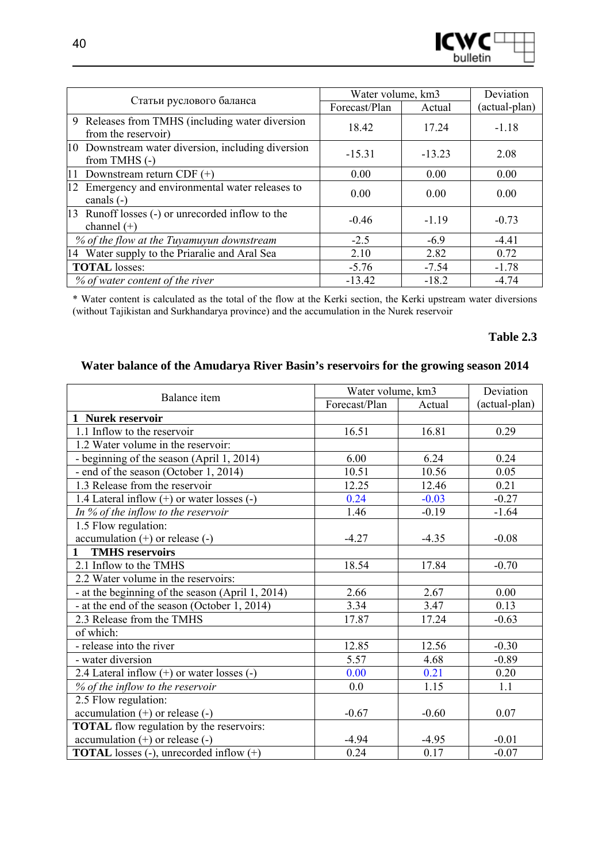

| Статьи руслового баланса                                               | Water volume, km3 | Deviation |               |
|------------------------------------------------------------------------|-------------------|-----------|---------------|
|                                                                        | Forecast/Plan     | Actual    | (actual-plan) |
| 9 Releases from TMHS (including water diversion<br>from the reservoir) | 18.42             | 17.24     | $-1.18$       |
| 10 Downstream water diversion, including diversion<br>from TMHS $(-)$  | $-15.31$          | $-13.23$  | 2.08          |
| 11<br>Downstream return CDF $(+)$                                      | 0.00              | 0.00      | 0.00          |
| 12 Emergency and environmental water releases to<br>canals $(-)$       | 0.00              | 0.00      | 0.00          |
| 13 Runoff losses (-) or unrecorded inflow to the<br>channel $(+)$      | $-0.46$           | $-1.19$   | $-0.73$       |
| % of the flow at the Tuyamuyun downstream                              | $-2.5$            | $-6.9$    | $-4.41$       |
| 14 Water supply to the Priaralie and Aral Sea                          | 2.10              | 2.82      | 0.72          |
| <b>TOTAL</b> losses:                                                   | $-5.76$           | $-7.54$   | $-1.78$       |
| % of water content of the river                                        | $-13.42$          | $-18.2$   | $-4.74$       |

\* Water content is calculated as the total of the flow at the Kerki section, the Kerki upstream water diversions (without Tajikistan and Surkhandarya province) and the accumulation in the Nurek reservoir

#### **Table 2.3**

### **Water balance of the Amudarya River Basin's reservoirs for the growing season 2014**

| Balance item                                        | Water volume, km3 |         | Deviation     |
|-----------------------------------------------------|-------------------|---------|---------------|
|                                                     | Forecast/Plan     | Actual  | (actual-plan) |
| 1 Nurek reservoir                                   |                   |         |               |
| 1.1 Inflow to the reservoir                         | 16.51             | 16.81   | 0.29          |
| 1.2 Water volume in the reservoir:                  |                   |         |               |
| - beginning of the season (April 1, 2014)           | 6.00              | 6.24    | 0.24          |
| - end of the season (October 1, 2014)               | 10.51             | 10.56   | 0.05          |
| 1.3 Release from the reservoir                      | 12.25             | 12.46   | 0.21          |
| 1.4 Lateral inflow (+) or water losses (-)          | 0.24              | $-0.03$ | $-0.27$       |
| In $%$ of the inflow to the reservoir               | 1.46              | $-0.19$ | $-1.64$       |
| 1.5 Flow regulation:                                |                   |         |               |
| $accumulation (+)$ or release $(-)$                 | $-4.27$           | $-4.35$ | $-0.08$       |
| <b>TMHS</b> reservoirs<br>1                         |                   |         |               |
| 2.1 Inflow to the TMHS                              | 18.54             | 17.84   | $-0.70$       |
| 2.2 Water volume in the reservoirs:                 |                   |         |               |
| - at the beginning of the season (April 1, 2014)    | 2.66              | 2.67    | 0.00          |
| - at the end of the season (October 1, 2014)        | 3.34              | 3.47    | 0.13          |
| 2.3 Release from the TMHS                           | 17.87             | 17.24   | $-0.63$       |
| of which:                                           |                   |         |               |
| - release into the river                            | 12.85             | 12.56   | $-0.30$       |
| - water diversion                                   | 5.57              | 4.68    | $-0.89$       |
| 2.4 Lateral inflow $(+)$ or water losses $(-)$      | 0.00              | 0.21    | 0.20          |
| % of the inflow to the reservoir                    | 0.0               | 1.15    | 1.1           |
| 2.5 Flow regulation:                                |                   |         |               |
| accumulation (+) or release (-)                     | $-0.67$           | $-0.60$ | 0.07          |
| <b>TOTAL</b> flow regulation by the reservoirs:     |                   |         |               |
| accumulation $(+)$ or release $(-)$                 | $-4.94$           | $-4.95$ | $-0.01$       |
| <b>TOTAL</b> losses $(-)$ , unrecorded inflow $(+)$ | 0.24              | 0.17    | $-0.07$       |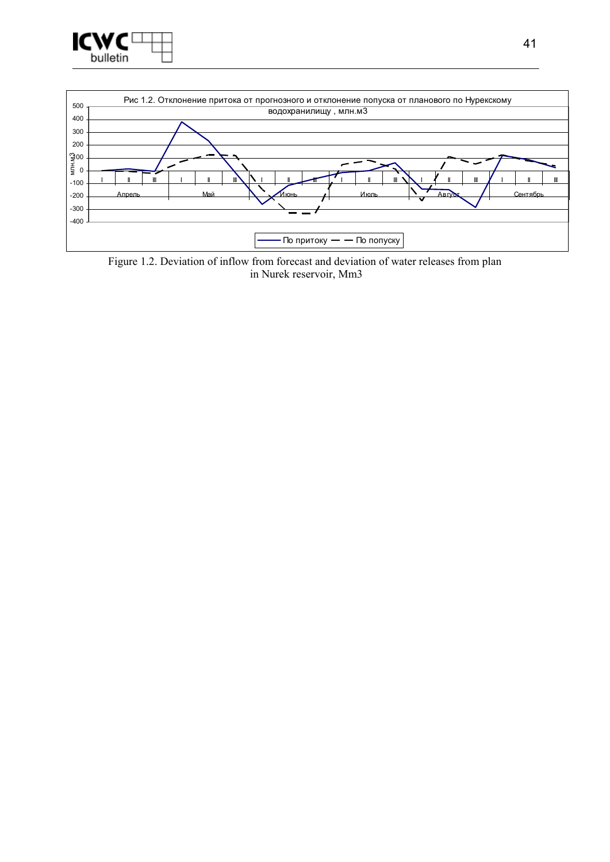



Figure 1.2. Deviation of inflow from forecast and deviation of water releases from plan in Nurek reservoir, Mm3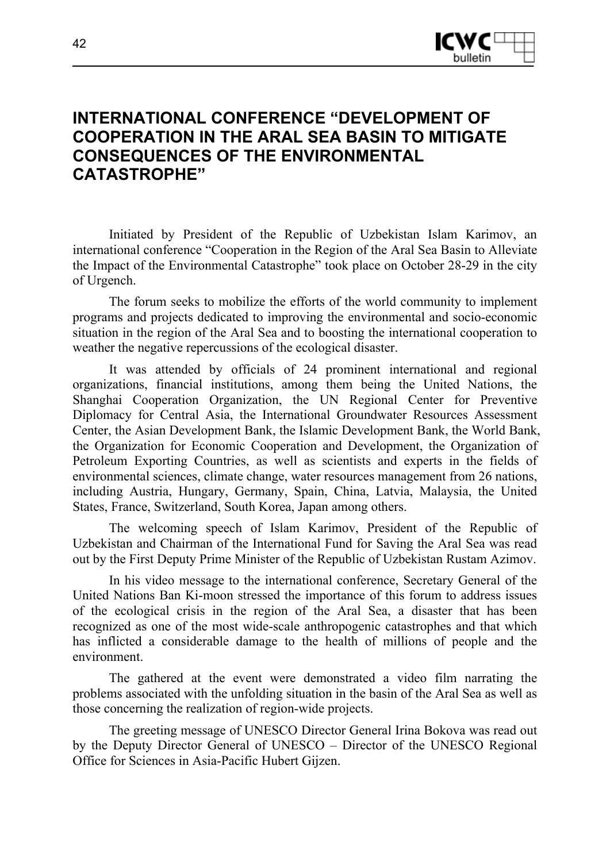

# **INTERNATIONAL CONFERENCE "DEVELOPMENT OF COOPERATION IN THE ARAL SEA BASIN TO MITIGATE CONSEQUENCES OF THE ENVIRONMENTAL CATASTROPHE"**

Initiated by President of the Republic of Uzbekistan Islam Karimov, an international conference "Cooperation in the Region of the Aral Sea Basin to Alleviate the Impact of the Environmental Catastrophe" took place on October 28-29 in the city of Urgench.

The forum seeks to mobilize the efforts of the world community to implement programs and projects dedicated to improving the environmental and socio-economic situation in the region of the Aral Sea and to boosting the international cooperation to weather the negative repercussions of the ecological disaster.

It was attended by officials of 24 prominent international and regional organizations, financial institutions, among them being the United Nations, the Shanghai Cooperation Organization, the UN Regional Center for Preventive Diplomacy for Central Asia, the International Groundwater Resources Assessment Center, the Asian Development Bank, the Islamic Development Bank, the World Bank, the Organization for Economic Cooperation and Development, the Organization of Petroleum Exporting Countries, as well as scientists and experts in the fields of environmental sciences, climate change, water resources management from 26 nations, including Austria, Hungary, Germany, Spain, China, Latvia, Malaysia, the United States, France, Switzerland, South Korea, Japan among others.

The welcoming speech of Islam Karimov, President of the Republic of Uzbekistan and Chairman of the International Fund for Saving the Aral Sea was read out by the First Deputy Prime Minister of the Republic of Uzbekistan Rustam Azimov.

In his video message to the international conference, Secretary General of the United Nations Ban Ki-moon stressed the importance of this forum to address issues of the ecological crisis in the region of the Aral Sea, a disaster that has been recognized as one of the most wide-scale anthropogenic catastrophes and that which has inflicted a considerable damage to the health of millions of people and the environment.

The gathered at the event were demonstrated a video film narrating the problems associated with the unfolding situation in the basin of the Aral Sea as well as those concerning the realization of region-wide projects.

The greeting message of UNESCO Director General Irina Bokova was read out by the Deputy Director General of UNESCO – Director of the UNESCO Regional Office for Sciences in Asia-Pacific Hubert Gijzen.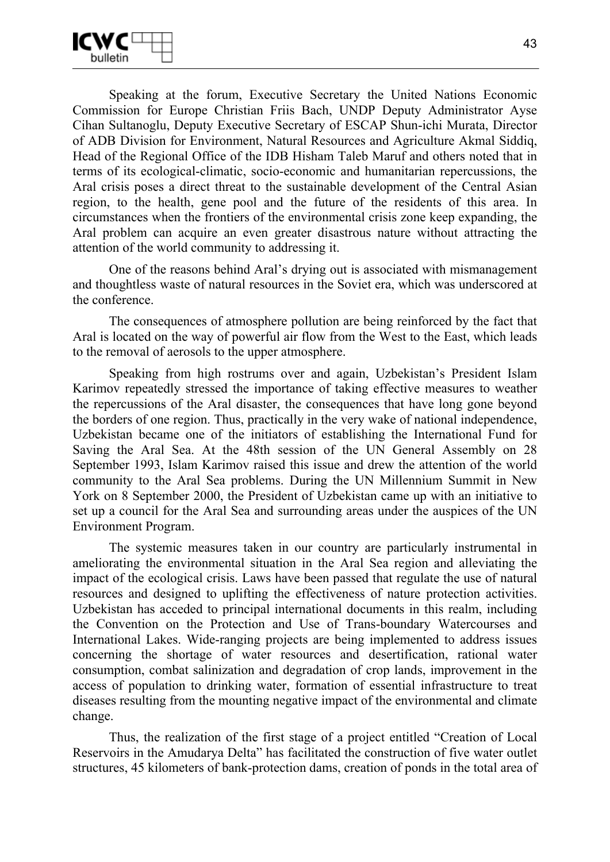

Speaking at the forum, Executive Secretary the United Nations Economic Commission for Europe Christian Friis Bach, UNDP Deputy Administrator Ayse Cihan Sultanoglu, Deputy Executive Secretary of ESCAP Shun-ichi Murata, Director of ADB Division for Environment, Natural Resources and Agriculture Akmal Siddiq, Head of the Regional Office of the IDB Hisham Taleb Maruf and others noted that in terms of its ecological-climatic, socio-economic and humanitarian repercussions, the Aral crisis poses a direct threat to the sustainable development of the Central Asian region, to the health, gene pool and the future of the residents of this area. In circumstances when the frontiers of the environmental crisis zone keep expanding, the Aral problem can acquire an even greater disastrous nature without attracting the attention of the world community to addressing it.

One of the reasons behind Aral's drying out is associated with mismanagement and thoughtless waste of natural resources in the Soviet era, which was underscored at the conference.

The consequences of atmosphere pollution are being reinforced by the fact that Aral is located on the way of powerful air flow from the West to the East, which leads to the removal of aerosols to the upper atmosphere.

Speaking from high rostrums over and again, Uzbekistan's President Islam Karimov repeatedly stressed the importance of taking effective measures to weather the repercussions of the Aral disaster, the consequences that have long gone beyond the borders of one region. Thus, practically in the very wake of national independence, Uzbekistan became one of the initiators of establishing the International Fund for Saving the Aral Sea. At the 48th session of the UN General Assembly on 28 September 1993, Islam Karimov raised this issue and drew the attention of the world community to the Aral Sea problems. During the UN Millennium Summit in New York on 8 September 2000, the President of Uzbekistan came up with an initiative to set up a council for the Aral Sea and surrounding areas under the auspices of the UN Environment Program.

The systemic measures taken in our country are particularly instrumental in ameliorating the environmental situation in the Aral Sea region and alleviating the impact of the ecological crisis. Laws have been passed that regulate the use of natural resources and designed to uplifting the effectiveness of nature protection activities. Uzbekistan has acceded to principal international documents in this realm, including the Convention on the Protection and Use of Trans-boundary Watercourses and International Lakes. Wide-ranging projects are being implemented to address issues concerning the shortage of water resources and desertification, rational water consumption, combat salinization and degradation of crop lands, improvement in the access of population to drinking water, formation of essential infrastructure to treat diseases resulting from the mounting negative impact of the environmental and climate change.

Thus, the realization of the first stage of a project entitled "Creation of Local Reservoirs in the Amudarya Delta" has facilitated the construction of five water outlet structures, 45 kilometers of bank-protection dams, creation of ponds in the total area of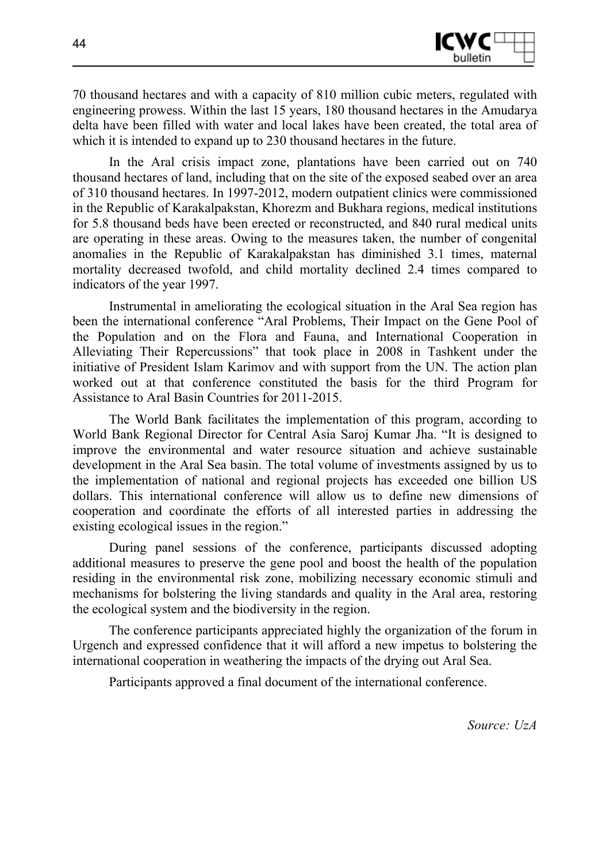

70 thousand hectares and with a capacity of 810 million cubic meters, regulated with engineering prowess. Within the last 15 years, 180 thousand hectares in the Amudarya delta have been filled with water and local lakes have been created, the total area of which it is intended to expand up to 230 thousand hectares in the future.

In the Aral crisis impact zone, plantations have been carried out on 740 thousand hectares of land, including that on the site of the exposed seabed over an area of 310 thousand hectares. In 1997-2012, modern outpatient clinics were commissioned in the Republic of Karakalpakstan, Khorezm and Bukhara regions, medical institutions for 5.8 thousand beds have been erected or reconstructed, and 840 rural medical units are operating in these areas. Owing to the measures taken, the number of congenital anomalies in the Republic of Karakalpakstan has diminished 3.1 times, maternal mortality decreased twofold, and child mortality declined 2.4 times compared to indicators of the year 1997.

Instrumental in ameliorating the ecological situation in the Aral Sea region has been the international conference "Aral Problems, Their Impact on the Gene Pool of the Population and on the Flora and Fauna, and International Cooperation in Alleviating Their Repercussions" that took place in 2008 in Tashkent under the initiative of President Islam Karimov and with support from the UN. The action plan worked out at that conference constituted the basis for the third Program for Assistance to Aral Basin Countries for 2011-2015.

The World Bank facilitates the implementation of this program, according to World Bank Regional Director for Central Asia Saroj Kumar Jha. "It is designed to improve the environmental and water resource situation and achieve sustainable development in the Aral Sea basin. The total volume of investments assigned by us to the implementation of national and regional projects has exceeded one billion US dollars. This international conference will allow us to define new dimensions of cooperation and coordinate the efforts of all interested parties in addressing the existing ecological issues in the region."

During panel sessions of the conference, participants discussed adopting additional measures to preserve the gene pool and boost the health of the population residing in the environmental risk zone, mobilizing necessary economic stimuli and mechanisms for bolstering the living standards and quality in the Aral area, restoring the ecological system and the biodiversity in the region.

The conference participants appreciated highly the organization of the forum in Urgench and expressed confidence that it will afford a new impetus to bolstering the international cooperation in weathering the impacts of the drying out Aral Sea.

Participants approved a final document of the international conference.

*Source: UzA*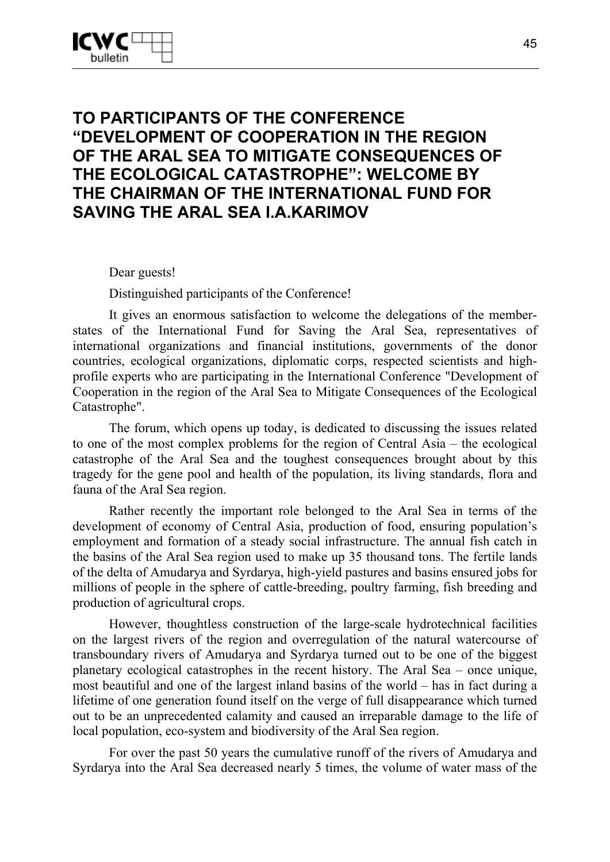# **TO PARTICIPANTS OF THE CONFERENCE "DEVELOPMENT OF COOPERATION IN THE REGION OF THE ARAL SEA TO MITIGATE CONSEQUENCES OF THE ECOLOGICAL CATASTROPHE": WELCOME BY THE CHAIRMAN OF THE INTERNATIONAL FUND FOR SAVING THE ARAL SEA I.A.KARIMOV**

Dear guests!

Distinguished participants of the Conference!

It gives an enormous satisfaction to welcome the delegations of the memberstates of the International Fund for Saving the Aral Sea, representatives of international organizations and financial institutions, governments of the donor countries, ecological organizations, diplomatic corps, respected scientists and highprofile experts who are participating in the International Conference "Development of Cooperation in the region of the Aral Sea to Mitigate Consequences of the Ecological Catastrophe".

The forum, which opens up today, is dedicated to discussing the issues related to one of the most complex problems for the region of Central Asia – the ecological catastrophe of the Aral Sea and the toughest consequences brought about by this tragedy for the gene pool and health of the population, its living standards, flora and fauna of the Aral Sea region.

Rather recently the important role belonged to the Aral Sea in terms of the development of economy of Central Asia, production of food, ensuring population's employment and formation of a steady social infrastructure. The annual fish catch in the basins of the Aral Sea region used to make up 35 thousand tons. The fertile lands of the delta of Amudarya and Syrdarya, high-yield pastures and basins ensured jobs for millions of people in the sphere of cattle-breeding, poultry farming, fish breeding and production of agricultural crops.

However, thoughtless construction of the large-scale hydrotechnical facilities on the largest rivers of the region and overregulation of the natural watercourse of transboundary rivers of Amudarya and Syrdarya turned out to be one of the biggest planetary ecological catastrophes in the recent history. The Aral Sea – once unique, most beautiful and one of the largest inland basins of the world – has in fact during a lifetime of one generation found itself on the verge of full disappearance which turned out to be an unprecedented calamity and caused an irreparable damage to the life of local population, eco-system and biodiversity of the Aral Sea region.

For over the past 50 years the cumulative runoff of the rivers of Amudarya and Syrdarya into the Aral Sea decreased nearly 5 times, the volume of water mass of the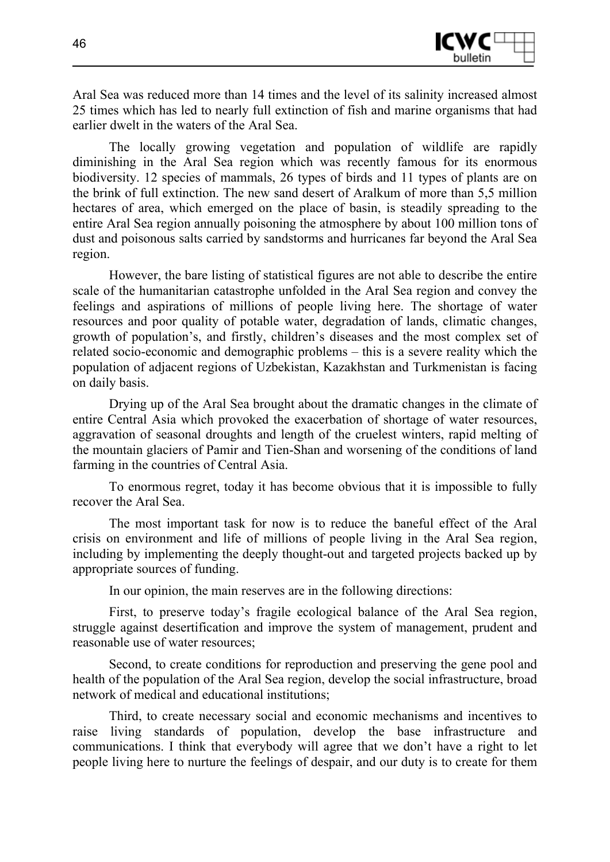

Aral Sea was reduced more than 14 times and the level of its salinity increased almost 25 times which has led to nearly full extinction of fish and marine organisms that had earlier dwelt in the waters of the Aral Sea.

The locally growing vegetation and population of wildlife are rapidly diminishing in the Aral Sea region which was recently famous for its enormous biodiversity. 12 species of mammals, 26 types of birds and 11 types of plants are on the brink of full extinction. The new sand desert of Aralkum of more than 5,5 million hectares of area, which emerged on the place of basin, is steadily spreading to the entire Aral Sea region annually poisoning the atmosphere by about 100 million tons of dust and poisonous salts carried by sandstorms and hurricanes far beyond the Aral Sea region.

However, the bare listing of statistical figures are not able to describe the entire scale of the humanitarian catastrophe unfolded in the Aral Sea region and convey the feelings and aspirations of millions of people living here. The shortage of water resources and poor quality of potable water, degradation of lands, climatic changes, growth of population's, and firstly, children's diseases and the most complex set of related socio-economic and demographic problems – this is a severe reality which the population of adjacent regions of Uzbekistan, Kazakhstan and Turkmenistan is facing on daily basis.

Drying up of the Aral Sea brought about the dramatic changes in the climate of entire Central Asia which provoked the exacerbation of shortage of water resources, aggravation of seasonal droughts and length of the cruelest winters, rapid melting of the mountain glaciers of Pamir and Tien-Shan and worsening of the conditions of land farming in the countries of Central Asia.

To enormous regret, today it has become obvious that it is impossible to fully recover the Aral Sea.

The most important task for now is to reduce the baneful effect of the Aral crisis on environment and life of millions of people living in the Aral Sea region, including by implementing the deeply thought-out and targeted projects backed up by appropriate sources of funding.

In our opinion, the main reserves are in the following directions:

First, to preserve today's fragile ecological balance of the Aral Sea region, struggle against desertification and improve the system of management, prudent and reasonable use of water resources;

Second, to create conditions for reproduction and preserving the gene pool and health of the population of the Aral Sea region, develop the social infrastructure, broad network of medical and educational institutions;

Third, to create necessary social and economic mechanisms and incentives to raise living standards of population, develop the base infrastructure and communications. I think that everybody will agree that we don't have a right to let people living here to nurture the feelings of despair, and our duty is to create for them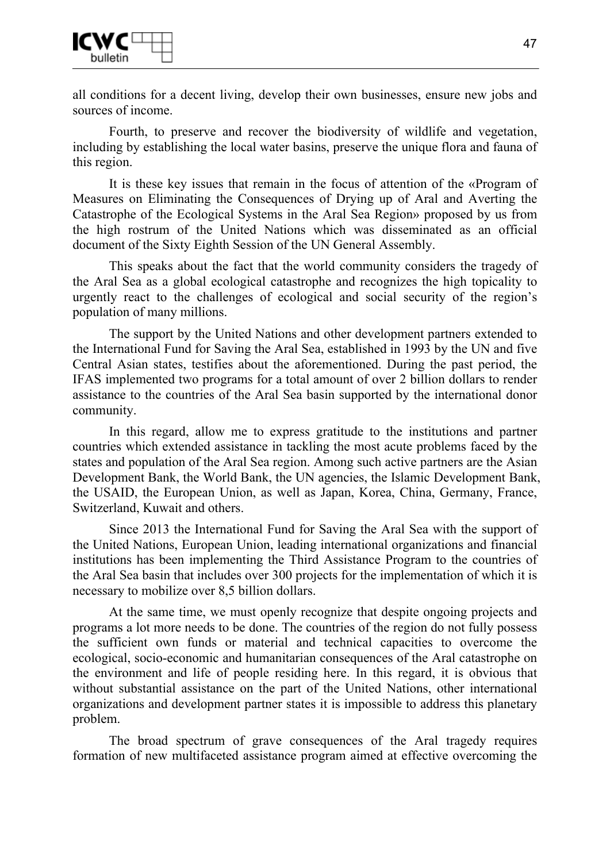

all conditions for a decent living, develop their own businesses, ensure new jobs and sources of income.

Fourth, to preserve and recover the biodiversity of wildlife and vegetation, including by establishing the local water basins, preserve the unique flora and fauna of this region.

It is these key issues that remain in the focus of attention of the «Program of Measures on Eliminating the Consequences of Drying up of Aral and Averting the Catastrophe of the Ecological Systems in the Aral Sea Region» proposed by us from the high rostrum of the United Nations which was disseminated as an official document of the Sixty Eighth Session of the UN General Assembly.

This speaks about the fact that the world community considers the tragedy of the Aral Sea as a global ecological catastrophe and recognizes the high topicality to urgently react to the challenges of ecological and social security of the region's population of many millions.

The support by the United Nations and other development partners extended to the International Fund for Saving the Aral Sea, established in 1993 by the UN and five Central Asian states, testifies about the aforementioned. During the past period, the IFAS implemented two programs for a total amount of over 2 billion dollars to render assistance to the countries of the Aral Sea basin supported by the international donor community.

In this regard, allow me to express gratitude to the institutions and partner countries which extended assistance in tackling the most acute problems faced by the states and population of the Aral Sea region. Among such active partners are the Asian Development Bank, the World Bank, the UN agencies, the Islamic Development Bank, the USAID, the European Union, as well as Japan, Korea, China, Germany, France, Switzerland, Kuwait and others.

Since 2013 the International Fund for Saving the Aral Sea with the support of the United Nations, European Union, leading international organizations and financial institutions has been implementing the Third Assistance Program to the countries of the Aral Sea basin that includes over 300 projects for the implementation of which it is necessary to mobilize over 8,5 billion dollars.

At the same time, we must openly recognize that despite ongoing projects and programs a lot more needs to be done. The countries of the region do not fully possess the sufficient own funds or material and technical capacities to overcome the ecological, socio-economic and humanitarian consequences of the Aral catastrophe on the environment and life of people residing here. In this regard, it is obvious that without substantial assistance on the part of the United Nations, other international organizations and development partner states it is impossible to address this planetary problem.

The broad spectrum of grave consequences of the Aral tragedy requires formation of new multifaceted assistance program aimed at effective overcoming the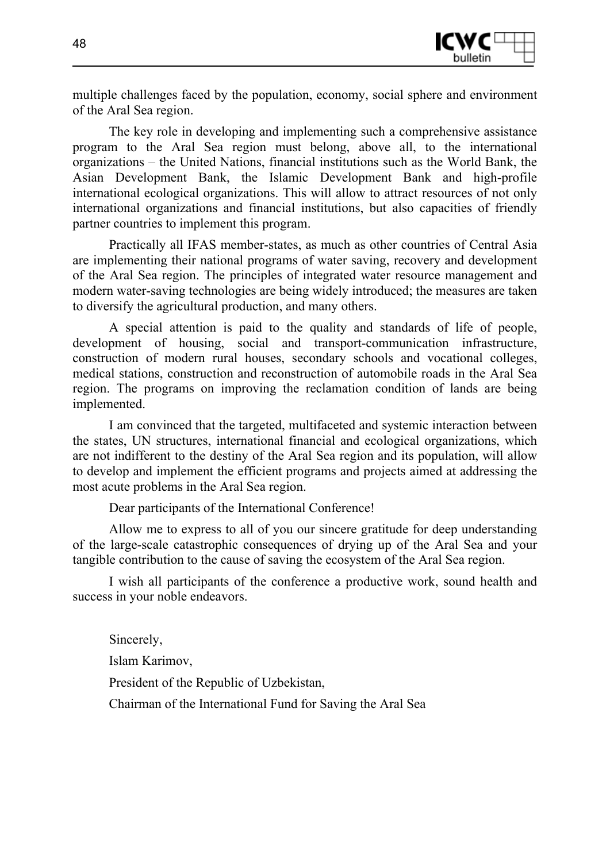

multiple challenges faced by the population, economy, social sphere and environment of the Aral Sea region.

The key role in developing and implementing such a comprehensive assistance program to the Aral Sea region must belong, above all, to the international organizations – the United Nations, financial institutions such as the World Bank, the Asian Development Bank, the Islamic Development Bank and high-profile international ecological organizations. This will allow to attract resources of not only international organizations and financial institutions, but also capacities of friendly partner countries to implement this program.

Practically all IFAS member-states, as much as other countries of Central Asia are implementing their national programs of water saving, recovery and development of the Aral Sea region. The principles of integrated water resource management and modern water-saving technologies are being widely introduced; the measures are taken to diversify the agricultural production, and many others.

A special attention is paid to the quality and standards of life of people, development of housing, social and transport-communication infrastructure, construction of modern rural houses, secondary schools and vocational colleges, medical stations, construction and reconstruction of automobile roads in the Aral Sea region. The programs on improving the reclamation condition of lands are being implemented.

I am convinced that the targeted, multifaceted and systemic interaction between the states, UN structures, international financial and ecological organizations, which are not indifferent to the destiny of the Aral Sea region and its population, will allow to develop and implement the efficient programs and projects aimed at addressing the most acute problems in the Aral Sea region.

Dear participants of the International Conference!

Allow me to express to all of you our sincere gratitude for deep understanding of the large-scale catastrophic consequences of drying up of the Aral Sea and your tangible contribution to the cause of saving the ecosystem of the Aral Sea region.

I wish all participants of the conference a productive work, sound health and success in your noble endeavors.

Sincerely, Islam Karimov, President of the Republic of Uzbekistan, Chairman of the International Fund for Saving the Aral Sea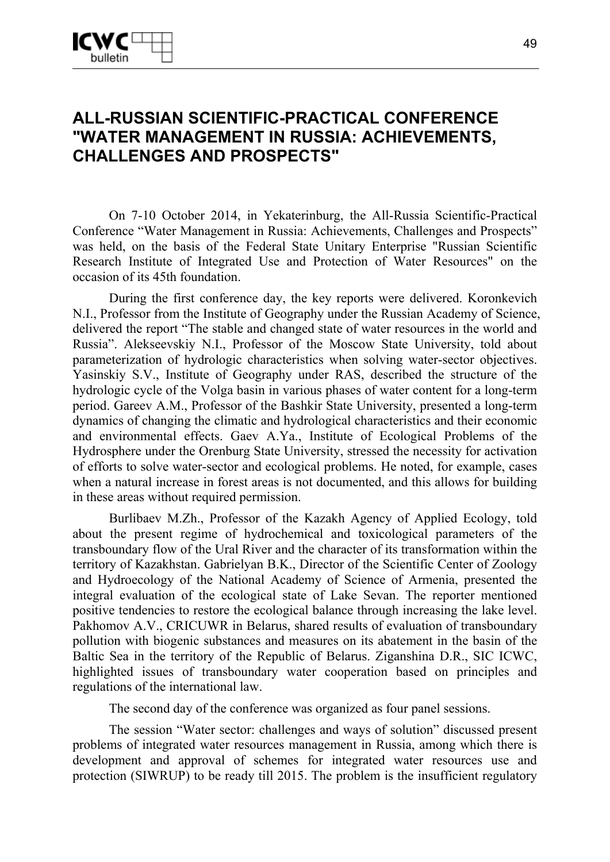# **ALL-RUSSIAN SCIENTIFIC-PRACTICAL CONFERENCE "WATER MANAGEMENT IN RUSSIA: ACHIEVEMENTS, CHALLENGES AND PROSPECTS"**

On 7-10 October 2014, in Yekaterinburg, the All-Russia Scientific-Practical Conference "Water Management in Russia: Achievements, Challenges and Prospects" was held, on the basis of the Federal State Unitary Enterprise "Russian Scientific Research Institute of Integrated Use and Protection of Water Resources" on the occasion of its 45th foundation.

During the first conference day, the key reports were delivered. Koronkevich N.I., Professor from the Institute of Geography under the Russian Academy of Science, delivered the report "The stable and changed state of water resources in the world and Russia". Alekseevskiy N.I., Professor of the Moscow State University, told about parameterization of hydrologic characteristics when solving water-sector objectives. Yasinskiy S.V., Institute of Geography under RAS, described the structure of the hydrologic cycle of the Volga basin in various phases of water content for a long-term period. Gareev A.M., Professor of the Bashkir State University, presented a long-term dynamics of changing the climatic and hydrological characteristics and their economic and environmental effects. Gaev A.Ya., Institute of Ecological Problems of the Hydrosphere under the Orenburg State University, stressed the necessity for activation of efforts to solve water-sector and ecological problems. He noted, for example, cases when a natural increase in forest areas is not documented, and this allows for building in these areas without required permission.

Burlibaev M.Zh., Professor of the Kazakh Agency of Applied Ecology, told about the present regime of hydrochemical and toxicological parameters of the transboundary flow of the Ural River and the character of its transformation within the territory of Kazakhstan. Gabrielyan B.K., Director of the Scientific Center of Zoology and Hydroecology of the National Academy of Science of Armenia, presented the integral evaluation of the ecological state of Lake Sevan. The reporter mentioned positive tendencies to restore the ecological balance through increasing the lake level. Pakhomov A.V., CRICUWR in Belarus, shared results of evaluation of transboundary pollution with biogenic substances and measures on its abatement in the basin of the Baltic Sea in the territory of the Republic of Belarus. Ziganshina D.R., SIC ICWC, highlighted issues of transboundary water cooperation based on principles and regulations of the international law.

The second day of the conference was organized as four panel sessions.

The session "Water sector: challenges and ways of solution" discussed present problems of integrated water resources management in Russia, among which there is development and approval of schemes for integrated water resources use and protection (SIWRUP) to be ready till 2015. The problem is the insufficient regulatory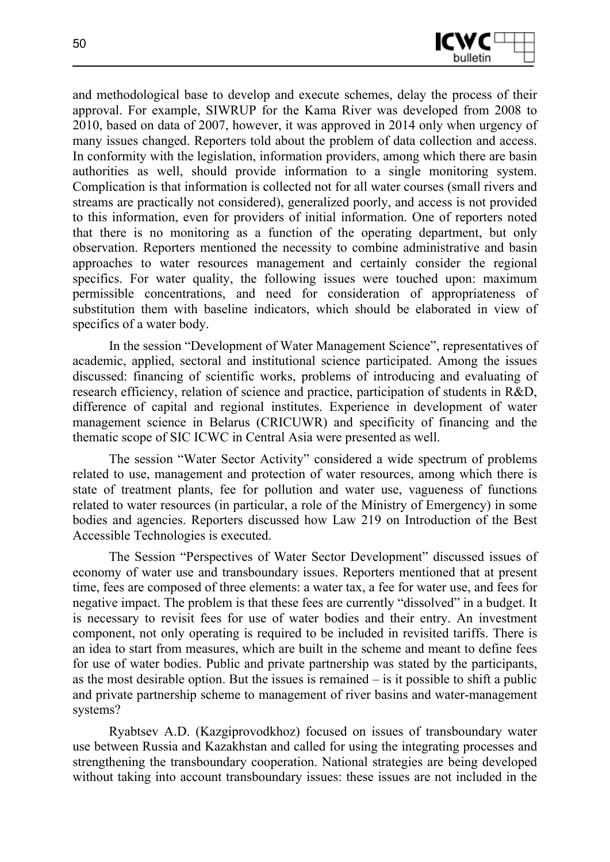

and methodological base to develop and execute schemes, delay the process of their approval. For example, SIWRUP for the Kama River was developed from 2008 to 2010, based on data of 2007, however, it was approved in 2014 only when urgency of many issues changed. Reporters told about the problem of data collection and access. In conformity with the legislation, information providers, among which there are basin authorities as well, should provide information to a single monitoring system. Complication is that information is collected not for all water courses (small rivers and streams are practically not considered), generalized poorly, and access is not provided to this information, even for providers of initial information. One of reporters noted that there is no monitoring as a function of the operating department, but only observation. Reporters mentioned the necessity to combine administrative and basin approaches to water resources management and certainly consider the regional specifics. For water quality, the following issues were touched upon: maximum permissible concentrations, and need for consideration of appropriateness of substitution them with baseline indicators, which should be elaborated in view of specifics of a water body.

In the session "Development of Water Management Science", representatives of academic, applied, sectoral and institutional science participated. Among the issues discussed: financing of scientific works, problems of introducing and evaluating of research efficiency, relation of science and practice, participation of students in R&D, difference of capital and regional institutes. Experience in development of water management science in Belarus (CRICUWR) and specificity of financing and the thematic scope of SIC ICWC in Central Asia were presented as well.

The session "Water Sector Activity" considered a wide spectrum of problems related to use, management and protection of water resources, among which there is state of treatment plants, fee for pollution and water use, vagueness of functions related to water resources (in particular, a role of the Ministry of Emergency) in some bodies and agencies. Reporters discussed how Law 219 on Introduction of the Best Accessible Technologies is executed.

The Session "Perspectives of Water Sector Development" discussed issues of economy of water use and transboundary issues. Reporters mentioned that at present time, fees are composed of three elements: a water tax, a fee for water use, and fees for negative impact. The problem is that these fees are currently "dissolved" in a budget. It is necessary to revisit fees for use of water bodies and their entry. An investment component, not only operating is required to be included in revisited tariffs. There is an idea to start from measures, which are built in the scheme and meant to define fees for use of water bodies. Public and private partnership was stated by the participants, as the most desirable option. But the issues is remained – is it possible to shift a public and private partnership scheme to management of river basins and water-management systems?

Ryabtsev A.D. (Kazgiprovodkhoz) focused on issues of transboundary water use between Russia and Kazakhstan and called for using the integrating processes and strengthening the transboundary cooperation. National strategies are being developed without taking into account transboundary issues: these issues are not included in the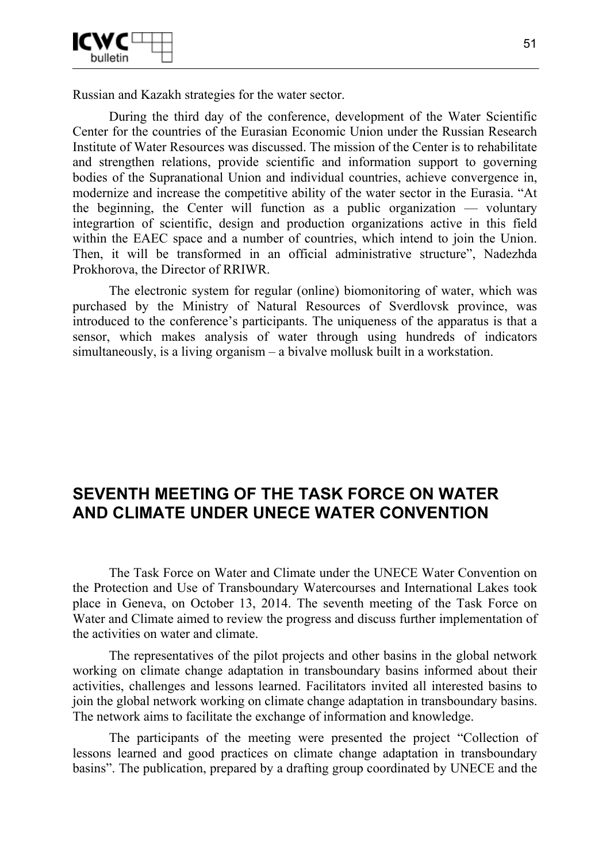

Russian and Kazakh strategies for the water sector.

During the third day of the conference, development of the Water Scientific Center for the countries of the Eurasian Economic Union under the Russian Research Institute of Water Resources was discussed. The mission of the Center is to rehabilitate and strengthen relations, provide scientific and information support to governing bodies of the Supranational Union and individual countries, achieve convergence in, modernize and increase the competitive ability of the water sector in the Eurasia. "At the beginning, the Center will function as a public organization — voluntary integrartion of scientific, design and production organizations active in this field within the EAEC space and a number of countries, which intend to join the Union. Then, it will be transformed in an official administrative structure", Nadezhda Prokhorova, the Director of RRIWR.

The electronic system for regular (online) biomonitoring of water, which was purchased by the Ministry of Natural Resources of Sverdlovsk province, was introduced to the conference's participants. The uniqueness of the apparatus is that a sensor, which makes analysis of water through using hundreds of indicators simultaneously, is a living organism – a bivalve mollusk built in a workstation.

## **SEVENTH MEETING OF THE TASK FORCE ON WATER AND CLIMATE UNDER UNECE WATER CONVENTION**

The Task Force on Water and Climate under the UNECE Water Convention on the Protection and Use of Transboundary Watercourses and International Lakes took place in Geneva, on October 13, 2014. The seventh meeting of the Task Force on Water and Climate aimed to review the progress and discuss further implementation of the activities on water and climate.

The representatives of the pilot projects and other basins in the global network working on climate change adaptation in transboundary basins informed about their activities, challenges and lessons learned. Facilitators invited all interested basins to join the global network working on climate change adaptation in transboundary basins. The network aims to facilitate the exchange of information and knowledge.

The participants of the meeting were presented the project "Collection of lessons learned and good practices on climate change adaptation in transboundary basins". The publication, prepared by a drafting group coordinated by UNECE and the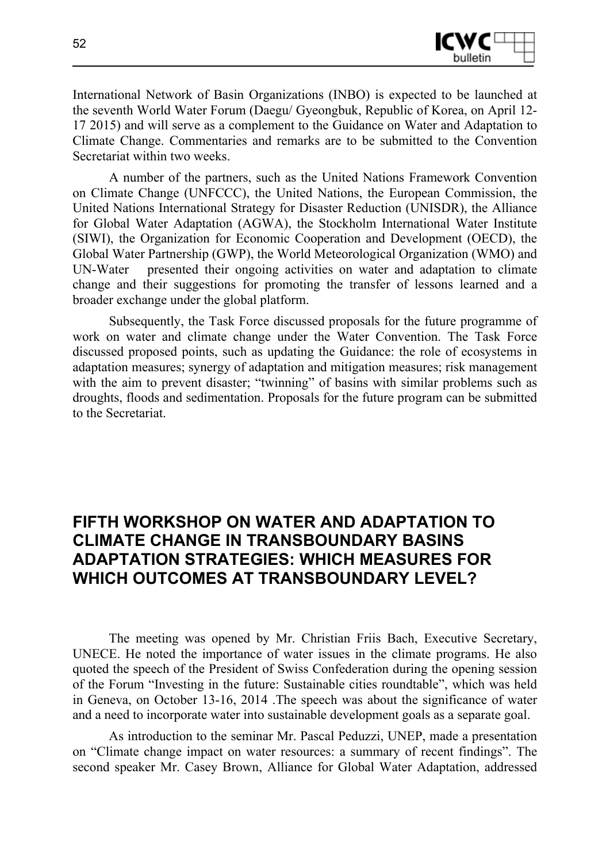

International Network of Basin Organizations (INBO) is expected to be launched at the seventh World Water Forum (Daegu/ Gyeongbuk, Republic of Korea, on April 12- 17 2015) and will serve as a complement to the Guidance on Water and Adaptation to Climate Change. Commentaries and remarks are to be submitted to the Convention Secretariat within two weeks.

A number of the partners, such as the United Nations Framework Convention on Climate Change (UNFCCC), the United Nations, the European Commission, the United Nations International Strategy for Disaster Reduction (UNISDR), the Alliance for Global Water Adaptation (AGWA), the Stockholm International Water Institute (SIWI), the Organization for Economic Cooperation and Development (OECD), the Global Water Partnership (GWP), the World Meteorological Organization (WMO) and UN-Water presented their ongoing activities on water and adaptation to climate change and their suggestions for promoting the transfer of lessons learned and a broader exchange under the global platform.

Subsequently, the Task Force discussed proposals for the future programme of work on water and climate change under the Water Convention. The Task Force discussed proposed points, such as updating the Guidance: the role of ecosystems in adaptation measures; synergy of adaptation and mitigation measures; risk management with the aim to prevent disaster; "twinning" of basins with similar problems such as droughts, floods and sedimentation. Proposals for the future program can be submitted to the Secretariat.

# **FIFTH WORKSHOP ON WATER AND ADAPTATION TO CLIMATE CHANGE IN TRANSBOUNDARY BASINS ADAPTATION STRATEGIES: WHICH MEASURES FOR WHICH OUTCOMES AT TRANSBOUNDARY LEVEL?**

The meeting was opened by Mr. Christian Friis Bach, Executive Secretary, UNECE. He noted the importance of water issues in the climate programs. He also quoted the speech of the President of Swiss Confederation during the opening session of the Forum "Investing in the future: Sustainable cities roundtable", which was held in Geneva, on October 13-16, 2014 .The speech was about the significance of water and a need to incorporate water into sustainable development goals as a separate goal.

As introduction to the seminar Mr. Pascal Peduzzi, UNEP, made a presentation on "Climate change impact on water resources: a summary of recent findings". The second speaker Mr. Casey Brown, Alliance for Global Water Adaptation, addressed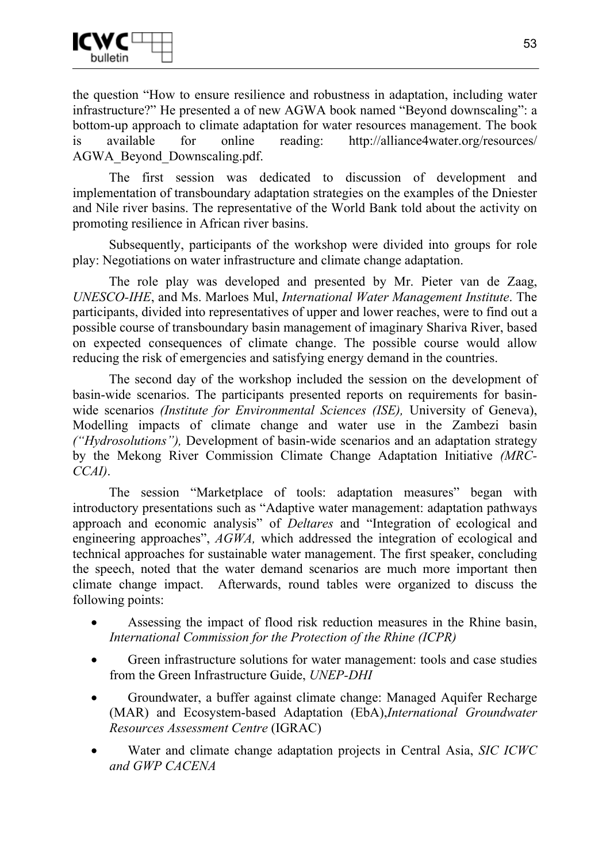

the question "How to ensure resilience and robustness in adaptation, including water infrastructure?" He presented a of new AGWA book named "Beyond downscaling": a bottom-up approach to climate adaptation for water resources management. The book is available for online reading: http://alliance4water.org/resources/ AGWA\_Beyond\_Downscaling.pdf.

The first session was dedicated to discussion of development and implementation of transboundary adaptation strategies on the examples of the Dniester and Nile river basins. The representative of the World Bank told about the activity on promoting resilience in African river basins.

Subsequently, participants of the workshop were divided into groups for role play: Negotiations on water infrastructure and climate change adaptation.

The role play was developed and presented by Mr. Pieter van de Zaag, *UNESCO-IHE*, and Ms. Marloes Mul, *International Water Management Institute*. The participants, divided into representatives of upper and lower reaches, were to find out a possible course of transboundary basin management of imaginary Shariva River, based on expected consequences of climate change. The possible course would allow reducing the risk of emergencies and satisfying energy demand in the countries.

The second day of the workshop included the session on the development of basin-wide scenarios. The participants presented reports on requirements for basinwide scenarios *(Institute for Environmental Sciences (ISE),* University of Geneva), Modelling impacts of climate change and water use in the Zambezi basin *("Hydrosolutions"),* Development of basin-wide scenarios and an adaptation strategy by the Mekong River Commission Climate Change Adaptation Initiative *(MRC-CCAI)*.

The session "Marketplace of tools: adaptation measures" began with introductory presentations such as "Adaptive water management: adaptation pathways approach and economic analysis" of *Deltares* and "Integration of ecological and engineering approaches", *AGWA,* which addressed the integration of ecological and technical approaches for sustainable water management. The first speaker, concluding the speech, noted that the water demand scenarios are much more important then climate change impact. Afterwards, round tables were organized to discuss the following points:

- Assessing the impact of flood risk reduction measures in the Rhine basin, *International Commission for the Protection of the Rhine (ICPR)*
- Green infrastructure solutions for water management: tools and case studies from the Green Infrastructure Guide, *UNEP-DHI*
- Groundwater, a buffer against climate change: Managed Aquifer Recharge (MAR) and Ecosystem-based Adaptation (EbA),*International Groundwater Resources Assessment Centre* (IGRAC)
- Water and climate change adaptation projects in Central Asia, *SIC ICWC and GWP CACENA*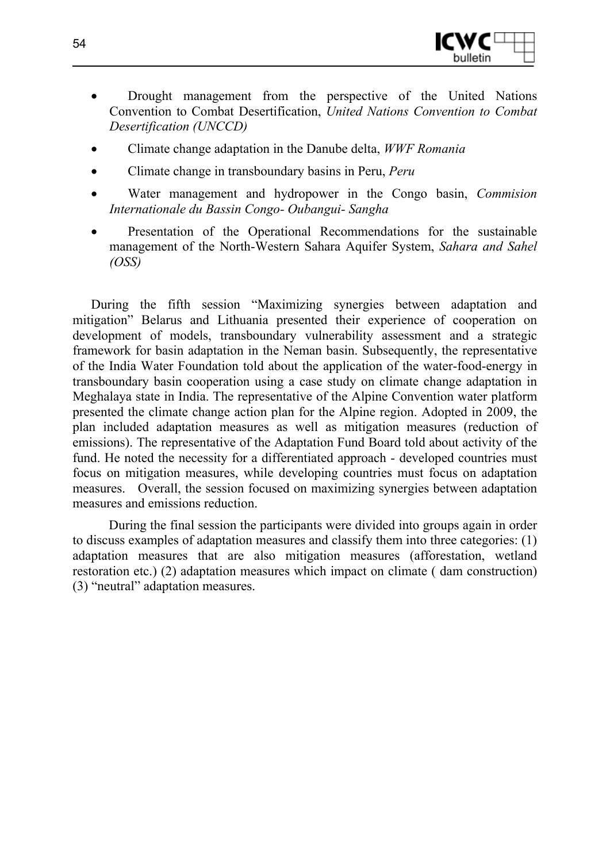

- Drought management from the perspective of the United Nations Convention to Combat Desertification, *United Nations Convention to Combat Desertification (UNCCD)*
- Climate change adaptation in the Danube delta, *WWF Romania*
- Climate change in transboundary basins in Peru, *Peru*
- Water management and hydropower in the Congo basin, *Commision Internationale du Bassin Congo- Oubangui- Sangha*
- Presentation of the Operational Recommendations for the sustainable management of the North-Western Sahara Aquifer System, *Sahara and Sahel (OSS)*

During the fifth session "Maximizing synergies between adaptation and mitigation" Belarus and Lithuania presented their experience of cooperation on development of models, transboundary vulnerability assessment and a strategic framework for basin adaptation in the Neman basin. Subsequently, the representative of the India Water Foundation told about the application of the water-food-energy in transboundary basin cooperation using a case study on climate change adaptation in Meghalaya state in India. The representative of the Alpine Convention water platform presented the climate change action plan for the Alpine region. Adopted in 2009, the plan included adaptation measures as well as mitigation measures (reduction of emissions). The representative of the Adaptation Fund Board told about activity of the fund. He noted the necessity for a differentiated approach - developed countries must focus on mitigation measures, while developing countries must focus on adaptation measures. Overall, the session focused on maximizing synergies between adaptation measures and emissions reduction.

During the final session the participants were divided into groups again in order to discuss examples of adaptation measures and classify them into three categories: (1) adaptation measures that are also mitigation measures (afforestation, wetland restoration etc.) (2) adaptation measures which impact on climate ( dam construction) (3) "neutral" adaptation measures.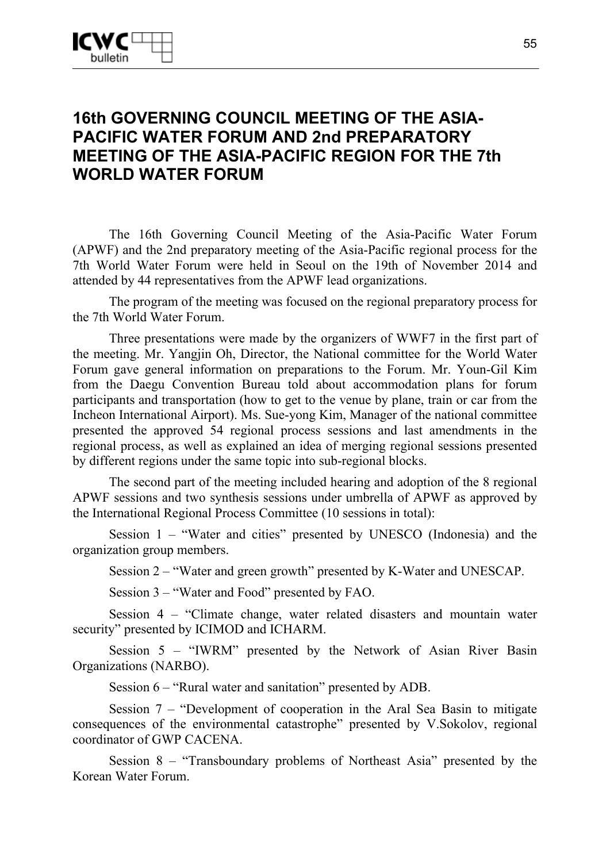# **16th GOVERNING COUNCIL MEETING OF THE ASIA-PACIFIC WATER FORUM AND 2nd PREPARATORY MEETING OF THE ASIA-PACIFIC REGION FOR THE 7th WORLD WATER FORUM**

The 16th Governing Council Meeting of the Asia-Pacific Water Forum (APWF) and the 2nd preparatory meeting of the Asia-Pacific regional process for the 7th World Water Forum were held in Seoul on the 19th of November 2014 and attended by 44 representatives from the APWF lead organizations.

The program of the meeting was focused on the regional preparatory process for the 7th World Water Forum.

Three presentations were made by the organizers of WWF7 in the first part of the meeting. Mr. Yangjin Oh, Director, the National committee for the World Water Forum gave general information on preparations to the Forum. Mr. Youn-Gil Kim from the Daegu Convention Bureau told about accommodation plans for forum participants and transportation (how to get to the venue by plane, train or car from the Incheon International Airport). Ms. Sue-yong Kim, Manager of the national committee presented the approved 54 regional process sessions and last amendments in the regional process, as well as explained an idea of merging regional sessions presented by different regions under the same topic into sub-regional blocks.

The second part of the meeting included hearing and adoption of the 8 regional APWF sessions and two synthesis sessions under umbrella of APWF as approved by the International Regional Process Committee (10 sessions in total):

Session 1 – "Water and cities" presented by UNESCO (Indonesia) and the organization group members.

Session 2 – "Water and green growth" presented by K-Water and UNESCAP.

Session 3 – "Water and Food" presented by FAO.

Session 4 – "Climate change, water related disasters and mountain water security" presented by ICIMOD and ICHARM.

Session 5 – "IWRM" presented by the Network of Asian River Basin Organizations (NARBO).

Session 6 – "Rural water and sanitation" presented by ADB.

Session 7 – "Development of cooperation in the Aral Sea Basin to mitigate consequences of the environmental catastrophe" presented by V.Sokolov, regional coordinator of GWP CACENA.

Session 8 – "Transboundary problems of Northeast Asia" presented by the Korean Water Forum.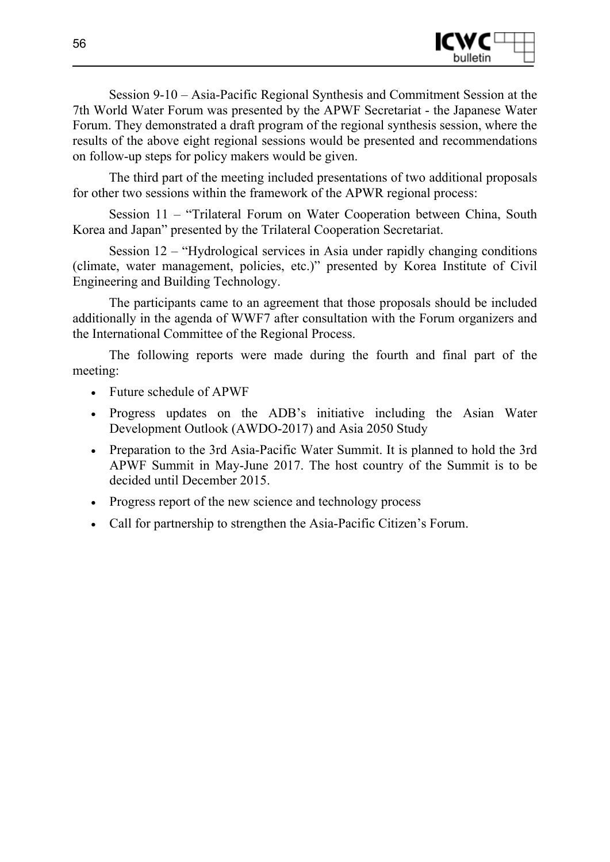

Session 9-10 – Asia-Pacific Regional Synthesis and Commitment Session at the 7th World Water Forum was presented by the APWF Secretariat - the Japanese Water Forum. They demonstrated a draft program of the regional synthesis session, where the results of the above eight regional sessions would be presented and recommendations on follow-up steps for policy makers would be given.

The third part of the meeting included presentations of two additional proposals for other two sessions within the framework of the APWR regional process:

Session 11 – "Trilateral Forum on Water Cooperation between China, South Korea and Japan" presented by the Trilateral Cooperation Secretariat.

Session 12 – "Hydrological services in Asia under rapidly changing conditions (climate, water management, policies, etc.)" presented by Korea Institute of Civil Engineering and Building Technology.

The participants came to an agreement that those proposals should be included additionally in the agenda of WWF7 after consultation with the Forum organizers and the International Committee of the Regional Process.

The following reports were made during the fourth and final part of the meeting:

- Future schedule of APWF
- Progress updates on the ADB's initiative including the Asian Water Development Outlook (AWDO-2017) and Asia 2050 Study
- Preparation to the 3rd Asia-Pacific Water Summit. It is planned to hold the 3rd APWF Summit in May-June 2017. The host country of the Summit is to be decided until December 2015.
- Progress report of the new science and technology process
- Call for partnership to strengthen the Asia-Pacific Citizen's Forum.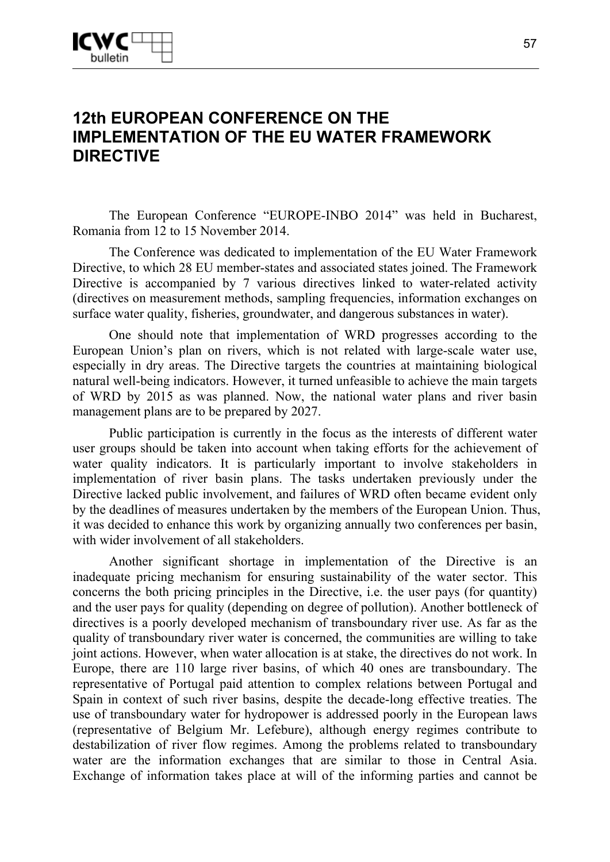# **12th EUROPEAN CONFERENCE ON THE IMPLEMENTATION OF THE EU WATER FRAMEWORK DIRECTIVE**

The European Conference "EUROPE-INBO 2014" was held in Bucharest, Romania from 12 to 15 November 2014.

The Conference was dedicated to implementation of the EU Water Framework Directive, to which 28 EU member-states and associated states joined. The Framework Directive is accompanied by 7 various directives linked to water-related activity (directives on measurement methods, sampling frequencies, information exchanges on surface water quality, fisheries, groundwater, and dangerous substances in water).

One should note that implementation of WRD progresses according to the European Union's plan on rivers, which is not related with large-scale water use, especially in dry areas. The Directive targets the countries at maintaining biological natural well-being indicators. However, it turned unfeasible to achieve the main targets of WRD by 2015 as was planned. Now, the national water plans and river basin management plans are to be prepared by 2027.

Public participation is currently in the focus as the interests of different water user groups should be taken into account when taking efforts for the achievement of water quality indicators. It is particularly important to involve stakeholders in implementation of river basin plans. The tasks undertaken previously under the Directive lacked public involvement, and failures of WRD often became evident only by the deadlines of measures undertaken by the members of the European Union. Thus, it was decided to enhance this work by organizing annually two conferences per basin, with wider involvement of all stakeholders.

Another significant shortage in implementation of the Directive is an inadequate pricing mechanism for ensuring sustainability of the water sector. This concerns the both pricing principles in the Directive, i.e. the user pays (for quantity) and the user pays for quality (depending on degree of pollution). Another bottleneck of directives is a poorly developed mechanism of transboundary river use. As far as the quality of transboundary river water is concerned, the communities are willing to take joint actions. However, when water allocation is at stake, the directives do not work. In Europe, there are 110 large river basins, of which 40 ones are transboundary. The representative of Portugal paid attention to complex relations between Portugal and Spain in context of such river basins, despite the decade-long effective treaties. The use of transboundary water for hydropower is addressed poorly in the European laws (representative of Belgium Mr. Lefebure), although energy regimes contribute to destabilization of river flow regimes. Among the problems related to transboundary water are the information exchanges that are similar to those in Central Asia. Exchange of information takes place at will of the informing parties and cannot be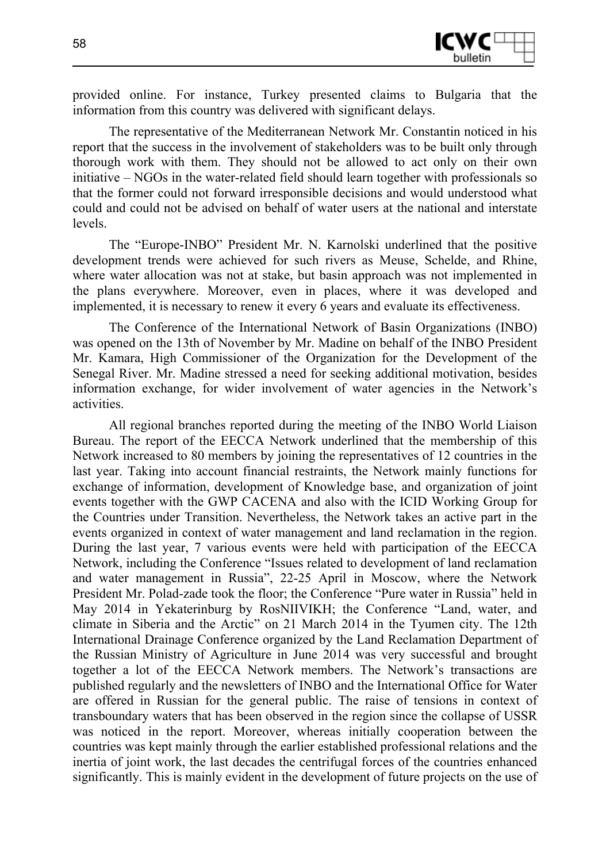

provided online. For instance, Turkey presented claims to Bulgaria that the information from this country was delivered with significant delays.

The representative of the Mediterranean Network Mr. Constantin noticed in his report that the success in the involvement of stakeholders was to be built only through thorough work with them. They should not be allowed to act only on their own initiative – NGOs in the water-related field should learn together with professionals so that the former could not forward irresponsible decisions and would understood what could and could not be advised on behalf of water users at the national and interstate levels.

The "Europe-INBO" President Mr. N. Karnolski underlined that the positive development trends were achieved for such rivers as Meuse, Schelde, and Rhine, where water allocation was not at stake, but basin approach was not implemented in the plans everywhere. Moreover, even in places, where it was developed and implemented, it is necessary to renew it every 6 years and evaluate its effectiveness.

The Conference of the International Network of Basin Organizations (INBO) was opened on the 13th of November by Mr. Madine on behalf of the INBO President Mr. Kamara, High Commissioner of the Organization for the Development of the Senegal River. Mr. Madine stressed a need for seeking additional motivation, besides information exchange, for wider involvement of water agencies in the Network's activities.

All regional branches reported during the meeting of the INBO World Liaison Bureau. The report of the EECCA Network underlined that the membership of this Network increased to 80 members by joining the representatives of 12 countries in the last year. Taking into account financial restraints, the Network mainly functions for exchange of information, development of Knowledge base, and organization of joint events together with the GWP CACENA and also with the ICID Working Group for the Countries under Transition. Nevertheless, the Network takes an active part in the events organized in context of water management and land reclamation in the region. During the last year, 7 various events were held with participation of the EECCA Network, including the Conference "Issues related to development of land reclamation and water management in Russia", 22-25 April in Moscow, where the Network President Mr. Polad-zade took the floor; the Conference "Pure water in Russia" held in May 2014 in Yekaterinburg by RosNIIVIKH; the Conference "Land, water, and climate in Siberia and the Arctic" on 21 March 2014 in the Tyumen city. The 12th International Drainage Conference organized by the Land Reclamation Department of the Russian Ministry of Agriculture in June 2014 was very successful and brought together a lot of the EECCA Network members. The Network's transactions are published regularly and the newsletters of INBO and the International Office for Water are offered in Russian for the general public. The raise of tensions in context of transboundary waters that has been observed in the region since the collapse of USSR was noticed in the report. Moreover, whereas initially cooperation between the countries was kept mainly through the earlier established professional relations and the inertia of joint work, the last decades the centrifugal forces of the countries enhanced significantly. This is mainly evident in the development of future projects on the use of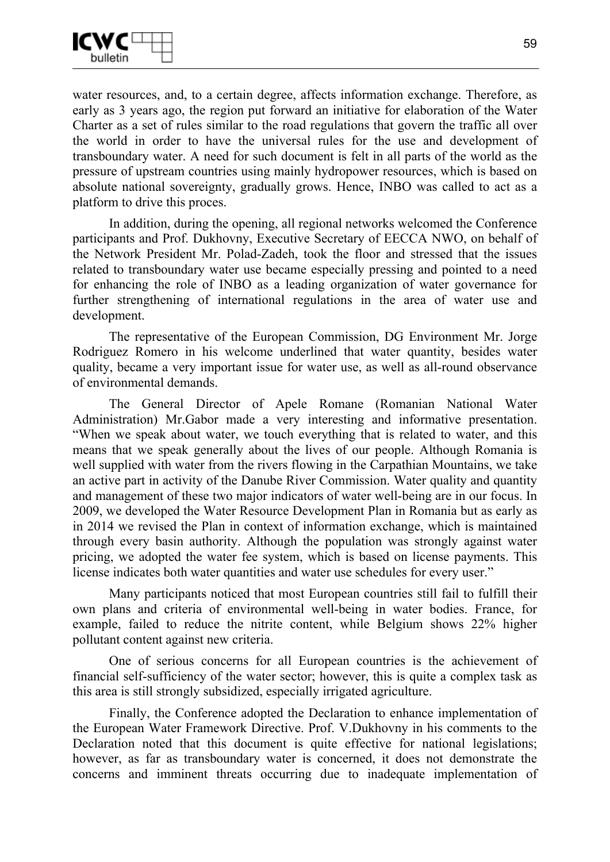

water resources, and, to a certain degree, affects information exchange. Therefore, as early as 3 years ago, the region put forward an initiative for elaboration of the Water Charter as a set of rules similar to the road regulations that govern the traffic all over the world in order to have the universal rules for the use and development of transboundary water. A need for such document is felt in all parts of the world as the pressure of upstream countries using mainly hydropower resources, which is based on absolute national sovereignty, gradually grows. Hence, INBO was called to act as a platform to drive this proces.

In addition, during the opening, all regional networks welcomed the Conference participants and Prof. Dukhovny, Executive Secretary of EECCA NWO, on behalf of the Network President Mr. Polad-Zadeh, took the floor and stressed that the issues related to transboundary water use became especially pressing and pointed to a need for enhancing the role of INBO as a leading organization of water governance for further strengthening of international regulations in the area of water use and development.

The representative of the European Commission, DG Environment Mr. Jorge Rodriguez Romero in his welcome underlined that water quantity, besides water quality, became a very important issue for water use, as well as all-round observance of environmental demands.

The General Director of Apele Romane (Romanian National Water Administration) Mr.Gabor made a very interesting and informative presentation. "When we speak about water, we touch everything that is related to water, and this means that we speak generally about the lives of our people. Although Romania is well supplied with water from the rivers flowing in the Carpathian Mountains, we take an active part in activity of the Danube River Commission. Water quality and quantity and management of these two major indicators of water well-being are in our focus. In 2009, we developed the Water Resource Development Plan in Romania but as early as in 2014 we revised the Plan in context of information exchange, which is maintained through every basin authority. Although the population was strongly against water pricing, we adopted the water fee system, which is based on license payments. This license indicates both water quantities and water use schedules for every user."

Many participants noticed that most European countries still fail to fulfill their own plans and criteria of environmental well-being in water bodies. France, for example, failed to reduce the nitrite content, while Belgium shows 22% higher pollutant content against new criteria.

One of serious concerns for all European countries is the achievement of financial self-sufficiency of the water sector; however, this is quite a complex task as this area is still strongly subsidized, especially irrigated agriculture.

Finally, the Conference adopted the Declaration to enhance implementation of the European Water Framework Directive. Prof. V.Dukhovny in his comments to the Declaration noted that this document is quite effective for national legislations; however, as far as transboundary water is concerned, it does not demonstrate the concerns and imminent threats occurring due to inadequate implementation of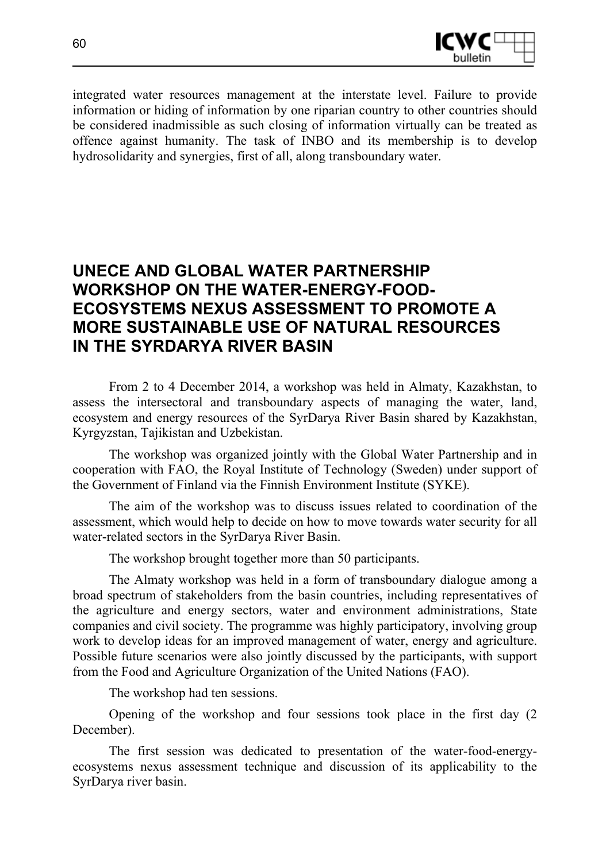

integrated water resources management at the interstate level. Failure to provide information or hiding of information by one riparian country to other countries should be considered inadmissible as such closing of information virtually can be treated as offence against humanity. The task of INBO and its membership is to develop hydrosolidarity and synergies, first of all, along transboundary water.

# **UNECE AND GLOBAL WATER PARTNERSHIP WORKSHOP ON THE WATER-ENERGY-FOOD-ECOSYSTEMS NEXUS ASSESSMENT TO PROMOTE A MORE SUSTAINABLE USE OF NATURAL RESOURCES IN THE SYRDARYA RIVER BASIN**

From 2 to 4 December 2014, a workshop was held in Almaty, Kazakhstan, to assess the intersectoral and transboundary aspects of managing the water, land, ecosystem and energy resources of the SyrDarya River Basin shared by Kazakhstan, Kyrgyzstan, Tajikistan and Uzbekistan.

The workshop was organized jointly with the Global Water Partnership and in cooperation with FAO, the Royal Institute of Technology (Sweden) under support of the Government of Finland via the Finnish Environment Institute (SYKE).

The aim of the workshop was to discuss issues related to coordination of the assessment, which would help to decide on how to move towards water security for all water-related sectors in the SyrDarya River Basin.

The workshop brought together more than 50 participants.

The Almaty workshop was held in a form of transboundary dialogue among a broad spectrum of stakeholders from the basin countries, including representatives of the agriculture and energy sectors, water and environment administrations, State companies and civil society. The programme was highly participatory, involving group work to develop ideas for an improved management of water, energy and agriculture. Possible future scenarios were also jointly discussed by the participants, with support from the Food and Agriculture Organization of the United Nations (FAO).

The workshop had ten sessions.

Opening of the workshop and four sessions took place in the first day (2 December).

The first session was dedicated to presentation of the water-food-energyecosystems nexus assessment technique and discussion of its applicability to the SyrDarya river basin.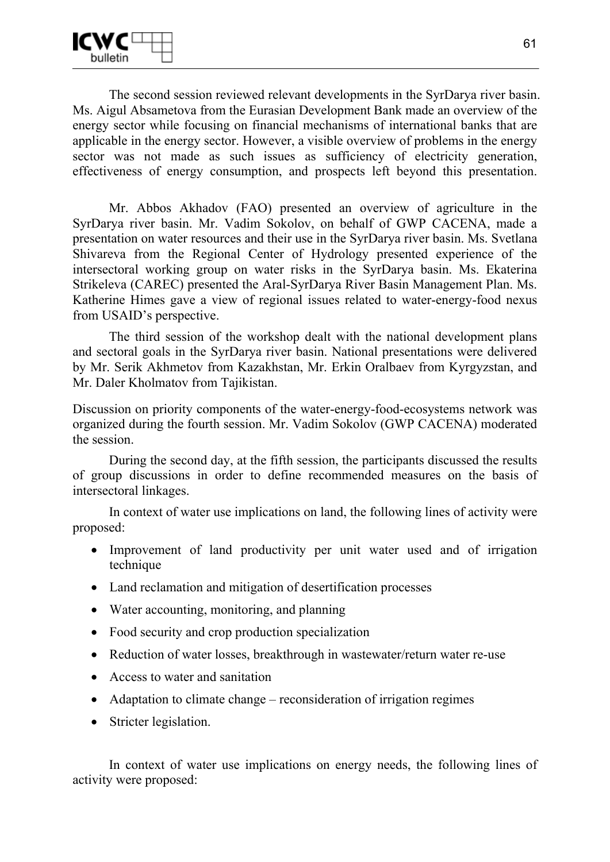The second session reviewed relevant developments in the SyrDarya river basin. Ms. Aigul Absametova from the Eurasian Development Bank made an overview of the energy sector while focusing on financial mechanisms of international banks that are applicable in the energy sector. However, a visible overview of problems in the energy sector was not made as such issues as sufficiency of electricity generation, effectiveness of energy consumption, and prospects left beyond this presentation.

Mr. Abbos Akhadov (FAO) presented an overview of agriculture in the SyrDarya river basin. Mr. Vadim Sokolov, on behalf of GWP CACENA, made a presentation on water resources and their use in the SyrDarya river basin. Ms. Svetlana Shivareva from the Regional Center of Hydrology presented experience of the intersectoral working group on water risks in the SyrDarya basin. Ms. Ekaterina Strikeleva (CAREC) presented the Aral-SyrDarya River Basin Management Plan. Ms. Katherine Himes gave a view of regional issues related to water-energy-food nexus from USAID's perspective.

The third session of the workshop dealt with the national development plans and sectoral goals in the SyrDarya river basin. National presentations were delivered by Mr. Serik Akhmetov from Kazakhstan, Mr. Erkin Oralbaev from Kyrgyzstan, and Mr. Daler Kholmatov from Tajikistan.

Discussion on priority components of the water-energy-food-ecosystems network was organized during the fourth session. Mr. Vadim Sokolov (GWP CACENA) moderated the session.

During the second day, at the fifth session, the participants discussed the results of group discussions in order to define recommended measures on the basis of intersectoral linkages.

In context of water use implications on land, the following lines of activity were proposed:

- Improvement of land productivity per unit water used and of irrigation technique
- Land reclamation and mitigation of desertification processes
- Water accounting, monitoring, and planning
- Food security and crop production specialization
- Reduction of water losses, breakthrough in wastewater/return water re-use
- Access to water and sanitation
- Adaptation to climate change reconsideration of irrigation regimes
- Stricter legislation.

In context of water use implications on energy needs, the following lines of activity were proposed: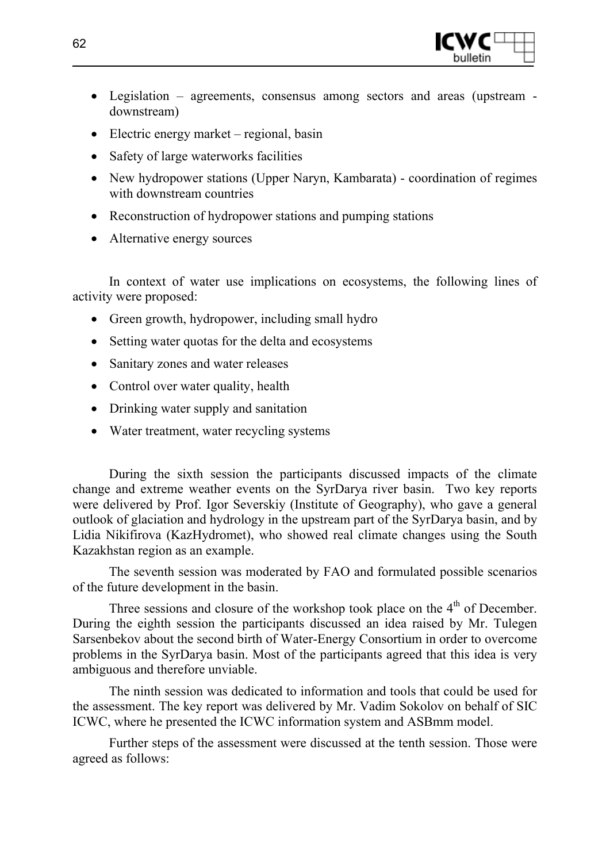

- Legislation agreements, consensus among sectors and areas (upstream downstream)
- Electric energy market regional, basin
- Safety of large waterworks facilities
- New hydropower stations (Upper Naryn, Kambarata) coordination of regimes with downstream countries
- Reconstruction of hydropower stations and pumping stations
- Alternative energy sources

In context of water use implications on ecosystems, the following lines of activity were proposed:

- Green growth, hydropower, including small hydro
- Setting water quotas for the delta and ecosystems
- Sanitary zones and water releases
- Control over water quality, health
- Drinking water supply and sanitation
- Water treatment, water recycling systems

During the sixth session the participants discussed impacts of the climate change and extreme weather events on the SyrDarya river basin. Two key reports were delivered by Prof. Igor Severskiy (Institute of Geography), who gave a general outlook of glaciation and hydrology in the upstream part of the SyrDarya basin, and by Lidia Nikifirova (KazHydromet), who showed real climate changes using the South Kazakhstan region as an example.

The seventh session was moderated by FAO and formulated possible scenarios of the future development in the basin.

Three sessions and closure of the workshop took place on the  $4<sup>th</sup>$  of December. During the eighth session the participants discussed an idea raised by Mr. Tulegen Sarsenbekov about the second birth of Water-Energy Consortium in order to overcome problems in the SyrDarya basin. Most of the participants agreed that this idea is very ambiguous and therefore unviable.

The ninth session was dedicated to information and tools that could be used for the assessment. The key report was delivered by Mr. Vadim Sokolov on behalf of SIC ICWC, where he presented the ICWC information system and ASBmm model.

Further steps of the assessment were discussed at the tenth session. Those were agreed as follows: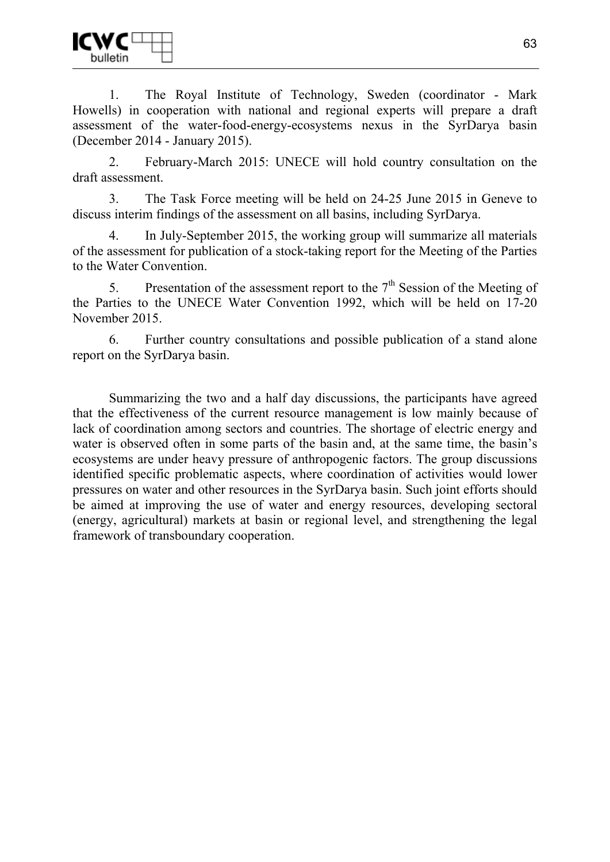1. The Royal Institute of Technology, Sweden (coordinator - Mark Howells) in cooperation with national and regional experts will prepare a draft assessment of the water-food-energy-ecosystems nexus in the SyrDarya basin (December 2014 - January 2015).

2. February-March 2015: UNECE will hold country consultation on the draft assessment.

3. The Task Force meeting will be held on 24-25 June 2015 in Geneve to discuss interim findings of the assessment on all basins, including SyrDarya.

4. In July-September 2015, the working group will summarize all materials of the assessment for publication of a stock-taking report for the Meeting of the Parties to the Water Convention.

5. Presentation of the assessment report to the  $7<sup>th</sup>$  Session of the Meeting of the Parties to the UNECE Water Convention 1992, which will be held on 17-20 November 2015.

6. Further country consultations and possible publication of a stand alone report on the SyrDarya basin.

Summarizing the two and a half day discussions, the participants have agreed that the effectiveness of the current resource management is low mainly because of lack of coordination among sectors and countries. The shortage of electric energy and water is observed often in some parts of the basin and, at the same time, the basin's ecosystems are under heavy pressure of anthropogenic factors. The group discussions identified specific problematic aspects, where coordination of activities would lower pressures on water and other resources in the SyrDarya basin. Such joint efforts should be aimed at improving the use of water and energy resources, developing sectoral (energy, agricultural) markets at basin or regional level, and strengthening the legal framework of transboundary cooperation.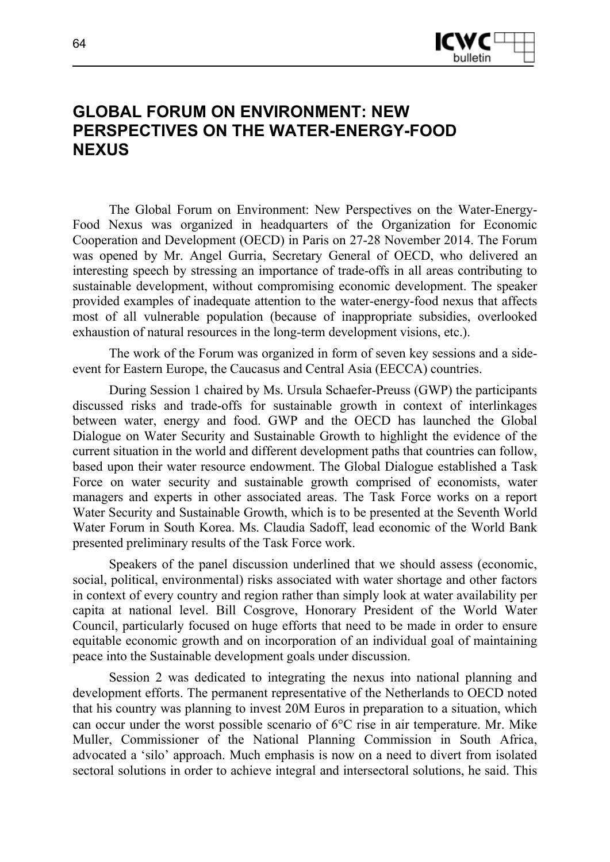

### **GLOBAL FORUM ON ENVIRONMENT: NEW PERSPECTIVES ON THE WATER-ENERGY-FOOD NEXUS**

The Global Forum on Environment: New Perspectives on the Water-Energy-Food Nexus was organized in headquarters of the Organization for Economic Cooperation and Development (OECD) in Paris on 27-28 November 2014. The Forum was opened by Mr. Angel Gurria, Secretary General of OECD, who delivered an interesting speech by stressing an importance of trade-offs in all areas contributing to sustainable development, without compromising economic development. The speaker provided examples of inadequate attention to the water-energy-food nexus that affects most of all vulnerable population (because of inappropriate subsidies, overlooked exhaustion of natural resources in the long-term development visions, etc.).

The work of the Forum was organized in form of seven key sessions and a sideevent for Eastern Europe, the Caucasus and Central Asia (EECCA) countries.

During Session 1 chaired by Ms. Ursula Schaefer-Preuss (GWP) the participants discussed risks and trade-offs for sustainable growth in context of interlinkages between water, energy and food. GWP and the OECD has launched the Global Dialogue on Water Security and Sustainable Growth to highlight the evidence of the current situation in the world and different development paths that countries can follow, based upon their water resource endowment. The Global Dialogue established a Task Force on water security and sustainable growth comprised of economists, water managers and experts in other associated areas. The Task Force works on a report Water Security and Sustainable Growth, which is to be presented at the Seventh World Water Forum in South Korea. Ms. Claudia Sadoff, lead economic of the World Bank presented preliminary results of the Task Force work.

Speakers of the panel discussion underlined that we should assess (economic, social, political, environmental) risks associated with water shortage and other factors in context of every country and region rather than simply look at water availability per capita at national level. Bill Cosgrove, Honorary President of the World Water Council, particularly focused on huge efforts that need to be made in order to ensure equitable economic growth and on incorporation of an individual goal of maintaining peace into the Sustainable development goals under discussion.

Session 2 was dedicated to integrating the nexus into national planning and development efforts. The permanent representative of the Netherlands to OECD noted that his country was planning to invest 20M Euros in preparation to a situation, which can occur under the worst possible scenario of 6°C rise in air temperature. Mr. Mike Muller, Commissioner of the National Planning Commission in South Africa, advocated a 'silo' approach. Much emphasis is now on a need to divert from isolated sectoral solutions in order to achieve integral and intersectoral solutions, he said. This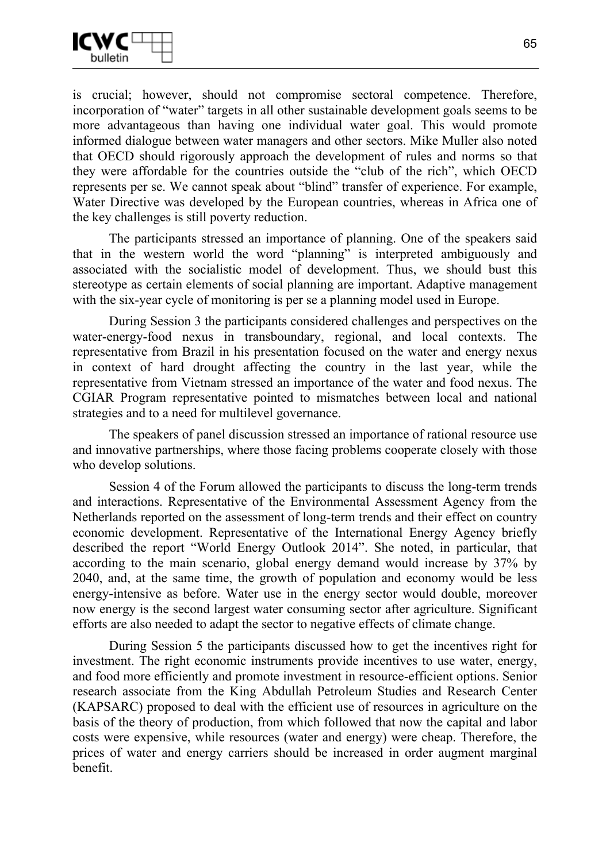

is crucial; however, should not compromise sectoral competence. Therefore, incorporation of "water" targets in all other sustainable development goals seems to be more advantageous than having one individual water goal. This would promote informed dialogue between water managers and other sectors. Mike Muller also noted that OECD should rigorously approach the development of rules and norms so that they were affordable for the countries outside the "club of the rich", which OECD represents per se. We cannot speak about "blind" transfer of experience. For example, Water Directive was developed by the European countries, whereas in Africa one of the key challenges is still poverty reduction.

The participants stressed an importance of planning. One of the speakers said that in the western world the word "planning" is interpreted ambiguously and associated with the socialistic model of development. Thus, we should bust this stereotype as certain elements of social planning are important. Adaptive management with the six-year cycle of monitoring is per se a planning model used in Europe.

During Session 3 the participants considered challenges and perspectives on the water-energy-food nexus in transboundary, regional, and local contexts. The representative from Brazil in his presentation focused on the water and energy nexus in context of hard drought affecting the country in the last year, while the representative from Vietnam stressed an importance of the water and food nexus. The CGIAR Program representative pointed to mismatches between local and national strategies and to a need for multilevel governance.

The speakers of panel discussion stressed an importance of rational resource use and innovative partnerships, where those facing problems cooperate closely with those who develop solutions.

Session 4 of the Forum allowed the participants to discuss the long-term trends and interactions. Representative of the Environmental Assessment Agency from the Netherlands reported on the assessment of long-term trends and their effect on country economic development. Representative of the International Energy Agency briefly described the report "World Energy Outlook 2014". She noted, in particular, that according to the main scenario, global energy demand would increase by 37% by 2040, and, at the same time, the growth of population and economy would be less energy-intensive as before. Water use in the energy sector would double, moreover now energy is the second largest water consuming sector after agriculture. Significant efforts are also needed to adapt the sector to negative effects of climate change.

During Session 5 the participants discussed how to get the incentives right for investment. The right economic instruments provide incentives to use water, energy, and food more efficiently and promote investment in resource-efficient options. Senior research associate from the King Abdullah Petroleum Studies and Research Center (KAPSARC) proposed to deal with the efficient use of resources in agriculture on the basis of the theory of production, from which followed that now the capital and labor costs were expensive, while resources (water and energy) were cheap. Therefore, the prices of water and energy carriers should be increased in order augment marginal benefit.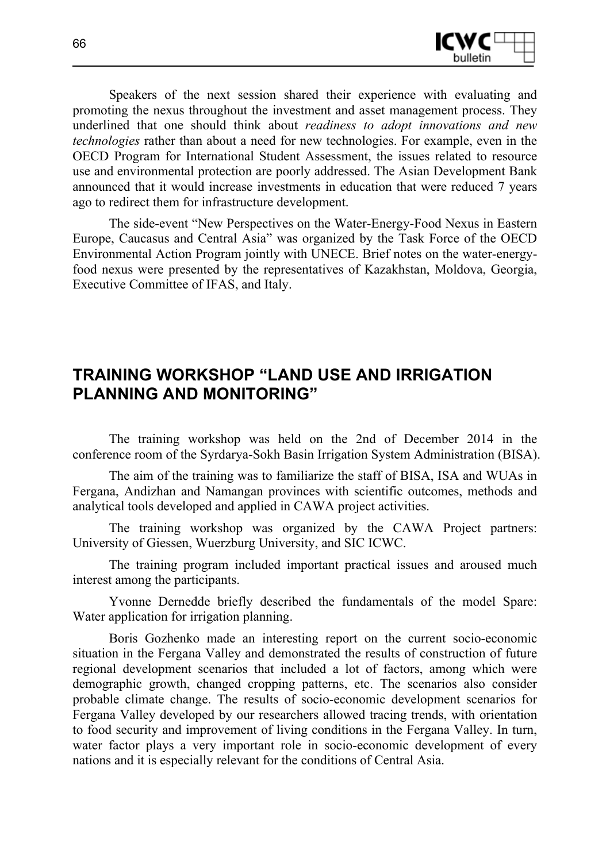

Speakers of the next session shared their experience with evaluating and promoting the nexus throughout the investment and asset management process. They underlined that one should think about *readiness to adopt innovations and new technologies* rather than about a need for new technologies. For example, even in the OECD Program for International Student Assessment, the issues related to resource use and environmental protection are poorly addressed. The Asian Development Bank announced that it would increase investments in education that were reduced 7 years ago to redirect them for infrastructure development.

The side-event "New Perspectives on the Water-Energy-Food Nexus in Eastern Europe, Caucasus and Central Asia" was organized by the Task Force of the OECD Environmental Action Program jointly with UNECE. Brief notes on the water-energyfood nexus were presented by the representatives of Kazakhstan, Moldova, Georgia, Executive Committee of IFAS, and Italy.

### **TRAINING WORKSHOP "LAND USE AND IRRIGATION PLANNING AND MONITORING"**

The training workshop was held on the 2nd of December 2014 in the conference room of the Syrdarya-Sokh Basin Irrigation System Administration (BISA).

The aim of the training was to familiarize the staff of BISA, ISA and WUAs in Fergana, Andizhan and Namangan provinces with scientific outcomes, methods and analytical tools developed and applied in CAWA project activities.

The training workshop was organized by the CAWA Project partners: University of Giessen, Wuerzburg University, and SIC ICWC.

The training program included important practical issues and aroused much interest among the participants.

Yvonne Dernedde briefly described the fundamentals of the model Spare: Water application for irrigation planning.

Boris Gozhenko made an interesting report on the current socio-economic situation in the Fergana Valley and demonstrated the results of construction of future regional development scenarios that included a lot of factors, among which were demographic growth, changed cropping patterns, etc. The scenarios also consider probable climate change. The results of socio-economic development scenarios for Fergana Valley developed by our researchers allowed tracing trends, with orientation to food security and improvement of living conditions in the Fergana Valley. In turn, water factor plays a very important role in socio-economic development of every nations and it is especially relevant for the conditions of Central Asia.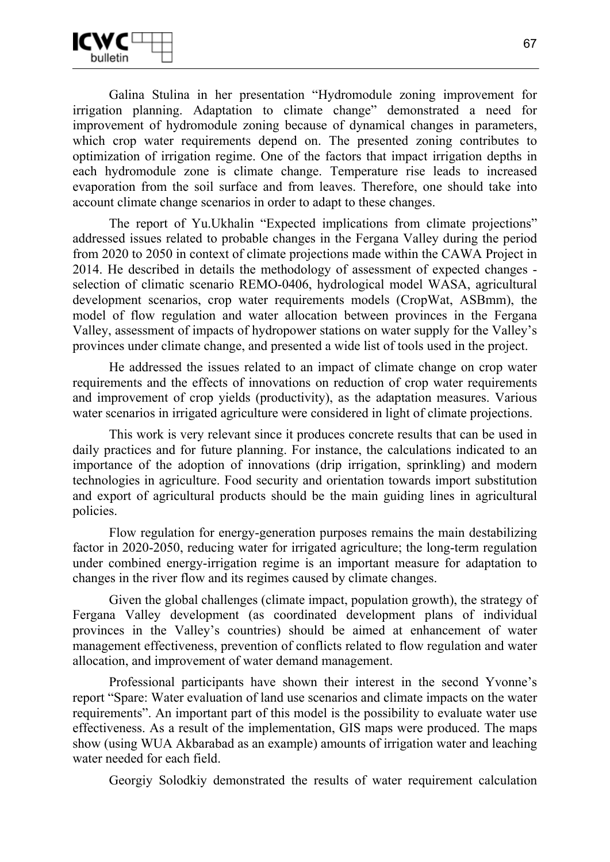

Galina Stulina in her presentation "Hydromodule zoning improvement for irrigation planning. Adaptation to climate change" demonstrated a need for improvement of hydromodule zoning because of dynamical changes in parameters, which crop water requirements depend on. The presented zoning contributes to optimization of irrigation regime. One of the factors that impact irrigation depths in each hydromodule zone is climate change. Temperature rise leads to increased evaporation from the soil surface and from leaves. Therefore, one should take into account climate change scenarios in order to adapt to these changes.

The report of Yu.Ukhalin "Expected implications from climate projections" addressed issues related to probable changes in the Fergana Valley during the period from 2020 to 2050 in context of climate projections made within the CAWA Project in 2014. He described in details the methodology of assessment of expected changes selection of climatic scenario REMO-0406, hydrological model WASA, agricultural development scenarios, crop water requirements models (CropWat, ASBmm), the model of flow regulation and water allocation between provinces in the Fergana Valley, assessment of impacts of hydropower stations on water supply for the Valley's provinces under climate change, and presented a wide list of tools used in the project.

He addressed the issues related to an impact of climate change on crop water requirements and the effects of innovations on reduction of crop water requirements and improvement of crop yields (productivity), as the adaptation measures. Various water scenarios in irrigated agriculture were considered in light of climate projections.

This work is very relevant since it produces concrete results that can be used in daily practices and for future planning. For instance, the calculations indicated to an importance of the adoption of innovations (drip irrigation, sprinkling) and modern technologies in agriculture. Food security and orientation towards import substitution and export of agricultural products should be the main guiding lines in agricultural policies.

Flow regulation for energy-generation purposes remains the main destabilizing factor in 2020-2050, reducing water for irrigated agriculture; the long-term regulation under combined energy-irrigation regime is an important measure for adaptation to changes in the river flow and its regimes caused by climate changes.

Given the global challenges (climate impact, population growth), the strategy of Fergana Valley development (as coordinated development plans of individual provinces in the Valley's countries) should be aimed at enhancement of water management effectiveness, prevention of conflicts related to flow regulation and water allocation, and improvement of water demand management.

Professional participants have shown their interest in the second Yvonne's report "Spare: Water evaluation of land use scenarios and climate impacts on the water requirements". An important part of this model is the possibility to evaluate water use effectiveness. As a result of the implementation, GIS maps were produced. The maps show (using WUA Akbarabad as an example) amounts of irrigation water and leaching water needed for each field.

Georgiy Solodkiy demonstrated the results of water requirement calculation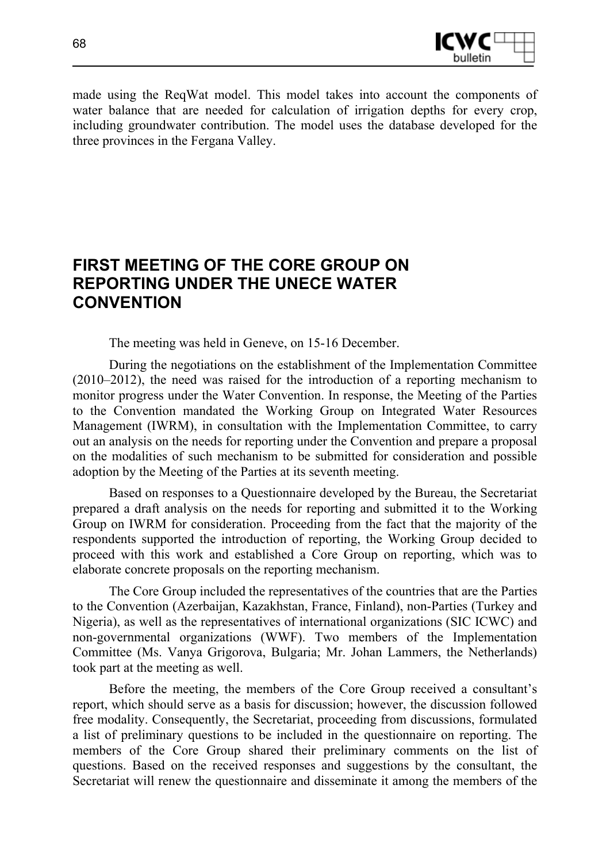

made using the ReqWat model. This model takes into account the components of water balance that are needed for calculation of irrigation depths for every crop, including groundwater contribution. The model uses the database developed for the three provinces in the Fergana Valley.

# **FIRST MEETING OF THE CORE GROUP ON REPORTING UNDER THE UNECE WATER CONVENTION**

The meeting was held in Geneve, on 15-16 December.

During the negotiations on the establishment of the Implementation Committee (2010–2012), the need was raised for the introduction of a reporting mechanism to monitor progress under the Water Convention. In response, the Meeting of the Parties to the Convention mandated the Working Group on Integrated Water Resources Management (IWRM), in consultation with the Implementation Committee, to carry out an analysis on the needs for reporting under the Convention and prepare a proposal on the modalities of such mechanism to be submitted for consideration and possible adoption by the Meeting of the Parties at its seventh meeting.

Based on responses to a Questionnaire developed by the Bureau, the Secretariat prepared a draft analysis on the needs for reporting and submitted it to the Working Group on IWRM for consideration. Proceeding from the fact that the majority of the respondents supported the introduction of reporting, the Working Group decided to proceed with this work and established a Core Group on reporting, which was to elaborate concrete proposals on the reporting mechanism.

The Core Group included the representatives of the countries that are the Parties to the Convention (Azerbaijan, Kazakhstan, France, Finland), non-Parties (Turkey and Nigeria), as well as the representatives of international organizations (SIC ICWC) and non-governmental organizations (WWF). Two members of the Implementation Committee (Ms. Vanya Grigorova, Bulgaria; Mr. Johan Lammers, the Netherlands) took part at the meeting as well.

Before the meeting, the members of the Core Group received a consultant's report, which should serve as a basis for discussion; however, the discussion followed free modality. Consequently, the Secretariat, proceeding from discussions, formulated a list of preliminary questions to be included in the questionnaire on reporting. The members of the Core Group shared their preliminary comments on the list of questions. Based on the received responses and suggestions by the consultant, the Secretariat will renew the questionnaire and disseminate it among the members of the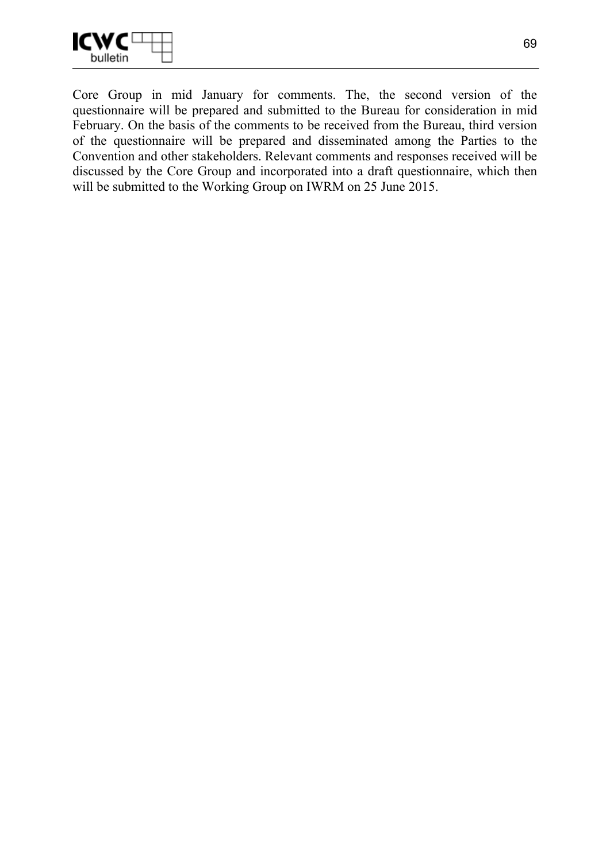

Core Group in mid January for comments. The, the second version of the questionnaire will be prepared and submitted to the Bureau for consideration in mid February. On the basis of the comments to be received from the Bureau, third version of the questionnaire will be prepared and disseminated among the Parties to the Convention and other stakeholders. Relevant comments and responses received will be discussed by the Core Group and incorporated into a draft questionnaire, which then will be submitted to the Working Group on IWRM on 25 June 2015.